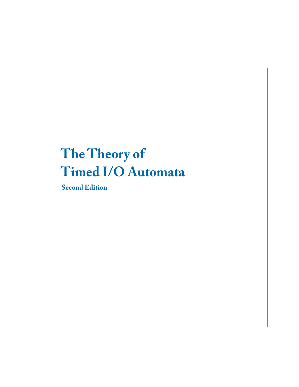# <span id="page-0-0"></span>**The Theory of Timed I/O Automata**

**Second Edition**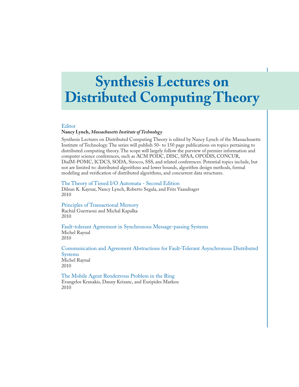## **Synthesis Lectures on Distributed Computing Theory**

### Editor

## **Nancy Lynch,** *Massachusetts Institute of Technology*

Synthesis Lectures on Distributed Computing Theory is edited by Nancy Lynch of the Massachusetts Institute of Technology. The series will publish 50- to 150 page publications on topics pertaining to distributed computing theory. The scope will largely follow the purview of premier information and computer science conferences, such as ACM PODC, DISC, SPAA, OPODIS, CONCUR, DialM-POMC, ICDCS, SODA, Sirocco, SSS, and related conferences. Potential topics include, but not are limited to: distributed algorithms and lower bounds, algorithm design methods, formal modeling and verification of distributed algorithms, and concurrent data structures.

#### The Theory of Timed I/O Automata - Second Edition Dilsun K. Kaynar, Nancy Lynch, Roberto Segala, and Frits Vaandrager 2010

Principles of Transactional Memory Rachid Guerraoui and Michal Kapalka 2010

Fault-tolerant Agreement in Synchronous Message-passing Systems Michel Raynal 2010

Communication and Agreement Abstractions for Fault-Tolerant Asynchronous Distributed **Systems** Michel Raynal 2010

The Mobile Agent Rendezvous Problem in the Ring Evangelos Kranakis, Danny Krizanc, and Euripides Markou 2010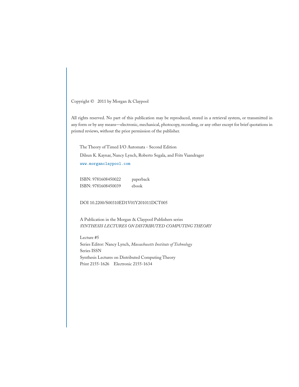Copyright © 2011 by Morgan & Claypool

All rights reserved. No part of this publication may be reproduced, stored in a retrieval system, or transmitted in any form or by any means—electronic, mechanical, photocopy, recording, or any other except for brief quotations in printed reviews, without the prior permission of the publisher.

The Theory of Timed I/O Automata - Second Edition Dilsun K. Kaynar, Nancy Lynch, Roberto Segala, and Frits Vaandrager <www.morganclaypool.com>

ISBN: 9781608450022 paperback ISBN: 9781608450039 ebook

#### DOI 10.2200/S00310ED1V01Y201011DCT005

A Publication in the Morgan & Claypool Publishers series *SYNTHESIS LECTURES ON DISTRIBUTED COMPUTING THEORY*

Lecture #5 Series Editor: Nancy Lynch, *Massachusetts Institute of Technology* Series ISSN Synthesis Lectures on Distributed Computing Theory Print 2155-1626 Electronic 2155-1634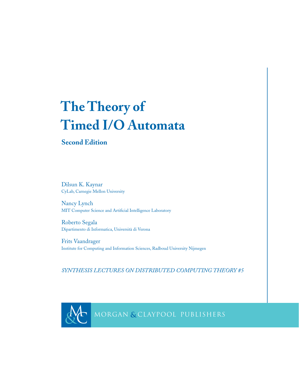# **The Theory of Timed I/O Automata**

## **Second Edition**

Dilsun K. Kaynar CyLab, Carnegie Mellon University

Nancy Lynch MIT Computer Science and Artificial Intelligence Laboratory

Roberto Segala Dipartimento di Informatica, Università di Verona

Frits Vaandrager Institute for Computing and Information Sciences, Radboud University Nijmegen

*SYNTHESIS LECTURES ON DISTRIBUTED COMPUTING THEORY #5*

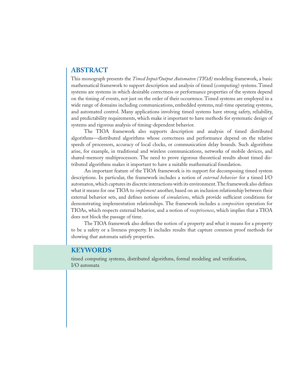## **ABSTRACT**

This monograph presents the *Timed Input/Output Automaton (TIOA)* modeling framework, a basic mathematical framework to support description and analysis of timed (computing) systems. Timed systems are systems in which desirable correctness or performance properties of the system depend on the timing of events, not just on the order of their occurrence. Timed systems are employed in a wide range of domains including communications, embedded systems, real-time operating systems, and automated control. Many applications involving timed systems have strong safety, reliability, and predictability requirements, which make it important to have methods for systematic design of systems and rigorous analysis of timing-dependent behavior.

The TIOA framework also supports description and analysis of timed distributed algorithms—distributed algorithms whose correctness and performance depend on the relative speeds of processors, accuracy of local clocks, or communication delay bounds. Such algorithms arise, for example, in traditional and wireless communications, networks of mobile devices, and shared-memory multiprocessors. The need to prove rigorous theoretical results about timed distributed algorithms makes it important to have a suitable mathematical foundation.

An important feature of the TIOA framework is its support for decomposing timed system descriptions. In particular, the framework includes a notion of *external behavior* for a timed I/O automaton,which captures its discrete interactions with its environment.The framework also defines what it means for one TIOA to *implement* another, based on an inclusion relationship between their external behavior sets, and defines notions of *simulations*, which provide sufficient conditions for demonstrating implementation relationships. The framework includes a *composition* operation for TIOAs, which respects external behavior, and a notion of *receptiveness*, which implies that a TIOA does not block the passage of time.

The TIOA framework also defines the notion of a property and what it means for a property to be a safety or a liveness property. It includes results that capture common proof methods for showing that automata satisfy properties.

## **KEYWORDS**

timed computing systems, distributed algorithms, formal modeling and verification, I/O automata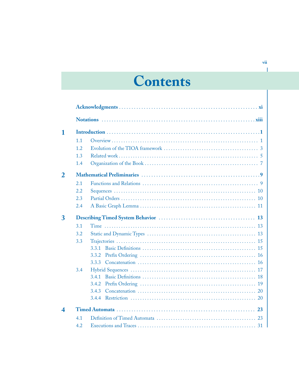# **Contents**

| 1                      |     |       |  |  |  |  |
|------------------------|-----|-------|--|--|--|--|
|                        | 1.1 |       |  |  |  |  |
|                        | 1.2 |       |  |  |  |  |
|                        | 1.3 |       |  |  |  |  |
|                        | 1.4 |       |  |  |  |  |
| 2                      |     |       |  |  |  |  |
|                        | 2.1 |       |  |  |  |  |
|                        | 2.2 |       |  |  |  |  |
|                        | 2.3 |       |  |  |  |  |
|                        | 2.4 |       |  |  |  |  |
| 3                      |     |       |  |  |  |  |
|                        | 3.1 |       |  |  |  |  |
|                        | 3.2 |       |  |  |  |  |
|                        | 3.3 |       |  |  |  |  |
|                        |     |       |  |  |  |  |
|                        |     | 3.3.2 |  |  |  |  |
|                        |     |       |  |  |  |  |
|                        | 3.4 |       |  |  |  |  |
|                        |     |       |  |  |  |  |
|                        |     | 3.4.2 |  |  |  |  |
|                        |     | 3.4.3 |  |  |  |  |
|                        |     | 3.4.4 |  |  |  |  |
| $\boldsymbol{\Lambda}$ |     |       |  |  |  |  |
|                        | 41  |       |  |  |  |  |
|                        | 4.2 |       |  |  |  |  |

 $vii$  $\overline{1}$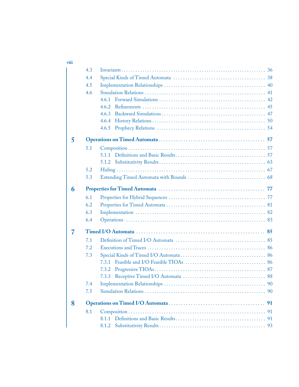| viii |     |       |  |
|------|-----|-------|--|
|      | 4.3 |       |  |
|      | 4.4 |       |  |
|      | 4.5 |       |  |
|      | 4.6 |       |  |
|      |     |       |  |
|      |     | 4.6.2 |  |
|      |     | 4.6.3 |  |
|      |     | 4.6.4 |  |
|      |     | 4.6.5 |  |
| 5    |     |       |  |
|      | 5.1 |       |  |
|      |     |       |  |
|      |     |       |  |
|      | 5.2 |       |  |
|      | 5.3 |       |  |
| 6    |     |       |  |
|      | 6.1 |       |  |
|      | 6.2 |       |  |
|      | 6.3 |       |  |
|      | 6.4 |       |  |
| 7    |     |       |  |
|      | 7.1 |       |  |
|      | 7.2 |       |  |
|      | 7.3 |       |  |
|      |     |       |  |
|      |     |       |  |
|      |     |       |  |
|      | 7.4 |       |  |
|      | 7.5 |       |  |
| 8    |     |       |  |
|      | 8.1 |       |  |
|      |     |       |  |
|      |     | 8.1.2 |  |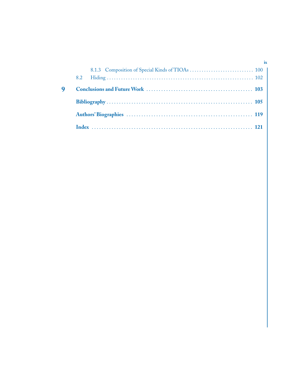|     |  | ŤУ |  |
|-----|--|----|--|
|     |  |    |  |
| 8.2 |  |    |  |
|     |  |    |  |
|     |  |    |  |
|     |  |    |  |
|     |  |    |  |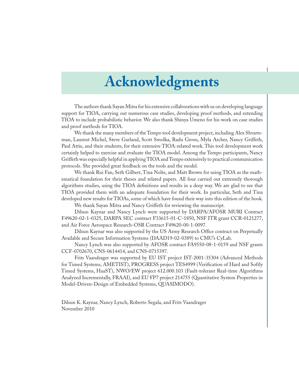## **Acknowledgments**

The authors thank SayanMitra for his extensive collaborations with us on developing language support for TIOA, carrying out numerous case studies, developing proof methods, and extending TIOA to include probabilistic behavior. We also thank Shinya Umeno for his work on case studies and proof methods for TIOA.

We thank the many members of the Tempo tool development project, including Alex Shvartsman, Laurent Michel, Steve Garland, Scott Smolka, Radu Grosu, Myla Archer, Nancy Griffeth, Paul Attie, and their students, for their extensive TIOA-related work. This tool development work certainly helped to exercise and evaluate the TIOA model. Among the Tempo participants, Nancy Griffeth was especially helpful in applying TIOA and Tempo extensively to practical communication protocols. She provided great feedback on the tools and the model.

We thank Rui Fan, Seth Gilbert, Tina Nolte, and Matt Brown for using TIOA as the mathematical foundation for their theses and related papers. All four carried out extremely thorough algorithms studies, using the TIOA definitions and results in a deep way. We are glad to see that TIOA provided them with an adequate foundation for their work. In particular, Seth and Tina developed new results for TIOAs, some of which have found their way into this edition of the book.

We thank Sayan Mitra and Nancy Griffeth for reviewing the manuscript.

Dilsun Kaynar and Nancy Lynch were supported by DARPA/AFOSR MURI Contract F49620-02-1-0325, DARPA SEC contract F33615-01-C-1850, NSF ITR grant CCR-0121277, and Air Force Aerospace Research-OSR Contract F49620-00-1-0097.

Dilsun Kaynar was also supported by the US Army Research Office contract on Perpetually Available and Secure Information Systems (DAAD19-02-0389) to CMU's CyLab.

Nancy Lynch was also supported by AFOSR contract FA9550-08-1-0159 and NSF grants CCF-0702670, CNS-0614414, and CNS-0715397.

Frits Vaandrager was supported by EU IST project IST-2001-35304 (Advanced Methods for Timed Systems, AMETIST), PROGRESS project TES4999 (Verification of Hard and Softly Timed Systems, HaaST), NWO/EW project 612.000.103 (Fault-tolerant Real-time Algorithms Analyzed Incrementally, FRAAI), and EU FP7 project 214755 (Quantitative System Properties in Model-Driven-Design of Embedded Systems, QUASIMODO).

Dilsun K. Kaynar, Nancy Lynch, Roberto Segala, and Frits Vaandrager November 2010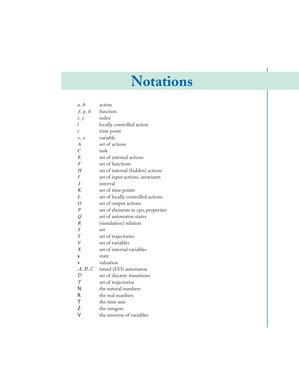# **Notations**

Ï

| a, b             | action                             |
|------------------|------------------------------------|
| f, g, h          | function                           |
| i, j             | index                              |
| l                | locally controlled action          |
| $\bar{t}$        | time point                         |
| v, x             | variable                           |
| A                | set of actions                     |
| $\overline{C}$   | task                               |
| E                | set of external actions            |
| $\cal F$         | set of functions                   |
| Η                | set of internal (hidden) actions   |
| I                | set of input actions, invariants   |
| $\boldsymbol{J}$ | interval                           |
| K                | set of time points                 |
| L                | set of locally controlled actions  |
| $\overline{O}$   | set of output actions              |
| $\boldsymbol{P}$ | set of elements in cpo, properties |
| $\mathcal{Q}$    | set of automaton states            |
| $\overline{R}$   | (simulation) relation              |
| $\overline{S}$   | set                                |
| $\overline{T}$   | set of trajectories                |
| $\bar{V}$        | set of variables                   |
| X                | set of internal variables          |
| $\mathbf{x}$     | state                              |
| $\mathbf{v}$     | valuation                          |
| A, B, C          | timed (I/O) automaton              |
| $\mathcal{D}$    | set of discrete transitions        |
| $\mathcal T$     | set of trajectories                |
| N                | the natural numbers                |
| R                | the real numbers                   |
| T                | the time axis                      |
| Z                | the integers                       |
| V                | the universe of variables          |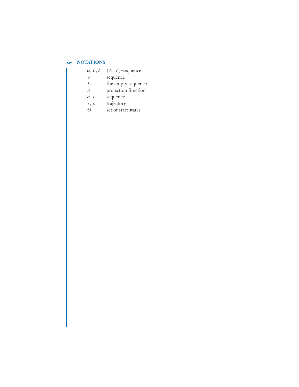## **xiv NOTATIONS**

- *α, β, δ* (*A, V*)-sequence
	- *γ* sequence
- *λ* the empty sequence
- *π* projection function
- *σ, ρ* sequence
- *τ* , *υ* trajectory
- $\Theta$  set of start states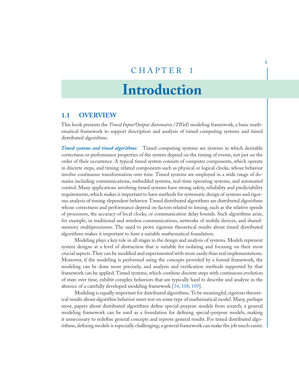## CHAPTER 1

## **Introduction**

## <span id="page-14-0"></span>**1.1 OVERVIEW**

This book presents the *Timed Input/Output Automaton (TIOA)* modeling framework, a basic mathematical framework to support description and analysis of timed computing systems and timed distributed algorithms.

*Timed systems and timed algorithms:* Timed computing systems are systems in which desirable correctness or performance properties of the system depend on the timing of events, not just on the order of their occurrence. A typical timed system consists of computer components, which operate in discrete steps, and timing-related components such as physical or logical clocks, whose behavior involve continuous transformation over time. Timed systems are employed in a wide range of domains including communications, embedded systems, real-time operating systems, and automated control. Many applications involving timed systems have strong safety, reliability and predictability requirements, which makes it important to have methods for systematic design of systems and rigorous analysis of timing-dependent behavior. Timed distributed algorithms are distributed algorithms whose correctness and performance depend on factors related to timing, such as the relative speeds of processors, the accuracy of local clocks, or communication delay bounds. Such algorithms arise, for example, in traditional and wireless communications, networks of mobile devices, and sharedmemory multiprocessors. The need to prove rigorous theoretical results about timed distributed algorithms makes it important to have a suitable mathematical foundation.

Modeling plays a key role in all stages in the design and analysis of systems. Models represent system designs at a level of abstraction that is suitable for isolating and focusing on their most crucial aspects.They can be modified and experimented with more easily than real implementations. Moreover, if the modeling is performed using the concepts provided by a formal framework, the modeling can be done more precisely, and analysis and verification methods supported by that framework can be applied. Timed systems, which combine discrete steps with continuous evolution of state over time, exhibit complex behaviors that are typically hard to describe and analyze in the absence of a carefully developed modeling framework [\[34](#page-121-0), [108,](#page-128-0) [109\]](#page-128-0).

Modeling is equally important for distributed algorithms.To be meaningful, rigorous theoretical results about algorithm behavior must rest on some type of mathematical model. Many, perhaps most, papers about distributed algorithms define special-purpose models from scratch; a general modeling framework can be used as a foundation for defining special-purpose models, making it unnecessary to redefine general concepts and reprove general results. For timed distributed algorithms, defining models is especially challenging; a general framework can make the job much easier.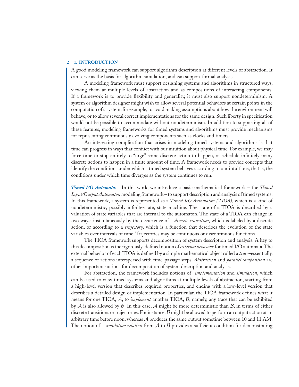## **2 1. INTRODUCTION**

A good modeling framework can support algorithm description at different levels of abstraction. It can serve as the basis for algorithm simulation, and can support formal analysis.

A modeling framework must support designing systems and algorithms in structured ways, viewing them at multiple levels of abstraction and as compositions of interacting components. If a framework is to provide flexibility and generality, it must also support nondeterminism. A system or algorithm designer might wish to allow several potential behaviors at certain points in the computation of a system, for example, to avoid making assumptions about how the environment will behave, or to allow several correct implementations for the same design. Such liberty in specification would not be possible to accommodate without nondeterminism. In addition to supporting all of these features, modeling frameworks for timed systems and algorithms must provide mechanisms for representing continuously evolving components such as clocks and timers.

An interesting complication that arises in modeling timed systems and algorithms is that time can progress in ways that conflict with our intuition about physical time. For example, we may force time to stop entirely to "urge" some discrete action to happen, or schedule infinitely many discrete actions to happen in a finite amount of time. A framework needs to provide concepts that identify the conditions under which a timed system behaves according to our intuitions, that is, the conditions under which time diverges as the system continues to run.

*Timed I/O Automata:* In this work, we introduce a basic mathematical framework – the *Timed Input/Output Automaton* modeling framework – to support description and analysis of timed systems. In this framework, a system is represented as a *Timed I/O Automaton (TIOA)*, which is a kind of nondeterministic, possibly infinite-state, state machine. The state of a TIOA is described by a valuation of state variables that are internal to the automaton. The state of a TIOA can change in two ways: instantaneously by the occurrence of a *discrete transition*, which is labeled by a discrete action, or according to a *trajectory*, which is a function that describes the evolution of the state variables over intervals of time. Trajectories may be continuous or discontinuous functions.

The TIOA framework supports decomposition of system description and analysis. A key to this decomposition is the rigorously-defined notion of*external behavior* for timed I/O automata.The external behavior of each TIOA is defined by a simple mathematical object called a *trace*–essentially, a sequence of actions interspersed with time-passage steps. *Abstraction* and *parallel composition* are other important notions for decomposition of system description and analysis.

For abstraction, the framework includes notions of *implementation* and *simulation*, which can be used to view timed systems and algorithms at multiple levels of abstraction, starting from a high-level version that describes required properties, and ending with a low-level version that describes a detailed design or implementation. In particular, the TIOA framework defines what it means for one TIOA, A, to *implement* another TIOA, B, namely, any trace that can be exhibited by  $A$  is also allowed by  $B$ . In this case,  $A$  might be more deterministic than  $B$ , in terms of either discrete transitions or trajectories. For instance,  $\beta$  might be allowed to perform an output action at an arbitrary time before noon, whereas A produces the same output sometime between 10 and 11 AM. The notion of a *simulation relation* from A to B provides a sufficient condition for demonstrating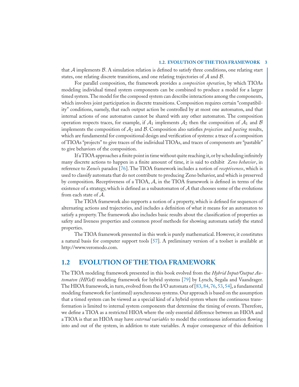#### **1.2. EVOLUTION OF THE TIOA FRAMEWORK 3**

<span id="page-16-0"></span>that  $A$  implements  $B$ . A simulation relation is defined to satisfy three conditions, one relating start states, one relating discrete transitions, and one relating trajectories of  $A$  and  $B$ .

For parallel composition, the framework provides a *composition operation*, by which TIOAs modeling individual timed system components can be combined to produce a model for a larger timed system.The model for the composed system can describe interactions among the components, which involves joint participation in discrete transitions. Composition requires certain "compatibility" conditions, namely, that each output action be controlled by at most one automaton, and that internal actions of one automaton cannot be shared with any other automaton. The composition operation respects traces, for example, if  $A_1$  implements  $A_2$  then the composition of  $A_1$  and  $B$ implements the composition of A<sup>2</sup> and B. Composition also satisfies *projection* and *pasting* results, which are fundamental for compositional design and verification of systems: a trace of a composition of TIOAs "projects" to give traces of the individual TIOAs, and traces of components are "pastable" to give behaviors of the composition.

If aTIOA approaches a finite point in time without quite reaching it,or by scheduling infinitely many discrete actions to happen in a finite amount of time, it is said to exhibit *Zeno behavior*, in reference to Zeno's paradox [\[76\]](#page-125-0). The TIOA framework includes a notion of *receptiveness*, which is used to classify automata that do not contribute to producing Zeno behavior, and which is preserved by composition. Receptiveness of a TIOA, A, in the TIOA framework is defined in terms of the existence of a strategy, which is defined as a subautomaton of  $A$  that chooses some of the evolutions from each state of A.

The TIOA framework also supports a notion of a property, which is defined for sequences of alternating actions and trajectories, and includes a definition of what it means for an automaton to satisfy a property. The framework also includes basic results about the classification of properties as safety and liveness properties and common proof methods for showing automata satisfy the stated properties.

The TIOA framework presented in this work is purely mathematical. However, it constitutes a natural basis for computer support tools [\[57\]](#page-123-0). A preliminary version of a toolset is available at http://www.veromodo.com.

## **1.2 EVOLUTION OF THE TIOA FRAMEWORK**

The TIOA modeling framework presented in this book evolved from the *Hybrid Input/Output Automaton (HIOA)* modeling framework for hybrid systems [\[79\]](#page-125-0) by Lynch, Segala and Vaandrager. The HIOA framework, in turn, evolved from the I/O automata of [\[83](#page-126-0), [84,](#page-126-0) [76,](#page-125-0) [53](#page-123-0), [54\]](#page-123-0), a fundamental modeling framework for (untimed) asynchronous systems. Our approach is based on the assumption that a timed system can be viewed as a special kind of a hybrid system where the continuous transformation is limited to internal system components that determine the timing of events. Therefore, we define a TIOA as a restricted HIOA where the only essential difference between an HIOA and a TIOA is that an HIOA may have *external variables* to model the continuous information flowing into and out of the system, in addition to state variables. A major consequence of this definition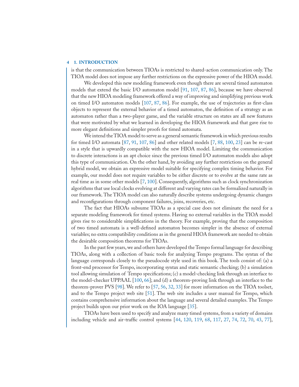### **4 1. INTRODUCTION**

is that the communication between TIOAs is restricted to shared-action communication only. The TIOA model does not impose any further restrictions on the expressive power of the HIOA model.

We developed this new modeling framework even though there are several timed automaton models that extend the basic I/O automaton model [\[91](#page-126-0), [107,](#page-128-0) [87,](#page-126-0) [86](#page-126-0)], because we have observed that the new HIOA modeling framework offered a way of improving and simplifying previous work on timed I/O automaton models [\[107,](#page-128-0) [87](#page-126-0), [86\]](#page-126-0). For example, the use of trajectories as first-class objects to represent the external behavior of a timed automaton, the definition of a strategy as an automaton rather than a two-player game, and the variable structure on states are all new features that were motivated by what we learned in developing the HIOA framework and that gave rise to more elegant definitions and simpler proofs for timed automata.

We intend the TIOA model to serve as a general semantic framework in which previous results for timed I/O automata [\[87,](#page-126-0) [91,](#page-126-0) [107,](#page-128-0) [86](#page-126-0)] and other related models [\[7](#page-118-0), [88](#page-126-0), [100](#page-127-0), [23](#page-120-0)] can be re-cast in a style that is upwardly compatible with the new HIOA model. Limiting the communication to discrete interactions is an apt choice since the previous timed I/O automaton models also adopt this type of communication. On the other hand, by avoiding any further restrictions on the general hybrid model, we obtain an expressive model suitable for specifying complex timing behavior. For example, our model does not require variables to be either discrete or to evolve at the same rate as real time as in some other models [\[7,](#page-118-0) [100\]](#page-127-0). Consequently, algorithms such as clock synchronization algorithms that use local clocks evolving at different and varying rates can be formalized naturally in our framework. The TIOA model can also naturally describe systems undergoing dynamic changes and reconfigurations through component failures, joins, recoveries, etc.

The fact that HIOAs subsume TIOAs as a special case does not eliminate the need for a separate modeling framework for timed systems. Having no external variables in the TIOA model gives rise to considerable simplifications in the theory. For example, proving that the composition of two timed automata is a well-defined automaton becomes simpler in the absence of external variables; no extra compatibility conditions as in the general HIOA framework are needed to obtain the desirable composition theorems for TIOAs.

In the past few years, we and others have developed the Tempo formal language for describing TIOAs, along with a collection of basic tools for analyzing Tempo programs. The syntax of the language corresponds closely to the pseudocode style used in this book. The tools consist of: (a) a front-end processor for Tempo, incorporating syntax and static semantic checking; (b) a simulation tool allowing simulation of Tempo specifications; (c) a model-checking link through an interface to the model-checker UPPAAL [\[100,](#page-127-0) [66\]](#page-124-0); and (d) a theorem-proving link through an interface to the theorem-prover PVS [\[98\]](#page-127-0). We refer to [\[57,](#page-123-0) [56](#page-123-0), [32,](#page-121-0) [33](#page-121-0)] for more information on the TIOA toolset, and to the Tempo project web site [\[51](#page-122-0)]. The web site includes a user manual for Tempo, which contains comprehensive information about the language and several detailed examples. The Tempo project builds upon our prior work on the IOA language [\[35\]](#page-121-0).

TIOAs have been used to specify and analyze many timed systems, from a variety of domains including vehicle and air-traffic control systems [\[44,](#page-122-0) [120,](#page-129-0) [119,](#page-129-0) [68](#page-124-0), [117](#page-129-0), [27,](#page-120-0) [74,](#page-125-0) [72](#page-124-0), [70,](#page-124-0) [43,](#page-122-0) [77](#page-125-0)],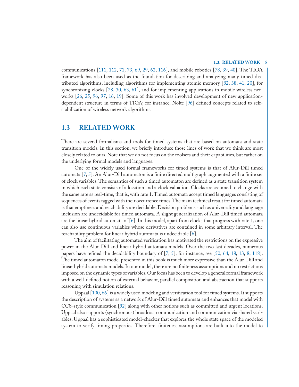#### **1.3. RELATED WORK 5**

<span id="page-18-0"></span>communications [\[111,](#page-128-0) [112,](#page-128-0) [71,](#page-124-0) [73,](#page-125-0) [69,](#page-124-0) [29,](#page-120-0) [62,](#page-123-0) [116\]](#page-129-0), and mobile robotics [\[78](#page-125-0), [39](#page-121-0), [40](#page-121-0)]. The TIOA framework has also been used as the foundation for describing and analyzing many timed distributed algorithms, including algorithms for implementing atomic memory [\[82](#page-125-0), [38](#page-121-0), [41,](#page-122-0) [20\]](#page-119-0), for synchronizing clocks [\[28,](#page-120-0) [30,](#page-121-0) [63](#page-124-0), [61](#page-123-0)], and for implementing applications in mobile wireless networks [\[26](#page-120-0), [25](#page-120-0), [96,](#page-127-0) [97,](#page-127-0) [16,](#page-119-0) [19](#page-119-0)]. Some of this work has involved development of new applicationdependent structure in terms of TIOA; for instance, Nolte [\[96](#page-127-0)] defined concepts related to selfstabilization of wireless network algorithms.

## **1.3 RELATED WORK**

There are several formalisms and tools for timed systems that are based on automata and state transition models. In this section, we briefly introduce those lines of work that we think are most closely related to ours. Note that we do not focus on the toolsets and their capabilities, but rather on the underlying formal models and languages.

One of the widely used formal frameworks for timed systems is that of Alur-Dill timed automata [\[7](#page-118-0), [5\]](#page-118-0). An Alur-Dill automaton is a finite directed multigraph augmented with a finite set of clock variables. The semantics of such a timed automaton are defined as a state transition system in which each state consists of a location and a clock valuation. Clocks are assumed to change with the same rate as real-time, that is, with rate 1. Timed automata accept timed languages consisting of sequences of events tagged with their occurrence times.The main technical result for timed automata is that emptiness and reachability are decidable. Decision problems such as universality and language inclusion are undecidable for timed automata. A slight generalization of Alur-Dill timed automata are the linear hybrid automata of  $[6]$  $[6]$ . In this model, apart from clocks that progress with rate 1, one can also use continuous variables whose derivatives are contained in some arbitrary interval. The reachability problem for linear hybrid automata is undecidable [\[6\]](#page-118-0).

The aim of facilitating automated verification has motivated the restrictions on the expressive power in the Alur-Dill and linear hybrid automata models. Over the two last decades, numerous papers have refined the decidability boundary of [\[7,](#page-118-0) [5\]](#page-118-0); for instance, see [\[50](#page-122-0), [64](#page-124-0), [18,](#page-119-0) [13,](#page-119-0) [8,](#page-118-0) [118](#page-129-0)]. The timed automaton model presented in this book is much more expressive than the Alur-Dill and linear hybrid automata models. In our model, there are no finiteness assumptions and no restrictions imposed on the dynamic types of variables. Our focus has been to develop a general formal framework with a well-defined notion of external behavior, parallel composition and abstraction that supports reasoning with simulation relations.

Uppaal [\[100](#page-127-0), [66\]](#page-124-0) is a widely used modeling and verification tool for timed systems. It supports the description of systems as a network of Alur-Dill timed automata and enhances that model with CCS-style communication [\[92\]](#page-126-0) along with other notions such as committed and urgent locations. Uppaal also supports (synchronous) broadcast communication and communication via shared variables. Uppaal has a sophisticated model-checker that explores the whole state space of the modeled system to verify timing properties. Therefore, finiteness assumptions are built into the model to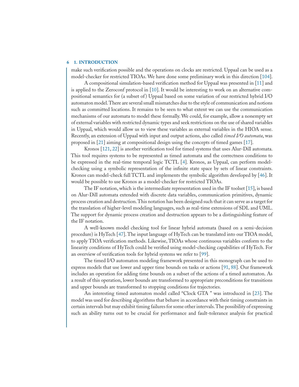### **6 1. INTRODUCTION**

make such verification possible and the operations on clocks are restricted. Uppaal can be used as a model-checker for restricted TIOAs. We have done some preliminary work in this direction [\[104](#page-128-0)].

A compositional simulation-based verification method for Uppaal was presented in [\[11](#page-118-0)] and is applied to the Zeroconf protocol in [\[10\]](#page-118-0). It would be interesting to work on an alternative compositional semantics for (a subset of ) Uppaal based on some variation of our restricted hybrid I/O automaton model.There are several small mismatches due to the style of communication and notions such as committed locations. It remains to be seen to what extent we can use the communication mechanisms of our automata to model these formally. We could, for example, allow a nonempty set of external variables with restricted dynamic types and seek restrictions on the use of shared variables in Uppaal, which would allow us to view these variables as external variables in the HIOA sense. Recently, an extension of Uppaal with input and output actions, also called *timed I/O automata*, was proposed in [\[21\]](#page-120-0) aiming at compositional design using the concepts of timed games [\[17](#page-119-0)].

Kronos [\[121](#page-129-0), [22](#page-120-0)] is another verification tool for timed systems that uses Alur-Dill automata. This tool requires systems to be represented as timed automata and the correctness conditions to be expressed in the real-time temporal logic TCTL [\[4\]](#page-118-0). Kronos, as Uppaal, can perform modelchecking using a symbolic representation of the infinite state space by sets of linear constraints. Kronos can model-check full TCTL and implements the symbolic algorithm developed by [\[46](#page-122-0)]. It would be possible to use Kronos as a model-checker for restricted TIOAs.

The IF notation, which is the intermediate representation used in the IF toolset [\[15\]](#page-119-0), is based on Alur-Dill automata extended with discrete data variables, communication primitives, dynamic process creation and destruction.This notation has been designed such that it can serve as a target for the translation of higher-level modeling languages, such as real-time extensions of SDL and UML. The support for dynamic process creation and destruction appears to be a distinguishing feature of the IF notation.

A well-known model checking tool for linear hybrid automata (based on a semi-decision procedure) is HyTech [\[47\]](#page-122-0). The input language of HyTech can be translated into our TIOA model, to apply TIOA verification methods. Likewise, TIOAs whose continuous variables conform to the linearity conditions of HyTech could be verified using model-checking capabilities of HyTech. For an overview of verification tools for hybrid systems we refer to [\[99\]](#page-127-0).

The timed I/O automaton modeling framework presented in this monograph can be used to express models that use lower and upper time bounds on tasks or actions [\[91](#page-126-0), [88\]](#page-126-0). Our framework includes an operation for adding time bounds on a subset of the actions of a timed automaton. As a result of this operation, lower bounds are transformed to appropriate preconditions for transitions and upper bounds are transformed to stopping conditions for trajectories.

An interesting timed automaton model called "Clock GTA " was introduced in [\[23\]](#page-120-0). The model was used for describing algorithms that behave in accordance with their timing constraints in certain intervals but may exhibit timing failures for some other intervals.The possibility of expressing such an ability turns out to be crucial for performance and fault-tolerance analysis for practical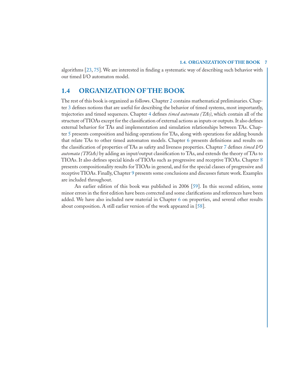## **1.4. ORGANIZATION OF THE BOOK 7**

<span id="page-20-0"></span>algorithms [\[23,](#page-120-0) [75\]](#page-125-0). We are interested in finding a systematic way of describing such behavior with our timed I/O automaton model.

## **1.4 ORGANIZATION OF THE BOOK**

The rest of this book is organized as follows. Chapter [2](#page-22-0) contains mathematical preliminaries. Chapter [3](#page-26-0) defines notions that are useful for describing the behavior of timed systems, most importantly, trajectories and timed sequences. Chapter [4](#page-36-0) defines *timed automata (TAs)*, which contain all of the structure of TIOAs except for the classification of external actions as inputs or outputs. It also defines external behavior for TAs and implementation and simulation relationships between TAs. Chapter [5](#page-70-0) presents composition and hiding operations for TAs, along with operations for adding bounds that relate TAs to other timed automaton models. Chapter [6](#page-90-0) presents definitions and results on the classification of properties of TAs as safety and liveness properties. Chapter [7](#page-98-0) defines *timed I/O automata (TIOAs)* by adding an input/output classification to TAs, and extends the theory of TAs to TIOAs. It also defines special kinds of TIOAs such as progressive and receptive TIOAs. Chapter [8](#page-104-0) presents compositionality results for TIOAs in general, and for the special classes of progressive and receptive TIOAs. Finally, Chapter [9](#page-116-0) presents some conclusions and discusses future work. Examples are included throughout.

An earlier edition of this book was published in 2006 [\[59](#page-123-0)]. In this second edition, some minor errors in the first edition have been corrected and some clarifications and references have been added. We have also included new material in Chapter [6](#page-90-0) on properties, and several other results about composition. A still earlier version of the work appeared in [\[58\]](#page-123-0).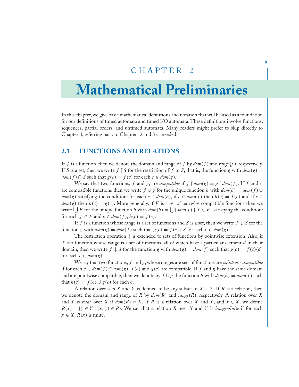## CHAPTER 2

## <span id="page-22-0"></span>**Mathematical Preliminaries**

In this chapter, we give basic mathematical definitions and notation that will be used as a foundation for our definitions of timed automata and timed I/O automata. These definitions involve functions, sequences, partial orders, and untimed automata. Many readers might prefer to skip directly to Chapter 4, referring back to Chapters 2 and 3 as needed.

## **2.1 FUNCTIONS AND RELATIONS**

If *f* is a function, then we denote the domain and range of *f* by  $dom(f)$  and  $range(f)$ , respectively. If *S* is a set, then we write  $f \mid S$  for the restriction of  $f$  to  $S$ , that is, the function  $g$  with  $dom(g)$  = *dom*(*f*) ∩ *S* such that  $g(c) = f(c)$  for each  $c \in dom(g)$ .

We say that two functions, *f* and *g*, are *compatible* if  $f \mid dom(g) = g \mid dom(f)$ . If *f* and *g* are compatible functions then we write  $f \cup g$  for the unique function *h* with  $dom(h) = dom(f) \cup$ *dom*(*g*) satisfying the condition: for each  $c \in dom(h)$ , if  $c \in dom(f)$  then  $h(c) = f(c)$  and if  $c \in dom(f)$ *dom*(*g*) then  $h(c) = g(c)$ . More generally, if *F* is a set of pairwise compatible functions then we write  $\bigcup F$  for the unique function *h* with  $dom(h) = \bigcup \{dom(f) | f \in F\}$  satisfying the condition: for each  $f \in F$  and  $c \in \text{dom}(f)$ ,  $h(c) = f(c)$ .

If *f* is a function whose range is a set of functions and *S* is a set, then we write *f* ↓ *S* for the function *g* with  $dom(g) = dom(f)$  such that  $g(c) = f(c) \mid S$  for each  $c \in dom(g)$ .

The restriction operation  $\downarrow$  is extended to sets of functions by pointwise extension. Also, if *f* is a function whose range is a set of functions, all of which have a particular element *d* in their domain, then we write  $f \downarrow d$  for the function *g* with  $dom(g) = dom(f)$  such that  $g(c) = f(c)(d)$ for each  $c \in \text{dom}(g)$ .

We say that two functions, *f* and *g*, whose ranges are sets of functions are *pointwise compatible* if for each *c* ∈  $dom(f) ∩ dom(g)$ ,  $f(c)$  and  $g(c)$  are compatible. If  $f$  and  $g$  have the same domain and are pointwise compatible, then we denote by  $f \cup g$  the function *h* with  $dom(h) = dom(f)$  such that  $h(c) = f(c) \cup g(c)$  for each *c*.

A relation over sets X and Y is defined to be any subset of  $X \times Y$ . If R is a relation, then we denote the domain and range of *R* by *dom(R)* and *range(R)*, respectively. A relation over *X* and *Y* is *total* over *X* if  $dom(R) = X$ . If *R* is a relation over *X* and *Y*, and  $x \in X$ , we define  $R(x) = \{y \in Y \mid (x, y) \in R\}$ . We say that a relation *R* over *X* and *Y* is *image-finite* if for each  $x \in X$ ,  $R(x)$  is finite.

**9**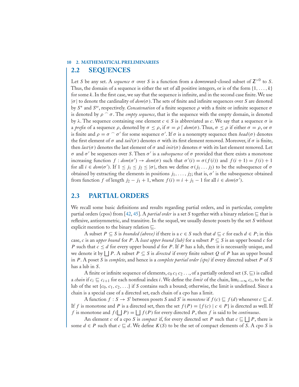## <span id="page-23-0"></span>**10 2. MATHEMATICAL PRELIMINARIES 2.2 SEQUENCES**

Let *S* be any set. A *sequence*  $\sigma$  over *S* is a function from a downward-closed subset of  $Z^{>0}$  to *S*. Thus, the domain of a sequence is either the set of all positive integers, or is of the form  $\{1, \ldots, k\}$ for some *k*. In the first case, we say that the sequence is infinite, and in the second case finite.We use |*σ*| to denote the cardinality of *dom(σ )*. The sets of finite and infinite sequences over *S* are denoted by *S*<sup>∗</sup> and *Sω*, respectively. *Concatenation* of a finite sequence *ρ* with a finite or infinite sequence *σ* is denoted by  $\rho \cap \sigma$ . The *empty sequence*, that is the sequence with the empty domain, is denoted by *λ*. The sequence containing one element *c* ∈ *S* is abbreviated as *c*. We say that a sequence *σ* is a *prefix* of a sequence  $\rho$ , denoted by  $\sigma \le \rho$ , if  $\sigma = \rho \lceil \text{ dom}(\sigma) \rceil$ . Thus,  $\sigma \le \rho$  if either  $\sigma = \rho$ , or  $\sigma$ is finite and  $\rho = \sigma \cap \sigma'$  for some sequence  $\sigma'$ . If  $\sigma$  is a nonempty sequence then *head* ( $\sigma$ ) denotes the first element of  $\sigma$  and  $tail(\sigma)$  denotes  $\sigma$  with its first element removed. Moreover, if  $\sigma$  is finite, then *last*( $σ$ ) denotes the last element of  $σ$  and  $init(σ)$  denotes  $σ$  with its last element removed. Let *σ* and *σ* be sequences over *S*. Then *σ* is a *subsequence* of *σ* provided that there exists a monotone increasing function  $f : dom(\sigma') \to dom(\sigma)$  such that  $\sigma'(i) = \sigma(f(i))$  and  $f(i + 1) = f(i) + 1$ for all  $i \in dom(\sigma')$ . If  $1 \leq j_1 \leq j_2 \leq |\sigma|$ , then we define  $\sigma(j_1 \ldots j_2)$  to be the subsequence of  $\sigma$ obtained by extracting the elements in positions  $j_1, \ldots, j_2$ ; that is,  $\sigma'$  is the subsequence obtained from function *f* of length  $j_2 - j_1 + 1$ , where  $f(i) = i + j_1 - 1$  for all  $i \in dom(\sigma')$ .

## **2.3 PARTIAL ORDERS**

We recall some basic definitions and results regarding partial orders, and in particular, complete partial orders (cpos) from [\[42](#page-122-0), [45](#page-122-0)]. A *partial order* is a set *S* together with a binary relation  $\subseteq$  that is reflexive, antisymmetric, and transitive. In the sequel, we usually denote posets by the set *S* without explicit mention to the binary relation  $\sqsubseteq$ .

A subset *P* ⊆ *S* is *bounded (above)* if there is a *c* ∈ *S* such that *d* ⊆ *c* for each *d* ∈ *P*; in this case, *c* is an *upper bound* for *P*. A *least upper bound* (*lub*) for a subset  $P \subseteq S$  is an upper bound *c* for *P* such that  $c \leq d$  for every upper bound *d* for *P*. If *P* has a lub, then it is necessarily unique, and we denote it by  $\mid$  *P*. A subset  $P \subseteq S$  is *directed* if every finite subset *Q* of *P* has an upper bound in *P*. A poset *S* is *complete*, and hence is a *complete partial order (cpo)* if every directed subset *P* of *S* has a lub in *S*.

A finite or infinite sequence of elements,  $c_0 c_1 c_2 \ldots$ , of a partially ordered set  $(S, \subseteq)$  is called a *chain* if  $c_i \subseteq c_{i+1}$  for each nonfinal index *i*. We define the *limit* of the chain,  $\lim_{i\to\infty} c_i$ , to be the lub of the set {*c*0*, c*1*, c*2*,...*} if *S* contains such a bound; otherwise, the limit is undefined. Since a chain is a special case of a directed set, each chain of a cpo has a limit.

A function  $f : S \to S'$  between posets *S* and *S'* is *monotone* if  $f(c) \sqsubseteq f(d)$  whenever  $c \sqsubseteq d$ . If *f* is monotone and *P* is a directed set, then the set  $f(P) = \{f(c) | c \in P\}$  is directed as well. If *f* is monotone and  $f(\bigsqcup P) = \bigsqcup f(P)$  for every directed *P*, then *f* is said to be *continuous*.

An element *c* of a cpo *S* is *compact* if, for every directed set *P* such that  $c \subseteq \bigsqcup P$ , there is some  $d \in P$  such that  $c \sqsubseteq d$ . We define  $K(S)$  to be the set of compact elements of *S*. A cpo *S* is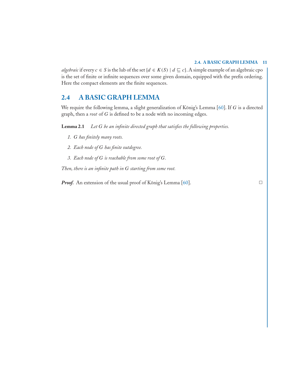### **2.4. A BASIC GRAPH LEMMA 11**

<span id="page-24-0"></span>*algebraic* if every  $c \in S$  is the lub of the set  $\{d \in K(S) \mid d \sqsubseteq c\}$ . A simple example of an algebraic cpo is the set of finite or infinite sequences over some given domain, equipped with the prefix ordering. Here the compact elements are the finite sequences.

## **2.4 A BASIC GRAPH LEMMA**

We require the following lemma, a slight generalization of König's Lemma [\[60\]](#page-123-0). If *G* is a directed graph, then a *root* of *G* is defined to be a node with no incoming edges.

**Lemma 2.1** *Let G be an infinite directed graph that satisfies the following properties.*

- *1. G has finitely many roots.*
- *2. Each node of G has finite outdegree.*
- *3. Each node of G is reachable from some root of G.*

*Then, there is an infinite path in G starting from some root.*

*Proof.* An extension of the usual proof of König's Lemma [\[60](#page-123-0)]. □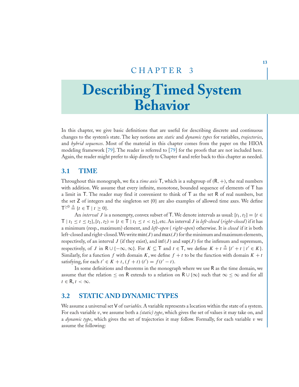## CHAPTER 3

## <span id="page-26-0"></span>**Describing Timed System Behavior**

In this chapter, we give basic definitions that are useful for describing discrete and continuous changes to the system's state. The key notions are *static* and *dynamic types* for variables, *trajectories*, and *hybrid sequences*. Most of the material in this chapter comes from the paper on the HIOA modeling framework [\[79\]](#page-125-0). The reader is referred to [\[79](#page-125-0)] for the proofs that are not included here. Again, the reader might prefer to skip directly to Chapter 4 and refer back to this chapter as needed.

## **3.1 TIME**

Throughout this monograph, we fix a *time axis* T, which is a subgroup of *(*R*,* +*)*, the real numbers with addition. We assume that every infinite, monotone, bounded sequence of elements of  $\mathsf T$  has a limit in T. The reader may find it convenient to think of  $T$  as the set R of real numbers, but the set Z of integers and the singleton set {0} are also examples of allowed time axes. We define  $T^{\geq 0} \stackrel{\Delta}{=} \{t \in T \mid t \geq 0\}.$ 

An *interval J* is a nonempty, convex subset of T. We denote intervals as usual:  $[t_1, t_2] = {t \in \mathbb{R}^n}$  $T | t_1 \le t \le t_2$ ,  $[t_1, t_2] = \{t \in T | t_1 \le t < t_2\}$ , etc. An interval *J* is *left-closed* (*right-closed*) if it has a minimum (resp., maximum) element, and *left-open* ( *right-open*) otherwise. It is *closed* if it is both left-closed and right-closed. We write  $min(J)$  and  $max(J)$  for the minimum and maximum elements, respectively, of an interval *J* (if they exist), and inf*(J )* and sup*(J )* for the infimum and supremum, respectively, of *J* in  $R \cup \{-\infty, \infty\}$ . For  $K \subseteq T$  and  $t \in T$ , we define  $K + t \stackrel{\Delta}{=} \{t' + t \mid t' \in K\}$ . Similarly, for a function *f* with domain *K*, we define  $f + t$  to be the function with domain  $K + t$ satisfying, for each  $t' \in K + t$ ,  $(f + t)(t') = f(t' - t)$ .

In some definitions and theorems in the monograph where we use R as the time domain, we assume that the relation  $\leq$  on R extends to a relation on R  $\cup$  {∞} such that  $\infty \leq \infty$  and for all  $t \in \mathsf{R}, t < \infty$ .

## **3.2 STATIC AND DYNAMIC TYPES**

We assume a universal set V of *variables*. A variable represents a location within the state of a system. For each variable *v*, we assume both a *(static) type*, which gives the set of values it may take on, and a *dynamic type*, which gives the set of trajectories it may follow. Formally, for each variable *v* we assume the following: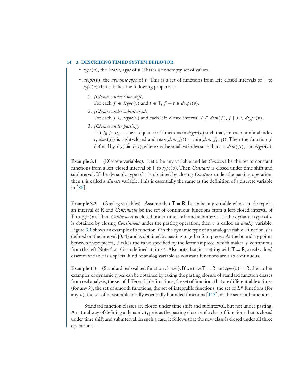#### **14 3. DESCRIBING TIMED SYSTEM BEHAVIOR**

- *type(v)*, the *(static) type* of *v*. This is a nonempty set of values.
- *dtype(v)*, the *dynamic type* of *v*. This is a set of functions from left-closed intervals of T to  *that satisfies the following properties:* 
	- 1. *(Closure under time shift)* For each  $f \in \text{dtype}(v)$  and  $t \in \mathsf{T}$ ,  $f + t \in \text{dtype}(v)$ .
	- 2. *(Closure under subinterval)* For each  $f \in \text{dtype}(v)$  and each left-closed interval  $J \subseteq \text{dom}(f)$ ,  $f \mid J \in \text{dtype}(v)$ .
	- 3. *(Closure under pasting)*

Let  $f_0$   $f_1$   $f_2$ ,... be a sequence of functions in  $\frac{d\psi}{e}(v)$  such that, for each nonfinal index *i*, *dom*( $f_i$ ) is right-closed and max( $dom(f_i)$ ) = min( $dom(f_{i+1})$ ). Then the function  $f$ defined by  $f(t) \triangleq f_i(t)$ , where  $i$  is the smallest index such that  $t \in \textit{dom}(f_i)$ , is in  $\textit{dtype}(v)$ .

**Example 3.1** (Discrete variables). Let *v* be any variable and let *Constant* be the set of constant functions from a left-closed interval of T to *type(v)*. Then *Constant* is closed under time shift and subinterval. If the dynamic type of *v* is obtained by closing *Constant* under the pasting operation, then *v* is called a *discrete* variable. This is essentially the same as the definition of a discrete variable in [\[88\]](#page-126-0).

**Example 3.2** (Analog variables). Assume that  $T = R$ . Let *v* be any variable whose static type is an interval of R and *Continuous* be the set of continuous functions from a left-closed interval of T to *type(v)*. Then *Continuous* is closed under time shift and subinterval. If the dynamic type of *v* is obtained by closing *Continuous* under the pasting operation, then *v* is called an *analog* variable. Figure [3.1](#page-28-0) shows an example of a function *f* in the dynamic type of an analog variable. Function *f* is defined on the interval [0*,* 4*)* and is obtained by pasting together four pieces. At the boundary points between these pieces, *f* takes the value specified by the leftmost piece, which makes *f* continuous from the left. Note that f is undefined at time 4. Also note that, in a setting with  $T = R$ , a real-valued discrete variable is a special kind of analog variable as constant functions are also continuous.

**Example 3.3** (Standard real-valued function classes). If we take  $T = R$  and  $type(v) = R$ , then other examples of dynamic types can be obtained by taking the pasting closure of standard function classes from real analysis, the set of differentiable functions, the set of functions that are differentiable *k* times (for any  $k$ ), the set of smooth functions, the set of integrable functions, the set of  $L^p$  functions (for any *p*), the set of measurable locally essentially bounded functions [\[113\]](#page-129-0), or the set of all functions.

Standard function classes are closed under time shift and subinterval, but not under pasting. A natural way of defining a dynamic type is as the pasting closure of a class of functions that is closed under time shift and subinterval. In such a case, it follows that the new class is closed under all three operations.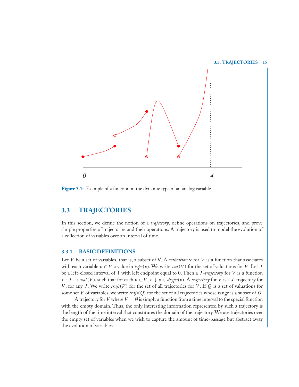<span id="page-28-0"></span>

**Figure 3.1:** Example of a function in the dynamic type of an analog variable.

## **3.3 TRAJECTORIES**

In this section, we define the notion of a *trajectory*, define operations on trajectories, and prove simple properties of trajectories and their operations. A trajectory is used to model the evolution of a collection of variables over an interval of time.

### **3.3.1 BASIC DEFINITIONS**

Let *V* be a set of variables, that is, a subset of V. A *valuation* **v** for *V* is a function that associates with each variable  $v \in V$  a value in  $type(v)$ . We write  $val(V)$  for the set of valuations for *V*. Let *J* be a left-closed interval of T with left endpoint equal to 0. Then a *J -trajectory* for *V* is a function  $\tau : J \to val(V)$ , such that for each  $v \in V$ ,  $\tau \downarrow v \in \text{dtype}(v)$ . A *trajectory* for *V* is a *J*-trajectory for *V* , for any *J* . We write *trajs(V )* for the set of all trajectories for *V* . If *Q* is a set of valuations for some set *V* of variables, we write  $trajs(Q)$  for the set of all trajectories whose range is a subset of  $Q$ .

A trajectory for *V* where  $V = \emptyset$  is simply a function from a time interval to the special function with the empty domain. Thus, the only interesting information represented by such a trajectory is the length of the time interval that constitutes the domain of the trajectory.We use trajectories over the empty set of variables when we wish to capture the amount of time-passage but abstract away the evolution of variables.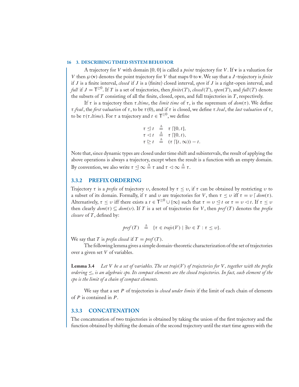#### <span id="page-29-0"></span>**16 3. DESCRIBING TIMED SYSTEM BEHAVIOR**

A trajectory for *V* with domain [0*,* 0] is called a *point* trajectory for *V* . If **v** is a valuation for *V* then *℘ (***v***)* denotes the point trajectory for *V* that maps 0 to **v**. We say that a *J* -trajectory is *finite* if *J* is a finite interval, *closed* if *J* is a (finite) closed interval, *open* if *J* is a right-open interval, and full if  $J = T^{\geq 0}$ . If T is a set of trajectories, then finite(T), closed(T), open(T), and full(T) denote the subsets of *T* consisting of all the finite, closed, open, and full trajectories in *T* , respectively.

If *τ* is a trajectory then *τ.ltime*, the *limit time* of *τ* , is the supremum of *dom(τ )*. We define *τ.fval*, the *first valuation* of *τ* , to be *τ (*0*)*, and if *τ* is closed, we define *τ.lval*, the *last valuation* of *τ* , to be *τ*(*τ.ltime*). For *τ* a trajectory and *t* ∈  $T^{\geq 0}$ , we define

 $\tau \leq t \stackrel{\Delta}{=} \tau$  [[0*, t*]*,*  $\tau \lhd t \stackrel{\Delta}{=} \tau$   $\lceil [0, t), \rceil$  $\tau \geq t \stackrel{\Delta}{=} (\tau \lceil [t, \infty)) - t.$ 

Note that, since dynamic types are closed under time shift and subintervals, the result of applying the above operations is always a trajectory, except when the result is a function with an empty domain. By convention, we also write  $\tau\trianglelefteq\infty\triangleq\tau$  and  $\tau\triangleleft\infty\triangleq\tau$ .

### **3.3.2 PREFIX ORDERING**

Trajectory *τ* is a *prefix* of trajectory *υ*, denoted by *τ* ≤ *υ*, if *τ* can be obtained by restricting *υ* to a subset of its domain. Formally, if  $\tau$  and  $\nu$  are trajectories for V, then  $\tau \leq \nu$  iff  $\tau = \nu \int \text{dom}(\tau)$ . Alternatively,  $\tau \le v$  iff there exists a  $t \in T^{\ge 0} \cup \{\infty\}$  such that  $\tau = v \le t$  or  $\tau = v \le t$ . If  $\tau \le v$ then clearly  $dom(\tau) \subseteq dom(\nu)$ . If *T* is a set of trajectories for *V*, then *pref* (*T*) denotes the *prefix closure* of *T* , defined by:

$$
\text{pref}(T) \triangleq \{ \tau \in \text{trajs}(V) \mid \exists \upsilon \in T : \tau \leq \upsilon \}.
$$

We say that *T* is *prefix closed* if  $T = \text{pref}(T)$ .

The following lemma gives a simple domain-theoretic characterization of the set of trajectories over a given set *V* of variables.

**Lemma 3.4** *Let V be a set of variables. The set trajs(V ) of trajectories for V , together with the prefix ordering* ≤*, is an algebraic cpo. Its compact elements are the closed trajectories. In fact, each element of the cpo is the limit of a chain of compact elements.*

We say that a set *P* of trajectories is *closed under limits* if the limit of each chain of elements of *P* is contained in *P*.

#### **3.3.3 CONCATENATION**

The concatenation of two trajectories is obtained by taking the union of the first trajectory and the function obtained by shifting the domain of the second trajectory until the start time agrees with the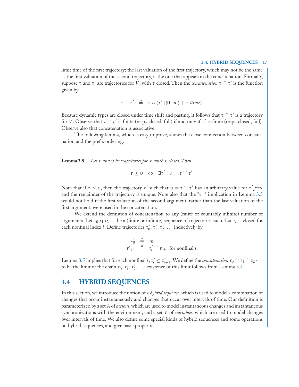#### **3.4. HYBRID SEQUENCES 17**

<span id="page-30-0"></span>limit time of the first trajectory; the last valuation of the first trajectory, which may not be the same as the first valuation of the second trajectory, is the one that appears in the concatenation. Formally, suppose  $\tau$  and  $\tau'$  are trajectories for *V*, with  $\tau$  closed. Then the *concatenation*  $\tau \cap \tau'$  is the function given by

$$
\tau \cap \tau' \stackrel{\Delta}{=} \tau \cup (\tau' \lceil (0, \infty) + \tau \cdot \textit{ltime}).
$$

Because dynamic types are closed under time shift and pasting, it follows that  $\tau \cap \tau'$  is a trajectory for *V*. Observe that  $\tau \tau'$  is finite (resp., closed, full) if and only if  $\tau'$  is finite (resp., closed, full). Observe also that concatenation is associative.

The following lemma, which is easy to prove, shows the close connection between concatenation and the prefix ordering.

**Lemma 3.5** *Let τ and υ be trajectories for V with τ closed. Then*

$$
\tau\leq\upsilon\quad\Leftrightarrow\quad\exists\tau':\upsilon=\tau\stackrel{\frown}{\phantom{\frown}}\tau'.
$$

Note that if  $\tau \leq v$ , then the trajectory  $\tau'$  such that  $v = \tau \cap \tau'$  has an arbitrary value for  $\tau'$ *. fval* and the remainder of the trajectory is unique. Note also that the " $\Leftarrow$ " implication in Lemma 3.5 would not hold if the first valuation of the second argument, rather than the last valuation of the first argument, were used in the concatenation.

We extend the definition of concatenation to any (finite or countably infinite) number of arguments. Let  $\tau_0 \tau_1 \tau_2 \ldots$  be a (finite or infinite) sequence of trajectories such that  $\tau_i$  is closed for each nonfinal index *i*. Define trajectories  $\tau'_0, \tau'_1, \tau'_2, \ldots$  inductively by

$$
\tau_0' \stackrel{\triangle}{=} \tau_0,
$$
  
\n
$$
\tau_{i+1}' \stackrel{\triangle}{=} \tau_i' \stackrel{\frown}{\tau_{i+1}}
$$
 for nonfinal *i*.

Lemma 3.5 implies that for each nonfinal  $i, \tau'_i \leq \tau'_{i+1}$ . We define the *concatenation*  $\tau_0 \cap \tau_1 \cap \tau_2 \cdots$ to be the limit of the chain  $\tau'_0, \tau'_1, \tau'_2, \ldots$ ; existence of this limit follows from Lemma [3.4.](#page-29-0)

## **3.4 HYBRID SEQUENCES**

In this section, we introduce the notion of a *hybrid sequence*, which is used to model a combination of changes that occur instantaneously and changes that occur over intervals of time. Our definition is parameterized by a set *A* of *actions*,which are used to model instantaneous changes and instantaneous synchronizations with the environment, and a set *V* of *variables*, which are used to model changes over intervals of time. We also define some special kinds of hybrid sequences and some operations on hybrid sequences, and give basic properties.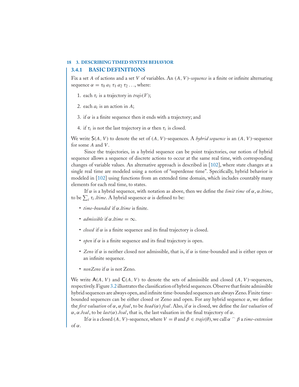#### <span id="page-31-0"></span>**18 3. DESCRIBING TIMED SYSTEM BEHAVIOR**

## **3.4.1 BASIC DEFINITIONS**

Fix a set *A* of actions and a set *V* of variables. An *(A, V )*-*sequence* is a finite or infinite alternating sequence  $α = τ_0 a_1 τ_1 a_2 τ_2 ...$ , where:

- 1. each  $\tau_i$  is a trajectory in *trajs* $(V)$ ;
- 2. each *ai* is an action in *A*;
- 3. if *α* is a finite sequence then it ends with a trajectory; and
- 4. if  $\tau_i$  is not the last trajectory in  $\alpha$  then  $\tau_i$  is closed.

We write  $S(A, V)$  to denote the set of  $(A, V)$ -sequences. A *hybrid sequence* is an  $(A, V)$ -sequence for some *A* and *V* .

Since the trajectories, in a hybrid sequence can be point trajectories, our notion of hybrid sequence allows a sequence of discrete actions to occur at the same real time, with corresponding changes of variable values. An alternative approach is described in [\[102\]](#page-127-0), where state changes at a single real time are modeled using a notion of "superdense time". Specifically, hybrid behavior is modeled in [\[102\]](#page-127-0) using functions from an extended time domain, which includes countably many elements for each real time, to states.

If *α* is a hybrid sequence, with notation as above, then we define the *limit time* of *α*, *α.ltime*, to be  $\sum_i \tau_i$ *.ltime*. A hybrid sequence *α* is defined to be:

- *time-bounded* if *α.ltime* is finite.
- *admissible* if  $\alpha$ *.ltime* =  $\infty$ *.*
- *closed* if *α* is a finite sequence and its final trajectory is closed.
- *open* if *α* is a finite sequence and its final trajectory is open.
- *Zeno* if *α* is neither closed nor admissible, that is, if *α* is time-bounded and is either open or an infinite sequence.
- *nonZeno* if *α* is not Zeno.

We write  $A(A, V)$  and  $C(A, V)$  to denote the sets of admissible and closed  $(A, V)$ -sequences, respectively.Figure [3.2](#page-32-0) illustrates the classification of hybrid sequences.Observe that finite admissible hybrid sequences are always open, and infinite time-bounded sequences are always Zeno.Finite timebounded sequences can be either closed or Zeno and open. For any hybrid sequence *α*, we define the *first valuation* of *α*, *α.fval*, to be *head (α).fval*. Also, if *α* is closed, we define the *last valuation* of *α*, *α.lval*, to be *last(α).lval*, that is, the last valuation in the final trajectory of *α*.

If  $\alpha$  is a closed  $(A, V)$ -sequence, where  $V = \emptyset$  and  $\beta \in \text{trajs}(\emptyset)$ , we call  $\alpha \cap \beta$  a *time-extension* of *α*.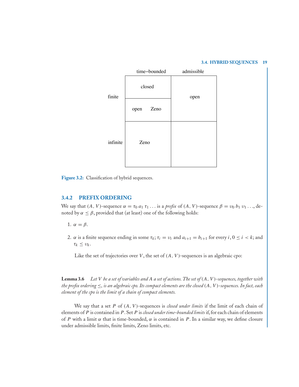#### **3.4. HYBRID SEQUENCES 19**

<span id="page-32-0"></span>

Figure 3.2: Classification of hybrid sequences.

### **3.4.2 PREFIX ORDERING**

We say that *(A, V)*-sequence  $α = τ_0 a_1 τ_1 ...$  is a *prefix* of  $(A, V)$ -sequence  $β = ν_0 b_1 ν_1 ...$ , denoted by  $\alpha \leq \beta$ , provided that (at least) one of the following holds:

1.  $\alpha = \beta$ .

2.  $\alpha$  is a finite sequence ending in some  $\tau_k$ ;  $\tau_i = v_i$  and  $a_{i+1} = b_{i+1}$  for every  $i, 0 \le i \le k$ ; and *τk* ≤ *υk*.

Like the set of trajectories over *V*, the set of  $(A, V)$ -sequences is an algebraic cpo:

**Lemma 3.6** *Let V be a set of variables and A a set of actions.The set of (A, V )-sequences, together with the prefix ordering* ≤*, is an algebraic cpo. Its compact elements are the closed (A, V )-sequences. In fact, each element of the cpo is the limit of a chain of compact elements.*

We say that a set *P* of  $(A, V)$ -sequences is *closed under limits* if the limit of each chain of elements of *P* is contained in *P*. Set *P* is*closed under time-bounded limits* if, for each chain of elements of *P* with a limit *α* that is time-bounded, *α* is contained in *P*. In a similar way, we define closure under admissible limits, finite limits, Zeno limits, etc.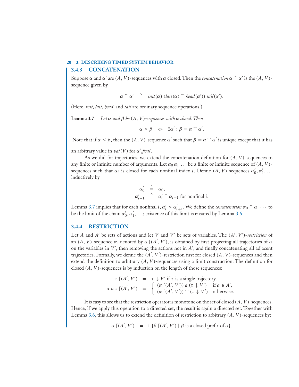#### <span id="page-33-0"></span>**20 3. DESCRIBING TIMED SYSTEM BEHAVIOR**

#### **3.4.3 CONCATENATION**

Suppose *α* and *α*<sup>'</sup> are  $(A, V)$ -sequences with *α* closed. Then the *concatenation*  $\alpha \cap \alpha'$  is the  $(A, V)$ sequence given by

$$
\alpha \cap \alpha' \stackrel{\Delta}{=} init(\alpha) (last(\alpha) \cap head(\alpha')) tail(\alpha').
$$

(Here, *init*, *last*, *head*, and *tail* are ordinary sequence operations.)

**Lemma 3.7** *Let α and β be (A, V )-sequences with α closed. Then*

$$
\alpha \leq \beta \quad \Leftrightarrow \quad \exists \alpha': \beta = \alpha \cap \alpha'.
$$

Note that if  $\alpha \leq \beta$ , then the  $(A, V)$ -sequence  $\alpha'$  such that  $\beta = \alpha \cap \alpha'$  is unique except that it has

an arbitrary value in *val(V )* for *α .fval*.

As we did for trajectories, we extend the concatenation definition for *(A, V )*-sequences to any finite or infinite number of arguments. Let  $\alpha_0 \alpha_1 \dots$  be a finite or infinite sequence of  $(A, V)$ sequences such that  $\alpha_i$  is closed for each nonfinal index *i*. Define  $(A, V)$ -sequences  $\alpha'_0, \alpha'_1, \ldots$ inductively by

$$
\alpha'_0 \stackrel{\triangle}{=} \alpha_0, \alpha'_{i+1} \stackrel{\triangle}{=} \alpha'_i \widehat{\phantom{\alpha}} \alpha_{i+1} \text{ for nonfinal } i.
$$

Lemma 3.7 implies that for each nonfinal  $i, \alpha'_i \leq \alpha'_{i+1}$ . We define the *concatenation*  $\alpha_0 \cap \alpha_1 \cdots$  to be the limit of the chain  $\alpha'_0, \alpha'_1, \ldots$ ; existence of this limit is ensured by Lemma [3.6.](#page-32-0)

## **3.4.4 RESTRICTION**

Let *A* and *A*<sup>'</sup> be sets of actions and let *V* and *V*<sup>'</sup> be sets of variables. The  $(A', V')$ *-restriction* of an  $(A, V)$ -sequence  $\alpha$ , denoted by  $\alpha \lceil (A', V')$ , is obtained by first projecting all trajectories of  $\alpha$ on the variables in  $V'$ , then removing the actions not in  $A'$ , and finally concatenating all adjacent trajectories. Formally, we define the  $(A', V')$ -restriction first for closed  $(A, V)$ -sequences and then extend the definition to arbitrary *(A, V )*-sequences using a limit construction. The definition for closed *(A, V )*-sequences is by induction on the length of those sequences:

$$
\tau \lceil (A', V') \rceil = \tau \downarrow V' \text{ if } \tau \text{ is a single trajectory,}
$$
\n
$$
\alpha a \tau \lceil (A', V') \rceil = \begin{cases}\n (\alpha \lceil (A', V') \rceil a (\tau \downarrow V') & \text{if } a \in A', \\
(\alpha \lceil (A', V') \rceil \lceil (\tau \downarrow V') \rceil & \text{otherwise.} \n\end{cases}
$$

It is easy to see that the restriction operator is monotone on the set of closed *(A, V )*-sequences. Hence, if we apply this operation to a directed set, the result is again a directed set. Together with Lemma [3.6,](#page-32-0) this allows us to extend the definition of restriction to arbitrary *(A, V )*-sequences by:

$$
\alpha \lceil (A', V') \quad = \quad \sqcup \{ \beta \lceil (A', V') \rceil \beta \text{ is a closed prefix of } \alpha \}.
$$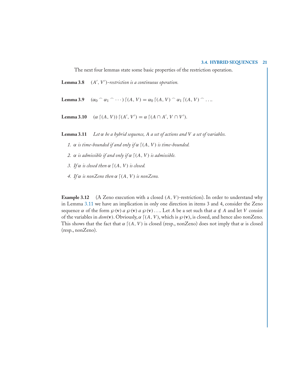#### **3.4. HYBRID SEQUENCES 21**

The next four lemmas state some basic properties of the restriction operation.

**Lemma 3.8** *(A , V )-restriction is a continuous operation.*

**Lemma 3.9**  $(\alpha_0 \cap \alpha_1 \cap \cdots)$   $[(A, V) = \alpha_0 [(A, V) \cap \alpha_1] [(A, V) \cap \cdots]$ 

**Lemma 3.10**  $(A, V)$   $\lceil (A', V') \rceil = \alpha \lceil (A \cap A', V \cap V') \rceil$ .

**Lemma 3.11** *Let α be a hybrid sequence, A a set of actions and V a set of variables.*

- 1.  $\alpha$  *is time-bounded if and only if*  $\alpha$   $\lceil$  (A, V) *is time-bounded.*
- 2.  $\alpha$  *is admissible if and only if*  $\alpha \lceil (A, V)$  *is admissible.*
- 3. If  $\alpha$  is closed then  $\alpha \lceil (A, V)$  is closed.
- 4. If  $\alpha$  is nonZeno then  $\alpha \lceil (A, V)$  is nonZeno.

**Example 3.12** (A Zeno execution with a closed  $(A, V)$ -restriction). In order to understand why in Lemma 3.11 we have an implication in only one direction in items 3 and 4, consider the Zeno sequence  $\alpha$  of the form  $\beta$  (**v**)  $a \beta$  (**v**)  $a \beta$  (**v**).... Let *A* be a set such that  $a \notin A$  and let *V* consist of the variables in *dom*(**v**). Obviously,  $\alpha$  [(A, V), which is  $\wp$  (**v**), is closed, and hence also nonZeno. This shows that the fact that  $\alpha \lceil (A, V) \rceil$  is closed (resp., nonZeno) does not imply that  $\alpha$  is closed (resp., nonZeno).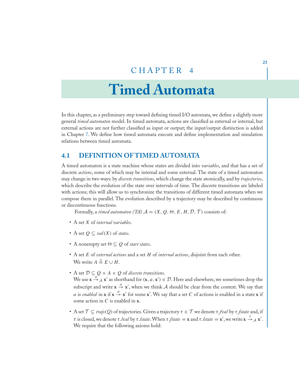# CHAPTER 4

# **Timed Automata**

<span id="page-36-0"></span>In this chapter, as a preliminary step toward defining timed I/O automata, we define a slightly more general *timed automaton* model. In timed automata, actions are classified as external or internal, but external actions are not further classified as input or output; the input/output distinction is added in Chapter [7.](#page-98-0) We define how timed automata execute and define implementation and simulation relations between timed automata.

# **4.1 DEFINITION OF TIMED AUTOMATA**

A timed automaton is a state machine whose states are divided into *variables*, and that has a set of discrete *actions*, some of which may be internal and some external. The state of a timed automaton may change in two ways: by *discrete transitions*, which change the state atomically, and by *trajectories*, which describe the evolution of the state over intervals of time. The discrete transitions are labeled with actions; this will allow us to synchronize the transitions of different timed automata when we compose them in parallel. The evolution described by a trajectory may be described by continuous or discontinuous functions.

Formally, a *timed automaton (TA)*  $\mathcal{A} = (X, Q, \Theta, E, H, \mathcal{D}, \mathcal{T})$  consists of:

- A set *X* of *internal variables*.
- A set  $Q \subseteq val(X)$  of *states*.
- A nonempty set  $\Theta \subseteq Q$  of *start states*.
- A set *E* of *external actions* and a set *H* of *internal actions*, disjoint from each other. We write  $A \stackrel{\Delta}{=} E \cup H$ .
- A set  $D \subseteq Q \times A \times Q$  of *discrete transitions*. We use  $\mathbf{x} \stackrel{\sim}{\rightarrow} \mathcal{A} \mathbf{x}'$  as shorthand for  $(\mathbf{x}, a, \mathbf{x}') \in \mathcal{D}$ . Here and elsewhere, we sometimes drop the subscript and write  $\mathbf{x} \stackrel{a}{\rightarrow} \mathbf{x}'$ , when we think A should be clear from the context. We say that *a* is *enabled* in **x** if  $\mathbf{x} \stackrel{a}{\rightarrow} \mathbf{x}'$  for some **x**'. We say that a set *C* of actions is enabled in a state **x** if some action in *C* is enabled in **x**.
- A set T ⊆ *trajs(Q)* of trajectories. Given a trajectory *τ* ∈ T we denote *τ.fval* by *τ.fstate* and, if *τ* is closed, we denote *τ.lval* by *τ.lstate*. When *τ.fstate* = **x** and *τ.lstate* = **x**<sup>'</sup>, we write **x**  $\stackrel{\tau}{\rightarrow}$  *A* **x**'. We require that the following axioms hold: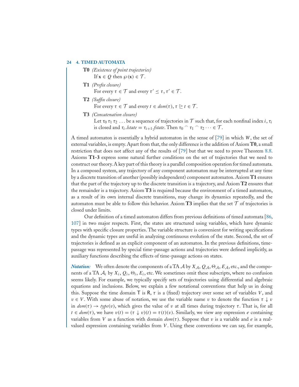- **T0** *(Existence of point trajectories)* If  $\mathbf{x} \in Q$  then  $\wp(\mathbf{x}) \in \mathcal{T}$ .
- **T1** *(Prefix closure)* For every  $\tau \in \mathcal{T}$  and every  $\tau' \leq \tau$ ,  $\tau' \in \mathcal{T}$ .
- **T2** *(Suffix closure)* For every  $\tau \in \mathcal{T}$  and every  $t \in \text{dom}(\tau)$ ,  $\tau \geq t \in \mathcal{T}$ .
- **T3** *(Concatenation closure)*

Let  $\tau_0$   $\tau_1$   $\tau_2$  ... be a sequence of trajectories in T such that, for each nonfinal index *i*,  $\tau_i$ is closed and  $\tau_i$ .*lstate* =  $\tau_{i+1}$ .*fstate*. Then  $\tau_0 \cap \tau_1 \cap \tau_2 \cdots \in \mathcal{T}$ .

A timed automaton is essentially a hybrid automaton in the sense of [\[79\]](#page-125-0) in which *W*, the set of external variables, is empty. Apart from that, the only difference is the addition of Axiom **T0**, a small restriction that does not affect any of the results of [\[79](#page-125-0)] but that we need to prove Theorem [8.8.](#page-107-0) Axioms **T1-3** express some natural further conditions on the set of trajectories that we need to construct our theory. A key part of this theory is a parallel composition operation for timed automata. In a composed system, any trajectory of any component automaton may be interrupted at any time by a discrete transition of another (possibly independent) component automaton. Axiom **T1** ensures that the part of the trajectory up to the discrete transition is a trajectory, and Axiom **T2** ensures that the remainder is a trajectory. Axiom **T3** is required because the environment of a timed automaton, as a result of its own internal discrete transitions, may change its dynamics repeatedly, and the automaton must be able to follow this behavior. Axiom **T3** implies that the set  $\mathcal T$  of trajectories is closed under limits.

Our definition of a timed automaton differs from previous definitions of timed automata [\[86,](#page-126-0) [107](#page-128-0)] in two major respects. First, the states are structured using variables, which have dynamic types with specific closure properties. The variable structure is convenient for writing specifications and the dynamic types are useful in analyzing continuous evolution of the state. Second, the set of trajectories is defined as an explicit component of an automaton. In the previous definitions, timepassage was represented by special time-passage actions and trajectories were defined implicitly, as auxiliary functions describing the effects of time-passage actions on states.

*Notation:* We often denote the components of a TA A by  $X_A$ ,  $Q_A$ ,  $\Theta_A$ ,  $E_A$ , etc., and the components of a TA  $A_i$  by  $X_i$ ,  $Q_i$ ,  $\Theta_i$ ,  $E_i$ , etc. We sometimes omit these subscripts, where no confusion seems likely. For example, we typically specify sets of trajectories using differential and algebraic equations and inclusions. Below, we explain a few notational conventions that help us in doing this. Suppose the time domain T is R, *τ* is a (fixed) trajectory over some set of variables *V* , and *v* ∈ *V* . With some abuse of notation, we use the variable name *v* to denote the function *τ* ↓ *v* in  $dom(\tau) \rightarrow type(\nu)$ , which gives the value of  $\nu$  at all times during trajectory  $\tau$ . That is, for all  $t \in dom(\tau)$ , we have  $v(t) = (\tau \downarrow v)(t) = \tau(t)(v)$ . Similarly, we view any expression *e* containing variables from *V* as a function with domain  $dom(\tau)$ . Suppose that *v* is a variable and *e* is a realvalued expression containing variables from *V* . Using these conventions we can say, for example,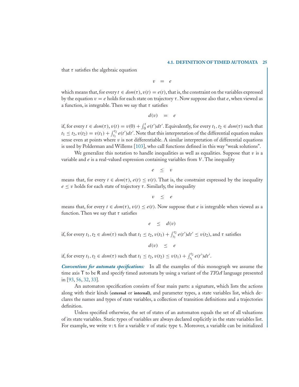#### **4.1. DEFINITION OF TIMED AUTOMATA 25**

that  $\tau$  satisfies the algebraic equation

$$
v = e
$$

which means that, for every  $t \in dom(\tau)$ ,  $v(t) = e(t)$ , that is, the constraint on the variables expressed by the equation *v* = *e* holds for each state on trajectory *τ* . Now suppose also that *e*, when viewed as a function, is integrable. Then we say that *τ* satisfies

$$
d(v) = e
$$

if, for every  $t \in dom(\tau)$ ,  $v(t) = v(0) + \int_0^t e(t')dt'$ . Equivalently, for every  $t_1, t_2 \in dom(\tau)$  such that  $t_1 \le t_2$ ,  $v(t_2) = v(t_1) + \int_{t_1}^{t_2} e(t')dt'$ . Note that this interpretation of the differential equation makes sense even at points where *v* is not differentiable. A similar interpretation of differential equations is used by Polderman and Willems [\[103](#page-128-0)], who call functions defined in this way "weak solutions".

We generalize this notation to handle inequalities as well as equalities. Suppose that *v* is a variable and *e* is a real-valued expression containing variables from *V* . The inequality

$$
e \leq v
$$

means that, for every  $t \in dom(\tau)$ ,  $e(t) \le v(t)$ . That is, the constraint expressed by the inequality  $e \leq v$  holds for each state of trajectory  $\tau$ . Similarly, the inequality

*v* ≤ *e*

means that, for every  $t \in dom(\tau)$ ,  $v(t) \leq e(t)$ . Now suppose that *e* is integrable when viewed as a function. Then we say that *τ* satisfies

$$
e \leq d(v)
$$

if, for every  $t_1, t_2 \in dom(\tau)$  such that  $t_1 \le t_2, v(t_1) + \int_{t_1}^{t_2} e(t')dt' \le v(t_2)$ , and  $\tau$  satisfies

 $d(v) < e$ 

if, for every  $t_1, t_2 \in dom(\tau)$  such that  $t_1 \le t_2, v(t_2) \le v(t_1) + \int_{t_1}^{t_2} e(t')dt'.$ 

*Conventions for automata specifications:* In all the examples of this monograph we assume the time axis T to be R and specify timed automata by using a variant of the *TIOA* language presented in [\[93,](#page-127-0) [56](#page-123-0), [32,](#page-121-0) [33](#page-121-0)].

An automaton specification consists of four main parts: a signature, which lists the actions along with their kinds (**external** or **internal)**, and parameter types, a state variables list, which declares the names and types of state variables, a collection of transition definitions and a trajectories definition.

Unless specified otherwise, the set of states of an automaton equals the set of all valuations of its state variables. Static types of variables are always declared explicitly in the state variables list. For example, we write v:t for a variable v of static type t. Moreover, a variable can be initialized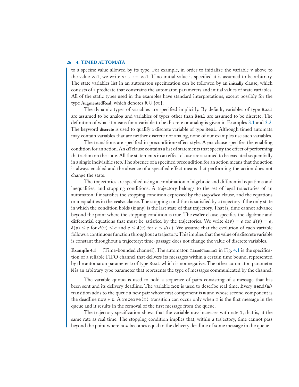<span id="page-39-0"></span>to a specific value allowed by its type. For example, in order to initialize the variable v above to the value val, we write  $v:t := val$ . If no initial value is specified it is assumed to be arbitrary. The state variables list in an automaton specification can be followed by an **initially** clause, which consists of a predicate that constrains the automaton parameters and initial values of state variables. All of the static types used in the examples have standard interpretations, except possibly for the type **AugmentedReal**, which denotes R ∪ {∞}.

The dynamic types of variables are specified implicitly. By default, variables of type Real are assumed to be analog and variables of types other than Real are assumed to be discrete. The definition of what it means for a variable to be discrete or analog is given in Examples [3.1](#page-27-0) and [3.2.](#page-27-0) The keyword **discrete** is used to qualify a discrete variable of type Real. Although timed automata may contain variables that are neither discrete nor analog, none of our examples use such variables.

The transitions are specified in precondition-effect style. A **pre** clause specifies the enabling condition for an action. An **eff** clause contains a list of statements that specify the effect of performing that action on the state. All the statements in an effect clause are assumed to be executed sequentially in a single indivisible step.The absence of a specified precondition for an action means that the action is always enabled and the absence of a specified effect means that performing the action does not change the state.

The trajectories are specified using a combination of algebraic and differential equations and inequalities, and stopping conditions. A trajectory belongs to the set of legal trajectories of an automaton if it satisfies the stopping condition expressed by the **stop when** clause, and the equations or inequalities in the **evolve** clause. The stopping condition is satisfied by a trajectory if the only state in which the condition holds (if any) is the last state of that trajectory. That is, time cannot advance beyond the point where the stopping condition is true. The **evolve** clause specifies the algebraic and differential equations that must be satisfied by the trajectories. We write  $d(v) = e$  for  $d(v) = e$ , **d**(*v*) ≤ *e* for *d*(*v*) ≤ *e* and *e* ≤ **d**(*v*) for *e* ≤ *d*(*v*). We assume that the evolution of each variable follows a continuous function throughout a trajectory.This implies that the value of a discrete variable is constant throughout a trajectory: time-passage does not change the value of discrete variables.

**Example [4.1](#page-40-0)** (Time-bounded channel). The automaton TimedChannel in Fig. 4.1 is the specification of a reliable FIFO channel that delivers its messages within a certain time bound, represented by the automaton parameter b of type Real which is nonnegative. The other automaton parameter M is an arbitrary type parameter that represents the type of messages communicated by the channel.

The variable queue is used to hold a sequence of pairs consisting of a message that has been sent and its delivery deadline. The variable now is used to describe real time. Every send(m) transition adds to the queue a new pair whose first component is m and whose second component is the deadline now  $+ b$ . A receive (m) transition can occur only when  $m$  is the first message in the queue and it results in the removal of the first message from the queue.

The trajectory specification shows that the variable now increases with rate 1, that is, at the same rate as real time. The stopping condition implies that, within a trajectory, time cannot pass beyond the point where now becomes equal to the delivery deadline of some message in the queue.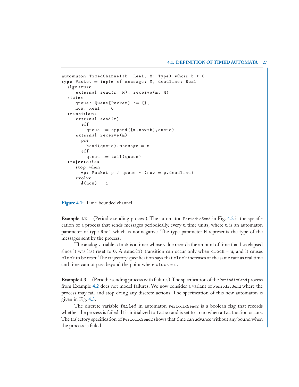```
automaton TimedChannel(b: Real, M: Type) where b \ge 0type Packet = tuple of message: M, deadline: Real
  signature
     external send(m: M), receive(m: M)
  states
     queue: Queue [Packet] := \{\},
     now: Real := 0transitions
     external send(m)
       eff
         queue := append([m,now+b],queue)
     external receive(m)
       pre
         head(queue). message = meff
         queue := tail(queue)
  trajectories
     stop when
       \exists p: Packet p \in queue \wedge (now = p.deadline)
     evolve
       d(now) = 1
```
**Figure 4.1:** Time-bounded channel.

**Example [4.2](#page-41-0)** (Periodic sending process). The automaton PeriodicSend in Fig. 4.2 is the specification of a process that sends messages periodically, every u time units, where u is an automaton parameter of type Real which is nonnegative. The type parameter M represents the type of the messages sent by the process.

The analog variable clock is a timer whose value records the amount of time that has elapsed since it was last reset to 0. A send(m) transition can occur only when  $\text{clock} = u$ , and it causes clock to be reset. The trajectory specification says that clock increases at the same rate as real time and time cannot pass beyond the point where  $\text{clock} = u$ .

**Example 4.3** (Periodic sending process with failures).The specification of the PeriodicSend process from Example 4.2 does not model failures. We now consider a variant of PeriodicSend where the process may fail and stop doing any discrete actions. The specification of this new automaton is given in Fig. [4.3.](#page-42-0)

The discrete variable failed in automaton PeriodicSend2 is a boolean flag that records whether the process is failed. It is initialized to false and is set to true when a fail action occurs. The trajectory specification of PeriodicSend2 shows that time can advance without any bound when the process is failed.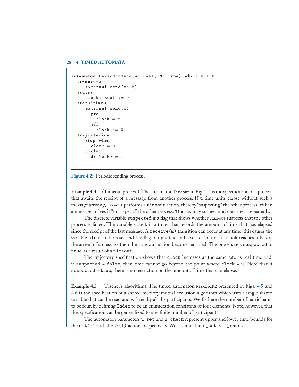```
automaton PeriodicSend(u: Real, M: Type) where u ≥ 0
  signature
     external send(m: M)
  states
     clock: Real := 0transitions
     external send(m)
        pre
          \texttt{clock} = \texttt{u}eff
          clock := 0trajectories
     stop when
        clock = uevolve
        d(clock) = 1
```
Figure 4.2: Periodic sending process.

**Example [4.4](#page-43-0)** (Timeout process). The automaton Timeout in Fig. 4.4 is the specification of a process that awaits the receipt of a message from another process. If u time units elapse without such a message arriving, Timeout performs a timeout action, thereby "suspecting" the other process.When a message arrives it "unsuspects" the other process. Timeout may suspect and unsuspect repeatedly.

The discrete variable suspected is a flag that shows whether Timeout suspects that the other process is failed. The variable clock is a timer that records the amount of time that has elapsed since the receipt of the last message. A receive (m) transition can occur at any time; this causes the variable clock to be reset and the flag suspected to be set to false. If clock reaches u before the arrival of a message then the timeout action becomes enabled. The process sets suspected to true as a result of a timeout.

The trajectory specification shows that clock increases at the same rate as real time and, if suspected  $=$  false, then time cannot go beyond the point where clock  $=$  u. Note that if suspected = true, there is no restriction on the amount of time that can elapse.

**Example [4.5](#page-44-0)** (Fischer's algorithm). The timed automaton FischerME presented in Figs. 4.5 and [4.6](#page-45-0) is the specification of a shared memory mutual exclusion algorithm which uses a single shared variable that can be read and written by all the participants. We fix here the number of participants to be four, by defining Index to be an enumeration consisting of four elements. Note, however, that this specification can be generalized to any finite number of participants.

The automaton parameters u\_set and l\_check represent upper and lower time bounds for the set(i) and check(i) actions respectively. We assume that  $u$ \_set < l\_check.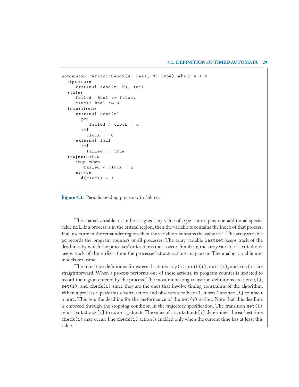```
automaton PeriodicSend2(u: Real, M: Type) where u ≥ 0
  signature
     external send(m: M), fail
  states
     failed: Bool := false,clock: Real := 0transitions
     external send(m)
       pre
         ¬failed ∧ clock = u
       eff
         clock := 0external fail
       eff
         failed := truetrajectories
     stop when
       ¬failed ∧ clock = u
     evolve
       d(clock) = 1
```
**Figure 4.3:** Periodic sending process with failures.

The shared variable x can be assigned any value of type Index plus one additional special value nil. If a process is in the critical region, then the variable x contains the index of that process. If all users are in the remainder region, then the variable x contains the value nil. The array variable pc records the program counters of all processes. The array variable lastset keeps track of the deadlines by which the processes' set actions must occur. Similarly, the array variable firstcheck keeps track of the earliest time the processes' check actions may occur. The analog variable now models real time.

The transition definitions for external actions  $try(i), crit(i), exit(i), and rem(i)$  are straightforward. When a process performs one of these actions, its program counter is updated to record the region entered by the process. The most interesting transition definitions are test(i), set(i), and check(i) since they are the ones that involve timing constraints of the algorithm. When a process i performs a test action and observes x to be nil, it sets lastset [i] to now + u\_set. This sets the deadline for the performance of the set(i) action. Note that this deadline is enforced through the stopping condition in the trajectory specification. The transition set(i) sets firstcheck[i] to now + l\_check. The value of firstcheck[i] determines the earliest time  $check(i)$  may occur. The check $(i)$  action is enabled only when the current time has at least this value.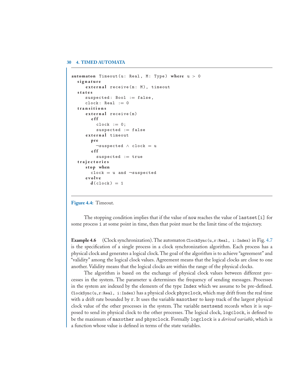```
automaton Timeout(u: Real, M: Type) where u > 0
  signature
     external receive(m: M), timeout
  states
     suspected: Bool := false,clock: Real := 0transitions
    external receive(m)
       eff
         clock := 0;suspected := falseexternal timeout
       pre
         ¬suspected ∧ clock = u
       eff
         suspected := truetrajectories
     stop when
       clock = u and \negsuspected
     evolve
       d(clock) = 1
```
**Figure 4.4:** Timeout.

The stopping condition implies that if the value of now reaches the value of lastset[i] for some process i at some point in time, then that point must be the limit time of the trajectory.

**Example 4.6** (Clock synchronization). The automaton ClockSync(u,r:Real, i:Index) in Fig. [4.7](#page-46-0) is the specification of a single process in a clock synchronization algorithm. Each process has a physical clock and generates a logical clock. The goal of the algorithm is to achieve "agreement" and "validity" among the logical clock values. Agreement means that the logical clocks are close to one another. Validity means that the logical clocks are within the range of the physical clocks.

The algorithm is based on the exchange of physical clock values between different processes in the system. The parameter u determines the frequency of sending messages. Processes in the system are indexed by the elements of the type Index which we assume to be pre-defined. ClockSync(u,r:Real, i:Index) has a physical clock physclock, which may drift from the real time with a drift rate bounded by r. It uses the variable maxother to keep track of the largest physical clock value of the other processes in the system. The variable nextsend records when it is supposed to send its physical clock to the other processes. The logical clock, logclock, is defined to be the maximum of maxother and physclock. Formally logclock is a *derived variable*, which is a function whose value is defined in terms of the state variables.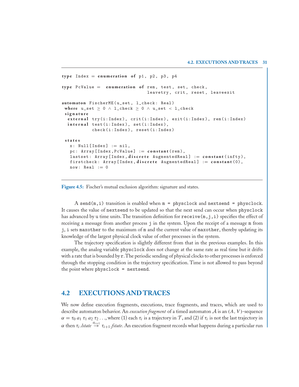```
type Index = enumeration of p1, p2, p3, p4
type PcValue = enumeration of rem, test, set, check,
                                leavetry, crit, reset, leaveexit
automaton FischerME( u_set, l_check: Real)
where u_set > 0 \wedge 1_check > 0 \wedge u_set < 1_check
 signature
  external try(i:Index), crit(i:Index), exit(i:Index), rem(i:Index)
  internal test(i:Index), set(i:Index),
           check(i:Index), reset(i:Index)
 states
  x: Null[Index] := nil,pc: Array[Index,PcValue] := constant (rem),
   lastset: Array[Index, discrete AugmentedReal] := constant (infty),
   firstcheck: Array[Index, discrete AugmentedReal] := constant (0),
   now: Real := 0
```
**Figure 4.5:** Fischer's mutual exclusion algorithm: signature and states.

A send $(m,i)$  transition is enabled when  $m =$  physclock and nextsend = physclock. It causes the value of nextsend to be updated so that the next send can occur when physclock has advanced by u time units. The transition definition for  $\text{receive}(m, j, i)$  specifies the effect of receiving a message from another process j in the system. Upon the receipt of a message m from j, i sets maxother to the maximum of m and the current value of maxother, thereby updating its knowledge of the largest physical clock value of other processes in the system.

The trajectory specification is slightly different from that in the previous examples. In this example, the analog variable physclock does not change at the same rate as real time but it drifts with a rate that is bounded by r.The periodic sending of physical clocks to other processes is enforced through the stopping condition in the trajectory specification. Time is not allowed to pass beyond the point where  $physclock = nextsend$ .

# **4.2 EXECUTIONS AND TRACES**

We now define execution fragments, executions, trace fragments, and traces, which are used to describe automaton behavior. An *execution fragment* of a timed automaton A is an *(A, V )*-sequence  $\alpha = \tau_0 a_1 \tau_1 a_2 \tau_2 \ldots$ , where (1) each  $\tau_i$  is a trajectory in  $\mathcal T$ , and (2) if  $\tau_i$  is not the last trajectory in *<sup>α</sup>* then *τi.lstate ai*+<sup>1</sup> <sup>→</sup> *τi*<sup>+</sup>1*.fstate*. An execution fragment records what happens during a particular run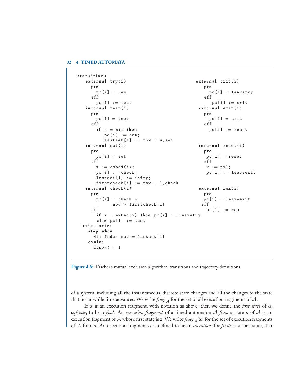```
transitions
 external try(i) external crit(i)
  pre pre
  pc[i] = rem pc[i] = leavetry<br>
eff effeff eff
   pc[i] := test pc[i] := critinternal test(i) external exit(i)
  pre pre
   pc[i] = test pc[i] = crit
   eff eff
   if x = nil then pc[i] := resetpc[i] := set;lastset[i] := now + u_setinternal set(i) internal reset(i)
  pre pre
   pc[i] = set pc[i] = reseteff eff
   x := \text{embed}(i); x := \text{nil};pc[i] := check; pc[i] = leaveexit
   lastset[i] := infty;firstcheck[i] := now + l\_checkinternal check(i) external rem(i)
  pre pre
   pc[i] = check \wedge pc[i] = leaveexit
      now ≥ firstcheck[i] eff
  eff pc[i] := remif x = embed(i) then pc[i] := leavetry
   else pc[i] := test
trajectories
  stop when
   ∃i: Index now = lastset[i]
  evolve
   d(now) = 1
```
**Figure 4.6:** Fischer's mutual exclusion algorithm: transitions and trajectory definitions.

of a system, including all the instantaneous, discrete state changes and all the changes to the state that occur while time advances. We write *frags*  $_A$  for the set of all execution fragments of  $A$ .

If *α* is an execution fragment, with notation as above, then we define the *first state* of *α*, *α.fstate*, to be *α.fval*. An *execution fragment* of a timed automaton A *from* a state **x** of A is an execution fragment of A whose first state is **x**. We write *frags*<sub>A</sub>(**x**) for the set of execution fragments of A from **x**. An execution fragment *α* is defined to be an *execution* if *α.fstate* is a start state, that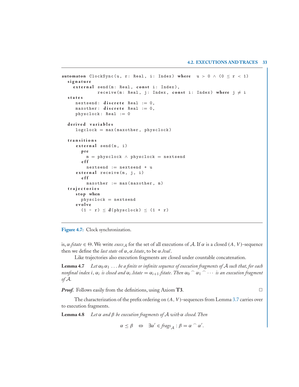```
automaton ClockSync(u, r: Real, i: Index) where u > 0 \wedge (0 \le r < 1)signature
    external send(m: Real, const i: Index),
             receive(m: Real, j: Index, const i: Index) where j \neq istates
     nextsend: discrete Real := 0,
     maxother: discrete Real := 0,
     physclock: Real := 0
  derived variables
     logclock = max(maxother, physicalock)transitions
     external send(m, i)
       pre
         m = physclock \land physclock = nextsend
       eff
         nextsend := nextsend + u
     external receive(m, j, i)
       eff
         maxother := max(maxother, m)trajectories
     stop when
       physclock = nextsend
     evolve
       (1 - r) \leq d(physclock) \leq (1 + r)
```
Figure 4.7: Clock synchronization.

is,  $\alpha$ .*fstate*  $\in \Theta$ . We write *execs*<sub>A</sub> for the set of all executions of A. If  $\alpha$  is a closed *(A, V)*-sequence then we define the *last state* of *α*, *α.lstate*, to be *α.lval*.

Like trajectories also execution fragments are closed under countable concatenation.

**Lemma 4.7** *Let α*<sup>0</sup> *α*<sup>1</sup> *... be a finite or infinite sequence of execution fragments of* A *such that, for each nonfinal index i*,  $\alpha_i$  *is closed and*  $\alpha_i$ *.lstate* =  $\alpha_{i+1}$ *.fstate. Then*  $\alpha_0 \cap \alpha_1 \cap \cdots$  *is an execution fragment of* A*.*

*Proof.* Follows easily from the definitions, using Axiom **T3**. □

The characterization of the prefix ordering on *(A, V )*-sequences from Lemma [3.7](#page-33-0) carries over to execution fragments.

**Lemma 4.8** *Let α and β be execution fragments of* A *with α closed. Then*

$$
\alpha \leq \beta \quad \Leftrightarrow \quad \exists \alpha' \in \text{frags}_{\mathcal{A}} : \beta = \alpha \cap \alpha'.
$$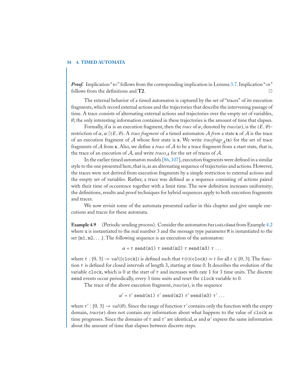<span id="page-47-0"></span>*Proof.* Implication " $\Leftarrow$ " follows from the corresponding implication in Lemma [3.7.](#page-33-0) Implication " $\Rightarrow$ " follows from the definitions and **T2**.

The external behavior of a timed automaton is captured by the set of "traces" of its execution fragments, which record external actions and the trajectories that describe the intervening passage of time. A trace consists of alternating external actions and trajectories over the empty set of variables, ∅; the only interesting information contained in these trajectories is the amount of time that elapses.

Formally, if *α* is an execution fragment, then the *trace* of *α*, denoted by *trace(α)*, is the *(E,* ∅*)*-  $\alpha$  fiestriction of  $\alpha$ ,  $\alpha$   $\lceil (E, \emptyset)$ . A *trace fragment* of a timed automaton  $\mathcal{A}$  *from* a state **x** of  $\mathcal{A}$  is the trace of an execution fragment of A whose first state is **x**. We write *tracefrags*  $_A(\bf{x})$  for the set of trace fragments of A from **x**. Also, we define a *trace* of A to be a trace fragment from a start state, that is, the trace of an execution of  $A$ , and write *traces*  $_A$  for the set of traces of  $A$ .

In the earlier timed automaton models [\[86](#page-126-0), [107\]](#page-128-0), execution fragments were defined in a similar style to the one presented here, that is, as an alternating sequence of trajectories and actions.However, the traces were not derived from execution fragments by a simple restriction to external actions and the empty set of variables. Rather, a trace was defined as a sequence consisting of actions paired with their time of occurrence together with a limit time. The new definition increases uniformity; the definitions, results and proof techniques for hybrid sequences apply to both execution fragments and traces.

We now revisit some of the automata presented earlier in this chapter and give sample executions and traces for these automata.

**Example 4.9** (Periodic sending process). Consider the automaton PeriodicSend from Example [4.2](#page-40-0) where u is instantiated to the real number 3 and the message type parameter M is instantiated to the set {m1*,* m2*,...*}. The following sequence is an execution of the automaton:

 $\alpha = \tau \text{ send(m1)} \tau \text{ send(m2)} \tau \text{ send(m3)} \tau \ldots$ 

where  $\tau$  : [0, 3]  $\rightarrow$  *val*({clock}} is defined such that  $\tau(t)(\text{clock}) = t$  for all  $t \in [0, 3]$ . The function  $\tau$  is defined for closed intervals of length 3, starting at time 0. It describes the evolution of the variable clock, which is 0 at the start of  $\tau$  and increases with rate 1 for 3 time units. The discrete send events occur periodically, every 3 time units and reset the clock variable to 0.

The trace of the above execution fragment,  $trace(\alpha)$ , is the sequence

 $\alpha' = \tau'$  send(m1)  $\tau'$  send(m2)  $\tau'$  send(m3)  $\tau'$  ...

where  $\tau'$  : [0, 3]  $\rightarrow val(\emptyset)$ . Since the range of function  $\tau'$  contains only the function with the empty domain, *trace(α)* does not contain any information about what happens to the value of clock as time progresses. Since the domains of  $\tau$  and  $\tau'$  are identical,  $\alpha$  and  $\alpha'$  express the same information about the amount of time that elapses between discrete steps.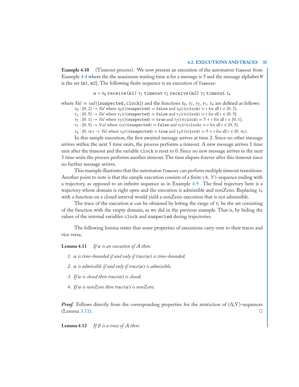#### **4.2. EXECUTIONS AND TRACES 35**

<span id="page-48-0"></span>**Example 4.10** (Timeout process). We now present an execution of the automaton Timeout from Example [4.4](#page-41-0) where the the maximum waiting time u for a message is 5 and the message alphabet M is the set {m1*,* m2}. The following finite sequence is an execution of Timeout:

*α* = *τ*<sub>0</sub> receive(m1) *τ*<sub>1</sub> timeout *τ*<sub>2</sub> receive(m2) *τ*<sub>3</sub> timeout *τ*<sub>4</sub>

where  $Val = val({\text{suspected, clock}})$  and the functions  $\tau_0, \tau_1, \tau_2, \tau_3, \tau_4$  are defined as follows:

 $\tau_0$  :  $[0, 2] \rightarrow \text{Val}$  where  $\tau_0(t)$ (suspected) = false and  $\tau_0(t)$ (clock) = *t* for all  $t \in [0, 2]$ .

 $\tau_1$  :  $[0, 5] \rightarrow \text{Val}$  where  $\tau_1(t)$ (suspected) = false and  $\tau_1(t)$ (clock) = *t* for all  $t \in [0, 5]$ .

 $\tau_2 : [0, 1] \rightarrow \text{Val}$  where  $\tau_2(t)$ (suspected) = true and  $\tau_2(t)$ (clock) = 5 + *t* for all  $t \in [0, 1]$ .

 $\tau_3 : [0, 5] \rightarrow Val$  where  $\tau_3(t)(\text{suspected}) = \text{false}$  and  $\tau_3(t)(\text{clock}) = t$  for all  $t \in [0, 5]$ .

 $\tau_4$  :  $[0, \infty) \to \text{Val}$  where  $\tau_4(t)$ (suspected) = true and  $\tau_4(t)$ (clock) = 5 + *t* for all  $t \in [0, \infty)$ .

In this sample execution, the first awaited message arrives at time 2. Since no other message arrives within the next 5 time units, the process performs a timeout. A new message arrives 1 time unit after the timeout and the variable clock is reset to 0. Since no new message arrives in the next 5 time units the process performs another timeout. The time elapses forever after this timeout since no further message arrives.

This example illustrates that the automaton Timeout can perform multiple timeout transitions. Another point to note is that the sample execution consists of a finite *(A, V )*-sequence ending with a trajectory, as opposed to an infinite sequence as in Example [4.9](#page-47-0) . The final trajectory here is a trajectory whose domain is right open and the execution is admissible and nonZeno. Replacing *τ*<sup>4</sup> with a function on a closed interval would yield a nonZeno execution that is not admissible.

The trace of the execution  $\alpha$  can be obtained by letting the range of  $\tau_i$  be the set consisting of the function with the empty domain, as we did in the previous example. That is, by hiding the values of the internal variables clock and suspected during trajectories.

The following lemma states that some properties of executions carry over to their traces and vice versa.

**Lemma 4.11** *If*  $\alpha$  *is an execution of*  $\mathcal A$  *then:* 

- *1. α is time-bounded if and only if trace(α) is time-bounded;*
- *2. α is admissible if and only if trace(α) is admissible;*
- *3. If α is closed then trace(α) is closed;*
- *4. If α is nonZeno then trace(α) is nonZeno.*

*Proof.* Follows directly from the corresponding properties for the restriction of  $(A, V)$ -sequences (Lemma [3.11\)](#page-34-0).  $\square$ 

**Lemma 4.12** *If*  $\beta$  *is a trace of*  $\mathcal A$  *then:*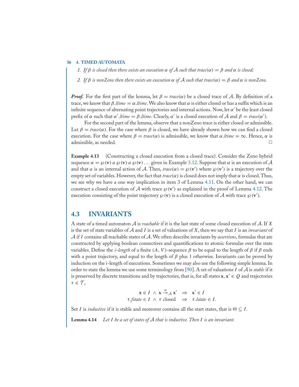- <span id="page-49-0"></span>**1.** If  $\beta$  is closed then there exists an execution  $\alpha$  of  $\beta$  such that trace $(\alpha) = \beta$  and  $\alpha$  is closed;
- *2. If β is nonZeno then there exists an execution α of* A *such that trace(α)* = *β and α is nonZeno.*

*Proof.* For the first part of the lemma, let  $\beta = \text{trace}(\alpha)$  be a closed trace of A. By definition of a trace, we know that *β.ltime* =  $\alpha$ .*ltime*. We also know that  $\alpha$  is either closed or has a suffix which is an infinite sequence of alternating point trajectories and internal actions. Now, let *α*<sup>'</sup> be the least closed prefix of *α* such that  $\alpha'$ .*ltime* =  $\beta$ .*ltime*. Clearly,  $\alpha'$  is a closed execution of A and  $\beta = \text{trace}(\alpha')$ .

For the second part of the lemma, observe that a nonZeno trace is either closed or admissible. Let  $\beta = \text{trace}(\alpha)$ . For the case where  $\beta$  is closed, we have already shown how we can find a closed execution. For the case where  $\beta = \text{trace}(\alpha)$  is admissible, we know that  $\alpha$ *.ltime* =  $\infty$ . Hence,  $\alpha$  is admissible, as needed.  $\Box$ 

**Example 4.13** (Constructing a closed execution from a closed trace). Consider the Zeno hybrid sequence  $\alpha = \beta(\mathbf{v}) \, a \, \beta(\mathbf{v}) \, a \, \beta(\mathbf{v}) \, \dots$  given in Example [3.12.](#page-34-0) Suppose that  $\alpha$  is an execution of  $\mathcal A$ and that *a* is an internal action of A. Then,  $trace(\alpha) = \wp(\mathbf{v}')$  where  $\wp(\mathbf{v}')$  is a trajectory over the empty set of variables. However, the fact that *trace* $(\alpha)$  is closed does not imply that  $\alpha$  is closed. Thus, we see why we have a one way implication in item 3 of Lemma [4.11.](#page-48-0) On the other hand, we can construct a closed execution of  $\mathcal A$  with trace  $\wp(\mathbf v')$  as explained in the proof of Lemma [4.12.](#page-48-0) The execution consisting of the point trajectory  $\wp(\mathbf{v})$  is a closed execution of A with trace  $\wp(\mathbf{v}')$ .

# **4.3 INVARIANTS**

A state of a timed automaton A is *reachable* if it is the last state of some closed execution of A. If *X* is the set of state variables of A and *I* is a set of valuations of *X*, then we say that *I* is an *invariant* of A if *I* contains all reachable states of A.We often describe invariants by *assertions*, formulas that are constructed by applying boolean connectives and quantifications to atomic formulas over the state variables. Define the *i-length* of a finite *(A, V )*-sequence *β* to be equal to the length of *β* if *β* ends with a point trajectory, and equal to the length of *β* plus 1 otherwise. Invariants can be proved by induction on the i-length of executions. Sometimes we may also use the following simple lemma. In order to state the lemma we use some terminology from [\[90](#page-126-0)]. A set of valuations *I* of A is *stable* if it is preserved by discrete transitions and by trajectories, that is, for all states  $\mathbf{x}, \mathbf{x}' \in Q$  and trajectories  $\tau \in \mathcal{T}$ ,

> $\mathbf{x} \in I \land \mathbf{x} \stackrel{a}{\rightarrow} A \mathbf{x}' \Rightarrow \mathbf{x}' \in I$  $\tau$ *.fstate*  $\in$  *I*  $\land$   $\tau$  closed  $\Rightarrow$   $\tau$ *.lstate*  $\in$  *I.*

Set *I* is *inductive* if it is stable and moreover contains all the start states, that is  $\Theta \subseteq I$ .

**Lemma 4.14** *Let I be a set of states of* A *that is inductive. Then I is an invariant.*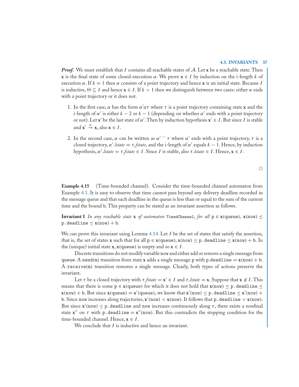#### **4.3. INVARIANTS 37**

*Proof.* We must establish that *I* contains all reachable states of A. Let **x** be a reachable state. Then **x** is the final state of some closed execution  $\alpha$ . We prove  $\mathbf{x} \in I$  by induction on the i-length *k* of execution *α*. If *k* = 1 then *α* consists of a point trajectory and hence **x** is an initial state. Because *I* is inductive,  $\Theta \subseteq I$  and hence  $\mathbf{x} \in I$ . If  $k > 1$  then we distinguish between two cases: either  $\alpha$  ends with a point trajectory or it does not.

- 1. In the first case,  $\alpha$  has the form  $\alpha' a\tau$  where  $\tau$  is a point trajectory containing state **x** and the i-length of  $\alpha'$  is either  $k - 2$  or  $k - 1$  (depending on whether  $\alpha'$  ends with a point trajectory or not). Let **x**<sup>'</sup> be the last state of  $\alpha'$ . Then by induction hypothesis  $\mathbf{x}' \in I$ . But since *I* is stable and  $\mathbf{x}' \stackrel{a}{\rightarrow} \mathbf{x}$ , also  $\mathbf{x} \in I$ .
- 2. In the second case, *α* can be written as  $\alpha' \hat{}$  *τ* where  $\alpha'$  ends with a point trajectory, *τ* is a closed trajectory,  $\alpha'$ .*lstate* = *τ.fstate*, and the i-length of  $\alpha'$  equals  $k - 1$ . Hence, by induction hypothesis,  $\alpha'$ .*lstate* =  $\tau$ .*fstate*  $\in$  *I*. Since *I* is stable, also  $\tau$ .*lstate*  $\in$  *I*. Hence,  $\mathbf{x} \in$  *I*.

 $\Box$ 

**Example 4.15** (Time-bounded channel). Consider the time-bounded channel automaton from Example [4.1.](#page-39-0) It is easy to observe that time cannot pass beyond any delivery deadline recorded in the message queue and that each deadline in the queue is less than or equal to the sum of the current time and the bound b. This property can be stated as an invariant assertion as follows.

**Invariant 1** *In any reachable state* **x** *of automaton* TimedChannel*, for all*  $p \in x$ *(queue),*  $x$ *(now)*  $\leq$  $p$ .deadline  $\leq x$ *(now)* + b.

We can prove this invariant using Lemma [4.14.](#page-49-0) Let *I* be the set of states that satisfy the assertion, that is, the set of states **x** such that for all  $p \in x$ *(queue)*,  $x$ *(now)*  $\leq p$ . deadline  $\leq x$ *(now)* + b. In the (unique) initial state **x**, **x**(queue) is empty and so  $\mathbf{x} \in I$ .

Discrete transitions do not modify variable now and either add or remove a single message from queue. A send(m) transition from state **x** adds a single message p with p.deadline  $= x(now) + b$ . A receive*(*m*)* transition removes a single message. Clearly, both types of actions preserve the invariant.

Let *τ* be a closed trajectory with *τ.fstate* = **x** ∈ *I* and *τ.lstate* = **x**. Suppose that **x** ∈ *I* . This means that there is some  $p \in x$ *(queue)* for which it does not hold that  $x(now) \le p$ . deadline  $\le$ **x**(now) + b. But since **x**(queue) = **x**<sup>'</sup>(queue), we know that **x**<sup>'</sup>(now)  $\leq$  p.deadline  $\leq$  **x**<sup>'</sup>(now) + b. Since now increases along trajectories,  $\mathbf{x}'(n \circ \mathbf{w}) < \mathbf{x}(n \circ \mathbf{w})$ . It follows that  $p \cdot \text{deadline} < \mathbf{x}(n \circ \mathbf{w})$ . But since  $\mathbf{x}'(n \cdot \mathbf{w}) \leq p$  deadline and now increases continuously along  $\tau$ , there exists a nonfinal state **x**<sup>*''*</sup> on  $\tau$  with p.deadline = **x**<sup>*''*</sup>(now). But this contradicts the stopping condition for the time-bounded channel. Hence,  $x \in I$ .

We conclude that *I* is inductive and hence an invariant.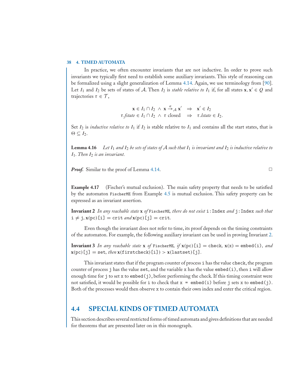In practice, we often encounter invariants that are not inductive. In order to prove such invariants we typically first need to establish some auxiliary invariants. This style of reasoning can be formalized using a slight generalization of Lemma [4.14.](#page-49-0) Again, we use terminology from [\[90](#page-126-0)]. Let  $I_1$  and  $I_2$  be sets of states of A. Then  $I_2$  is *stable relative to*  $I_1$  if, for all states  $\mathbf{x}, \mathbf{x}' \in Q$  and trajectories  $\tau \in \mathcal{T}$ ,

> $\mathbf{x} \in I_1 \cap I_2 \ \wedge \ \mathbf{x} \stackrel{a}{\rightarrow} \mathcal{A} \ \mathbf{x}' \Rightarrow \ \mathbf{x}' \in I_2$  $\tau$ *.fstate*  $\in$  *I*<sub>1</sub>  $\cap$  *I*<sub>2</sub>  $\wedge$   $\tau$  closed  $\Rightarrow$   $\tau$ *.lstate*  $\in$  *I*<sub>2</sub>*.*

Set  $I_2$  is *inductive relative to*  $I_1$  if  $I_2$  is stable relative to  $I_1$  and contains all the start states, that is  $\Theta$  ⊆ *I*<sub>2</sub>.

**Lemma 4.16** *Let*  $I_1$  *and*  $I_2$  *be sets of states of* A *such that*  $I_1$  *is invariant and*  $I_2$  *is inductive relative to I*1*. Then I*<sup>2</sup> *is an invariant.*

*Proof.* Similar to the proof of Lemma [4.14.](#page-49-0) ◯

**Example 4.17** (Fischer's mutual exclusion). The main safety property that needs to be satisfied by the automaton FischerME from Example [4.5](#page-41-0) is mutual exclusion. This safety property can be expressed as an invariant assertion.

**Invariant 2** *In any reachable state* **x** *of* FischerME*, there do not exist* i:Index *and* j:Index *such that*  $i \neq j$ ,  $\mathbf{x}(pc)[i] = \text{crit}$  *and*  $\mathbf{x}(pc)[j] = \text{crit}$ *.* 

Even though the invariant does not refer to time, its proof depends on the timing constraints of the automaton. For example, the following auxiliary invariant can be used in proving Invariant 2.

**Invariant 3** In any reachable state **x** of FischerME, if  $\mathbf{x}(pc)[i] = \text{check}, \mathbf{x}(x) = \text{embed}(i), \text{ and}$  $\mathbf{x}(\text{pc})[\text{j}] = \text{set}, \text{then } \mathbf{x}(\text{firstcheck})[\text{i}]) > \mathbf{x}(\text{lastset})[\text{j}].$ 

This invariant states that if the program counter of process i has the value check, the program counter of process j has the value set, and the variable x has the value  $embed(i)$ , then i will allow enough time for j to set x to embed(j), before performing the check. If this timing constraint were not satisfied, it would be possible for i to check that  $x = \text{embed}(i)$  before j sets x to  $\text{embed}(j)$ . Both of the processes would then observe x to contain their own index and enter the critical region.

# **4.4 SPECIAL KINDS OF TIMED AUTOMATA**

This section describes several restricted forms of timed automata and gives definitions that are needed for theorems that are presented later on in this monograph.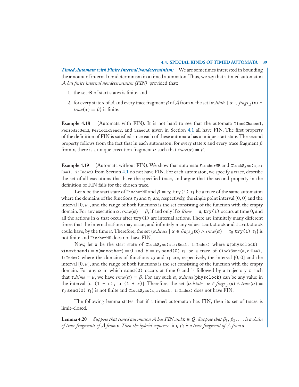## **4.4. SPECIAL KINDS OF TIMED AUTOMATA 39**

<span id="page-52-0"></span>*Timed Automata with Finite Internal Nondeterminism:* We are sometimes interested in bounding the amount of internal nondeterminism in a timed automaton. Thus, we say that a timed automaton A *has finite internal nondeterminism (FIN)* provided that:

- 1. the set  $\Theta$  of start states is finite, and
- 2. for every state **x** of A and every trace fragment  $\beta$  of A from **x**, the set {*α.lstate* | *α* ∈ *frags*<sub>A</sub>(**x**) ∧ *trace*( $\alpha$ ) =  $\beta$ } is finite.

**Example 4.18** (Automata with FIN). It is not hard to see that the automata TimedChannel, PeriodicSend, PeriodicSend2, and Timeout given in Section [4.1](#page-36-0) all have FIN. The first property of the definition of FIN is satisfied since each of these automata has a unique start state. The second property follows from the fact that in each automaton, for every state **x** and every trace fragment *β* from **x**, there is a unique execution fragment  $\alpha$  such that  $trace(\alpha) = \beta$ .

**Example 4.19** (Automata without FIN). We show that automata FischerME and ClockSync(a,r: Real, i:Index) from Section [4.1](#page-36-0) do not have FIN. For each automaton, we specify a trace, describe the set of all executions that have the specified trace, and argue that the second property in the definition of FIN fails for the chosen trace.

Let **x** be the start state of FischerME and  $\beta = \tau_0$  try(i)  $\tau_1$  be a trace of the same automaton where the domains of the functions  $\tau_0$  and  $\tau_1$  are, respectively, the single point interval [0, 0] and the interval [0*, u*], and the range of both functions is the set consisting of the function with the empty domain. For any execution *α*, *trace(α)* = *β*, if and only if *α.ltime* = u, try(i) occurs at time 0, and all the actions in  $\alpha$  that occur after try(i) are internal actions. There are infinitely many different times that the internal actions may occur, and infinitely many values lastcheck and firstcheck could have, by the time *u*. Therefore, the set { $\alpha$ .*lstate* |  $\alpha \in \text{frags}_{\Delta}(\mathbf{x}) \wedge \text{trace}(\alpha) = \tau_0 \text{ try (i) } \tau_1$ } is not finite and FischerME does not have FIN.

Now, let **x** be the start state of ClockSync(a,r:Real, i:Index) where **x***(*physclock*)* = **x**(**nextsend**) = **x**(**maxother**) = 0 and  $\beta$  = *τ*<sub>0</sub> send(0) *τ*<sub>1</sub> be a trace of ClockSync(a,r:Real, i:Index) where the domains of functions *τ*<sup>0</sup> and *τ*<sup>1</sup> are, respectively, the interval [0*,* 0] and the interval [0*, u*], and the range of both functions is the set consisting of the function with the empty domain. For any *α* in which send(0) occurs at time 0 and is followed by a trajectory *τ* such that *τ.ltime* = *u*, we have *trace(α)* = *β*. For any such *α*, *α.lstate(*physclock*)* can be any value in the interval [u (1 - r), u (1 + r)]. Therefore, the set  $\{\alpha. \text{lstate} \mid \alpha \in \text{frags}_{A}(x) \land \text{trace}(\alpha) =$ *τ*<sup>0</sup> send(0) *τ*1} is not finite and ClockSync(a,r:Real, i:Index) does not have FIN.

The following lemma states that if a timed automaton has FIN, then its set of traces is limit-closed.

**Lemma 4.20** *Suppose that timed automaton* A *has FIN and*  $\mathbf{x} \in Q$ *. Suppose that*  $\beta_1, \beta_2, \ldots$  *is a chain of trace fragments of* A *from* **x***. Then the hybrid sequence* lim*<sup>i</sup> βi is a trace fragment of* A *from* **x***.*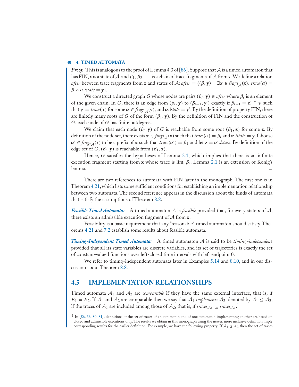*Proof.* This is analogous to the proof of Lemma 4.3 of [\[86\]](#page-126-0). Suppose that A is a timed automaton that has FIN, **x** is a state of A, and  $\beta_1, \beta_2, \ldots$  is a chain of trace fragments of A from **x**. We define a relation *after* between trace fragments from **x** and states of A: *after* = { $(\beta, y)$  | ∃*α* ∈ *frags*<sub>A</sub>(**x**). *trace*(*α*) =  $\beta \wedge \alpha$ *.lstate* = **y**}.

We construct a directed graph *G* whose nodes are pairs  $(\beta_i, \mathbf{y}) \in$  *after* where  $\beta_i$  is an element of the given chain. In *G*, there is an edge from  $(\beta_i, \mathbf{y})$  to  $(\beta_{i+1}, \mathbf{y}')$  exactly if  $\beta_{i+1} = \beta_i \cap \gamma$  such  $\alpha$  = *trace*(*α*) for some *α* ∈ *frags*<sub>A</sub>(**y**), and *α.lstate* = **y**<sup>'</sup>. By the definition of property FIN, there are finitely many roots of *G* of the form  $(\beta_1, y)$ . By the definition of FIN and the construction of *G*, each node of *G* has finite outdegree.

We claim that each node  $(\beta_i, \mathbf{y})$  of *G* is reachable from some root  $(\beta_1, \mathbf{z})$  for some **z**. By definition of the node set, there exists  $\alpha \in \text{frag}_{A}(x)$  such that  $\text{trace}(\alpha) = \beta_i$  and  $\alpha$ *.lstate* = **y**. Choose  $\alpha' \in \text{Frags}_{\mathcal{A}}(\mathbf{x})$  to be a prefix of  $\alpha$  such that  $\text{trace}(\alpha') = \beta_1$  and let  $\mathbf{z} = \alpha'$ . *lstate*. By definition of the edge set of *G*,  $(\beta_i, \mathbf{y})$  is reachable from  $(\beta_1, \mathbf{z})$ .

Hence, *G* satisfies the hypotheses of Lemma [2.1,](#page-24-0) which implies that there is an infinite execution fragment starting from **x** whose trace is lim*<sup>i</sup> βi*. Lemma [2.1](#page-24-0) is an extension of Konig's  $l$ emma.  $\Box$ 

There are two references to automata with FIN later in the monograph. The first one is in Theorem [4.21,](#page-54-0)which lists some sufficient conditions for establishing an implementation relationship between two automata. The second reference appears in the discussion about the kinds of automata that satisfy the assumptions of Theorem [8.8.](#page-107-0)

*Feasible Timed Automata:* A timed automaton A is *feasible* provided that, for every state **x** of A, there exists an admissible execution fragment of A from **x**.

Feasibility is a basic requirement that any "reasonable" timed automaton should satisfy. Theorems [4.21](#page-54-0) and [7.2](#page-100-0) establish some results about feasible automata.

*Timing-Independent Timed Automata:* A timed automaton A is said to be *timing-independent* provided that all its state variables are discrete variables, and its set of trajectories is exactly the set of constant-valued functions over left-closed time intervals with left endpoint 0.

We refer to timing-independent automata later in Examples [5.14](#page-77-0) and [8.10,](#page-109-0) and in our discussion about Theorem [8.8.](#page-107-0)

# **4.5 IMPLEMENTATION RELATIONSHIPS**

Timed automata  $A_1$  and  $A_2$  are *comparable* if they have the same external interface, that is, if  $E_1 = E_2$ . If  $\mathcal{A}_1$  and  $\mathcal{A}_2$  are comparable then we say that  $\mathcal{A}_1$  *implements*  $\mathcal{A}_2$ , denoted by  $\mathcal{A}_1 \leq \mathcal{A}_2$ , if the traces of  $A_1$  are included among those of  $A_2$ , that is, if *traces*  $A_1 \subseteq$  *traces*  $A_2$ .<sup>1</sup>

 $1$  In [\[86,](#page-126-0) [36,](#page-121-0) [80,](#page-125-0) [81\]](#page-125-0), definitions of the set of traces of an automaton and of one automaton implementing another are based on closed and admissible executions only. The results we obtain in this monograph using the newer, more inclusive definition imply corresponding results for the earlier definition. For example, we have the following property: If  $A_1 \leq A_2$  then the set of traces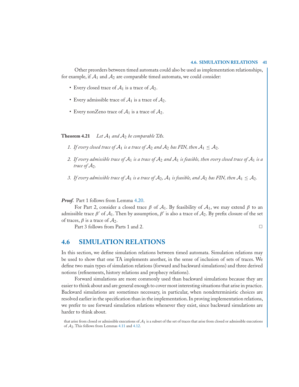#### **4.6. SIMULATION RELATIONS 41**

<span id="page-54-0"></span>Other preorders between timed automata could also be used as implementation relationships, for example, if  $A_1$  and  $A_2$  are comparable timed automata, we could consider:

- Every closed trace of  $A_1$  is a trace of  $A_2$ .
- Every admissible trace of  $A_1$  is a trace of  $A_2$ .
- Every nonZeno trace of  $A_1$  is a trace of  $A_2$ .

**Theorem 4.21** *Let*  $A_1$  *and*  $A_2$  *be comparable TAs.* 

- *1. If every closed trace of*  $A_1$  *is a trace of*  $A_2$  *and*  $A_2$  *has FIN, then*  $A_1 \leq A_2$ *.*
- 2. If every admissible trace of  $A_1$  is a trace of  $A_2$  and  $A_1$  is feasible, then every closed trace of  $A_1$  is a *trace* of  $A_2$ *.*
- *3.* If every admissible trace of  $A_1$  is a trace of  $A_2$ ,  $A_1$  is feasible, and  $A_2$  has FIN, then  $A_1 \leq A_2$ .

*Proof.* Part 1 follows from Lemma [4.20.](#page-52-0)

For Part 2, consider a closed trace  $\beta$  of  $\mathcal{A}_1$ . By feasibility of  $\mathcal{A}_1$ , we may extend  $\beta$  to an admissible trace  $\beta'$  of  $\mathcal{A}_1$ . Then by assumption,  $\beta'$  is also a trace of  $\mathcal{A}_2$ . By prefix closure of the set of traces,  $\beta$  is a trace of  $\mathcal{A}_2$ .

Part 3 follows from Parts 1 and 2.

# **4.6 SIMULATION RELATIONS**

In this section, we define simulation relations between timed automata. Simulation relations may be used to show that one TA implements another, in the sense of inclusion of sets of traces. We define two main types of simulation relations (forward and backward simulations) and three derived notions (refinements, history relations and prophecy relations).

Forward simulations are more commonly used than backward simulations because they are easier to think about and are general enough to cover most interesting situations that arise in practice. Backward simulations are sometimes necessary, in particular, when nondeterministic choices are resolved earlier in the specification than in the implementation. In proving implementation relations, we prefer to use forward simulation relations whenever they exist, since backward simulations are harder to think about.

that arise from closed or admissible executions of  $A_1$  is a subset of the set of traces that arise from closed or admissible executions of  $A_2$ . This follows from Lemmas [4.11](#page-48-0) and [4.12.](#page-48-0)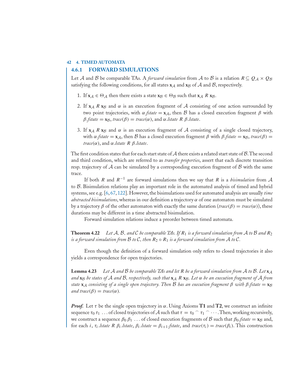# <span id="page-55-0"></span>**4.6.1 FORWARD SIMULATIONS**

Let A and B be comparable TAs. A *forward simulation* from A to B is a relation  $R \subseteq Q_A \times Q_B$ satisfying the following conditions, for all states  $\mathbf{x}_A$  and  $\mathbf{x}_B$  of A and B, respectively.

- 1. If  $\mathbf{x}_A \in \Theta_A$  then there exists a state  $\mathbf{x}_B \in \Theta_B$  such that  $\mathbf{x}_A$  *R*  $\mathbf{x}_B$ .
- 2. If  $x_A$  *R*  $x_B$  and  $\alpha$  is an execution fragment of A consisting of one action surrounded by two point trajectories, with  $α.fstate = x_A$ , then *B* has a closed execution fragment *β* with  $β. fstate = **x**<sub>B</sub>, \text{ } trace(B) = \text{ } trace(\alpha), \text{ and } α. \text{ } Istate \text{ } R \text{ } β. \text{ } Istate.$
- 3. If  $x_A R x_B$  and  $\alpha$  is an execution fragment of A consisting of a single closed trajectory, with *α.fstate* = **x**<sub>A</sub>, then *B* has a closed execution fragment *β* with *β.fstate* = **x**<sub>B</sub>, *trace*(*β*) = *trace(α)*, and *α.lstate R β.lstate*.

The first condition states that for each start state of A there exists a related start state of  $\beta$ . The second and third condition, which are referred to as *transfer properties*, assert that each discrete transition resp. trajectory of  $A$  can be simulated by a corresponding execution fragment of  $B$  with the same trace.

If both *<sup>R</sup>* and *<sup>R</sup>*−<sup>1</sup> are forward simulations then we say that *<sup>R</sup>* is a *bisimulation* from <sup>A</sup> to B. Bisimulation relations play an important role in the automated analysis of timed and hybrid systems, see e.g. [\[6,](#page-118-0) [67,](#page-124-0) [122\]](#page-130-0). However, the bisimulations used for automated analysis are usually *time abstracted bisimulations*, whereas in our definition a trajectory *α* of one automaton must be simulated by a trajectory *β* of the other automaton with exactly the same duration (*trace(β)* = *trace(α)*), these durations may be different in a time abstracted bisimulation.

Forward simulation relations induce a preorder between timed automata.

**Theorem 4.22** *Let*  $A$ *,*  $B$ *, and*  $C$  *be comparable TAs. If*  $R_1$  *is a forward simulation from*  $A$  *to*  $B$  *and*  $R_2$ *is a forward simulation from*  $B$  *to*  $C$ *, then*  $R_2 \circ R_1$  *is a forward simulation from*  $A$  *to*  $C$ *.* 

Even though the definition of a forward simulation only refers to closed trajectories it also yields a correspondence for open trajectories.

**Lemma 4.23** *Let* A *and* B *be comparable TAs and let R be a forward simulation from* A *to* B*. Let* **x**<sup>A</sup> *and* **x**<sup>B</sup> *be states of* A *and* B*, respectively, such that* **x**<sup>A</sup> *R* **x**B*. Let α be an execution fragment of* A *from state* **x**<sup>A</sup> *consisting of a single open trajectory. Then* B *has an execution fragment β with β.fstate* = **x**<sup>B</sup>  $and$   $trace(\beta) = trace(\alpha)$ *.* 

*Proof.* Let *τ* be the single open trajectory in *α*. Using Axioms **T1** and **T2**, we construct an infinite sequence *τ*<sub>0</sub> *τ*<sub>1</sub> ... of closed trajectories of A such that  $τ = τ_0 < τ_1  $\cdots$ . Then, working recursively,$ we construct a sequence  $\beta_0 \beta_1 \ldots$  of closed execution fragments of B such that  $\beta_0$ *. fstate* = **x**B and, for each *i*,  $\tau_i$ .*lstate*  $R$   $\beta_i$ .*lstate*,  $\beta_i$ .*lstate* =  $\beta_{i+1}$ .*fstate*, and *trace*( $\tau_i$ ) = *trace*( $\beta_i$ ). This construction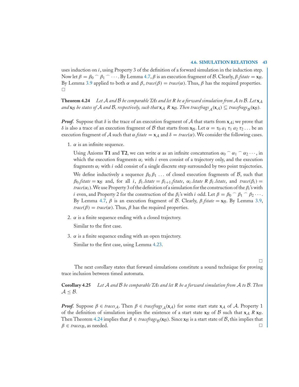#### **4.6. SIMULATION RELATIONS 43**

uses induction on *i*, using Property 3 of the definition of a forward simulation in the induction step. Now let  $\beta = \beta_0 \cap \beta_1 \cap \cdots$ . By Lemma [4.7,](#page-46-0)  $\beta$  is an execution fragment of B. Clearly,  $\beta$ *, fstate* = **x** $\beta$ . By Lemma [3.9](#page-34-0) applied to both *α* and *β*, *trace*(*β*) = *trace*(*α*). Thus, *β* has the required properties.  $\Box$ 

**Theorem 4.24** *Let* A *and* B *be comparable TAs and let R be a forward simulation from* A *to* B*. Let* **x**<sup>A</sup>  $a$ nd **x**<sub>B</sub> *be states of* A *and* B, respectively, such that **x**<sub>A</sub> R **x**<sub>B</sub>. Then tracefrags<sub>A</sub>(**x**<sub>A</sub>) ⊆ tracefrags<sub>B</sub>(**x**<sub>B</sub>).

*Proof.* Suppose that  $\delta$  is the trace of an execution fragment of A that starts from **x**<sub>A</sub>; we prove that *δ* is also a trace of an execution fragment of *B* that starts from **x**<sub>B</sub>. Let  $\alpha = \tau_0 a_1 \tau_1 a_2 \tau_2 \dots$  be an execution fragment of A such that  $\alpha$ *, fstate* = **x**<sub>A</sub> and  $\delta$  = *trace*( $\alpha$ ). We consider the following cases.

1.  $\alpha$  is an infinite sequence.

Using Axioms **T1** and **T2**, we can write  $\alpha$  as an infinite concatenation  $\alpha_0 \alpha_1 \alpha_2 \cdots$ , in which the execution fragments  $\alpha_i$  with *i* even consist of a trajectory only, and the execution fragments *αi* with *i* odd consist of a single discrete step surrounded by two point trajectories.

We define inductively a sequence  $\beta_0 \beta_1 \ldots$  of closed execution fragments of  $\beta$ , such that  $\beta_0$ *fstate* = **x**<sub>B</sub> and, for all *i*,  $\beta_i$ *.lstate* =  $\beta_{i+1}$ *fstate*,  $\alpha_i$ *.lstate* R  $\beta_i$ *.lstate*, and *trace*( $\beta_i$ ) = *trace*( $\alpha_i$ ). We use Property 3 of the definition of a simulation for the construction of the  $\beta_i$ 's with *i* even, and Property 2 for the construction of the  $\beta_i$ 's with *i* odd. Let  $\beta = \beta_0 \cap \beta_1 \cap \beta_2 \cdots$ . By Lemma [4.7,](#page-46-0) *β* is an execution fragment of *B*. Clearly, *β.fstate* = **x***B*. By Lemma [3.9,](#page-34-0) *trace* $(\beta) = \text{trace}(\alpha)$ . Thus,  $\beta$  has the required properties.

2. *α* is a finite sequence ending with a closed trajectory.

Similar to the first case.

3. *α* is a finite sequence ending with an open trajectory. Similar to the first case, using Lemma [4.23.](#page-55-0)

The next corollary states that forward simulations constitute a sound technique for proving trace inclusion between timed automata.

**Corollary 4.25** *Let* A *and* B *be comparable TAs and let R be a forward simulation from* A *to* B*. Then*  $\mathcal{A} \leq \mathcal{B}$ .

*Proof.* Suppose  $\beta \in \text{traces}_\mathcal{A}$ . Then  $\beta \in \text{tracefrag}_{\mathcal{A}}(\mathbf{x}_\mathcal{A})$  for some start state  $\mathbf{x}_\mathcal{A}$  of  $\mathcal{A}$ . Property 1 of the definition of simulation implies the existence of a start state  $\mathbf{x}_\beta$  of  $\beta$  such that  $\mathbf{x}_A R \mathbf{x}_B$ . Then Theorem 4.24 implies that  $\beta \in \text{tracefrags}_B(\mathbf{x}_B)$ . Since  $\mathbf{x}_B$  is a start state of  $\beta$ , this implies that  $\beta \in \text{traces}_B$ , as needed.  $\beta \in \text{traces}_B$ , as needed.

 $\Box$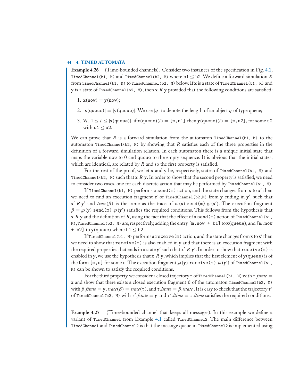<span id="page-57-0"></span>**Example 4.26** (Time-bounded channels). Consider two instances of the specification in Fig. [4.1,](#page-40-0) TimedChannel(b1, M) and TimedChannel(b2, M) where  $b1 \le b2$ . We define a forward simulation *R* from TimedChannel(b1, M) to TimedChannel(b2, M) below. If **x** is a state of TimedChannel(b1, M) and **y** is a state of TimedChannel(b2, M), then **x**  $R$  **y** provided that the following conditions are satisfied:

- 1.  $x(\text{now}) = y(\text{now})$ ;
- 2.  $|\mathbf{x}(q) = |\mathbf{y}(q) = \mathbf{z}|$ . We use  $|q|$  to denote the length of an object *q* of type queue;
- 3.  $\forall i. 1 \leq i \leq |\mathbf{x}(\text{queue})|, \text{ if } \mathbf{x}(\text{queue})(i) = [\mathbf{m}, \mathbf{u} \mathbf{1}] \text{ then } \mathbf{y}(\text{queue})(i) = [\mathbf{m}, \mathbf{u} \mathbf{2}], \text{ for some } \mathbf{u} \mathbf{2}$ with  $u1 < u2$ .

We can prove that  $R$  is a forward simulation from the automaton TimedChannel(b1, M) to the automaton TimedChannel(b2,  $M$ ) by showing that *R* satisfies each of the three properties in the definition of a forward simulation relation. In each automaton there is a unique initial state that maps the variable now to 0 and queue to the empty sequence. It is obvious that the initial states, which are identical, are related by *R* and so the first property is satisfied.

For the rest of the proof, we let **x** and **y** be, respectively, states of TimedChannel(b1, M) and TimedChannel(b2, M) such that **x** *R* **y**. In order to show that the second property is satisfied, we need to consider two cases, one for each discrete action that may be performed by TimedChannel(b1, M).

If TimedChannel(b1,  $M$ ) performs a send(m) action, and the state changes from **x** to **x**<sup>'</sup> then we need to find an execution fragment *β* of TimedChannel(b2,M) from *y* ending in *y'*, such that **x**<sup>'</sup> *R* **y**<sup>'</sup> and *trace*(*β*) is the same as the trace of  $\wp$  (**x**) send(m)  $\wp$  (**x**<sup>'</sup>). The execution fragment  $\beta = \wp(y)$  send(m)  $\wp(y')$  satisfies the required conditions. This follows from the hypothesis that **x**  $R$  **y** and the definition of  $R$ , using the fact that the effect of a send(m) action of TimedChannel(b1, M), TimedChannel(b2, M) are, respectively, adding the entry [m,now + b1] to **x***(*queue*)*, and [m,now + b2] to  $\mathbf{y}$ *(queue)* where b1  $\leq$  b2.

If TimedChannel (b1, M) performs a receive (m) action, and the state changes from **x** to **x**<sup>'</sup> then we need to show that receive(m) is also enabled in **y** and that there is an execution fragment with the required properties that ends in a state  $\mathbf{y}'$  such that  $\mathbf{x}'$   $R$   $\mathbf{y}'$ . In order to show that  $\mathbf{r}$  eceive (m) is enabled in **y**, we use the hypothesis that **x**  $R$  **y**, which implies that the first element of **y**(queue) is of the form  $[m, u]$  for some u. The execution fragment  $\wp(y)$  receive (m)  $\wp(y')$  of TimedChannel (b1, M) can be shown to satisfy the required conditions.

For the third property,we consider a closed trajectory *τ* of TimedChannel(b1, M)with *τ.fstate* = **x** and show that there exists a closed execution fragment  $\beta$  of the automaton TimedChannel (b2, M) with  $\beta$ *.fstate* = **y**, *trace*( $\beta$ ) = *trace*( $\tau$ ), and  $\tau$ *.lstate* =  $\beta$ *.lstate* . It is easy to check that the trajectory  $\tau'$ of TimedChannel(b2, M) with  $\tau'$  *fstate* = **y** and  $\tau'$ *.ltime* =  $\tau$ *.ltime* satisfies the required conditions.

**Example 4.27** (Time-bounded channel that keeps all messages). In this example we define a variant of TimedChannel from Example [4.1](#page-39-0) called TimedChannel2. The main difference between TimedChannel and TimedChannel2 is that the message queue in TimedChannel2 is implemented using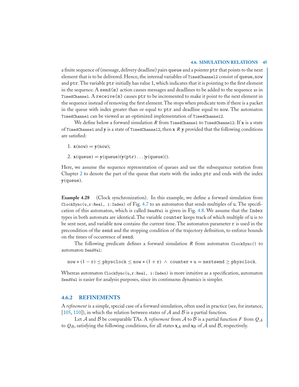#### **4.6. SIMULATION RELATIONS 45**

<span id="page-58-0"></span>a finite sequence of (message, delivery deadline) pairs queue and a pointer ptr that points to the next element that is to be delivered. Hence, the internal variables of TimedChannel2 consist of queue, now and ptr. The variable ptr initially has value 1, which indicates that it is pointing to the first element in the sequence. A send(m) action causes messages and deadlines to be added to the sequence as in TimedChannel. A receive(m) causes ptr to be incremented to make it point to the next element in the sequence instead of removing the first element.The stops when predicate tests if there is a packet in the queue with index greater than or equal to ptr and deadline equal to now. The automaton TimedChannel can be viewed as an optimized implementation of TimedChannel2.

We define below a forward simulation *R* from TimedChannel to TimedChannel2. If **x** is a state of TimedChannel and **y** is a state of TimedChannel2, then **x** *R* **y** provided that the following conditions are satisfied:

- 1.  $\mathbf{x}(\text{now}) = \mathbf{y}(\text{now})$ ;
- 2.  $\mathbf{x}$ (queue) =  $\mathbf{y}$ (queue)( $\mathbf{y}$ (ptr)... $|\mathbf{y}$ (queue)|).

Here, we assume the sequence representation of queues and use the subsequence notation from Chapter [2](#page-22-0) to denote the part of the queue that starts with the index ptr and ends with the index **y***(*queue*)*.

**Example 4.28** (Clock synchronization). In this example, we define a forward simulation from  $ClockSpec(u,r:Real, i:Index)$  of Fig. [4.7](#page-46-0) to an automaton that sends multiples of u. The specification of this automaton, which is called SendVal is given in Fig. [4.8.](#page-59-0) We assume that the Index types in both automata are identical. The variable counter keeps track of which multiple of u is to be sent next, and variable now contains the current time. The automaton parameter  $\mathbf r$  is used in the precondition of the send and the stopping condition of the trajectory definition, to enforce bounds on the times of occurrence of send.

The following predicate defines a forward simulation *R* from automaton ClockSync() to automaton SendVal:

 $now * (1 - r) \leq physicalock \leq now * (1 + r) \land counter * u = nextsend \geq physicalock.$ 

Whereas automaton ClockSync(u,r:Real, i:Index) is more intuitive as a specification, automaton SendVal is easier for analysis purposes, since its continuous dynamics is simpler.

#### **4.6.2 REFINEMENTS**

A *refinement* is a simple, special case of a forward simulation, often used in practice (see, for instance, [\[105](#page-128-0), [110\]](#page-128-0)), in which the relation between states of  $A$  and  $B$  is a partial function.

Let A and B be comparable TAs. A *refinement* from A to B is a partial function F from  $Q_A$ to  $Q_B$ , satisfying the following conditions, for all states  $\mathbf{x}_A$  and  $\mathbf{x}_B$  of A and B, respectively.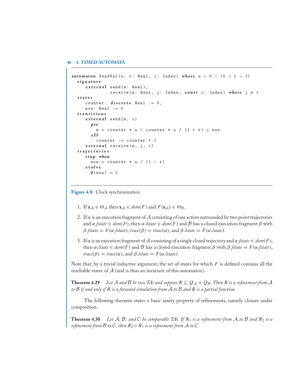```
automaton SendVal(u, r: Real, i: Index) where u > 0 \wedge (0 \le r < 1)signature
      external send(m: Real),
                 \text{receive}(\text{m}: \text{Real}, \text{j}: \text{Index}, \text{const} \text{ i}: \text{Index}) \text{ where } \text{j} \neq \text{i}states
      counter: discrete Real := 0,
      now: Real := 0transitions
      external send(m, i)
        pre
           m = counter * u \wedge counter * u / (1 + r) \leq noweff
           counter := counter + 1external receive(m, j, i)
  trajectories
      stop when
        now = counter * u / (1 - r)evolve
        d(now) = 1
```
**Figure 4.8:** Clock synchronization.

- 1. If  $\mathbf{x}_{\mathcal{A}} \in \Theta_{\mathcal{A}}$  then  $\mathbf{x}_{\mathcal{A}} \in \text{dom}(F)$  and  $F(\mathbf{x}_{\mathcal{A}}) \in \Theta_{\mathcal{B}}$ .
- 2. If *α* is an execution fragment of A consisting of one action surrounded by two point trajectories and  $\alpha$ *.fstate*  $\in dom(F)$ , then  $\alpha$ *.lstate*  $\in dom(F)$  and  $\beta$  has a closed execution fragment  $\beta$  with  $\beta$ *.fstate* =  $F(\alpha$ *.fstate*)*, trace*( $\beta$ ) = *trace*( $\alpha$ )*,* and  $\beta$ *.lstate* =  $F(\alpha$ *.lstate*).
- 3. If  $\alpha$  is an execution fragment of A consisting of a single closed trajectory and  $\alpha$ *.fstate*  $\in dom(F)$ , then  $\alpha$ *.lstate*  $\in$  *dom*(*F*) and *B* has a closed execution fragment  $\beta$  with  $\beta$ *.fstate* =  $F(\alpha$ *.fstate*),  $trace(\beta) = trace(\alpha)$ , and  $\beta$ *.lstate* =  $F(\alpha$ *.lstate* $)$ .

Note that, by a trivial inductive argument, the set of states for which *F* is defined contains all the reachable states of  $A$  (and is thus an invariant of this automaton).

**Theorem 4.29** *Let*  $A$  and  $B$  be two TAs and suppose  $R \subseteq Q_{\mathcal{A}} \times Q_{\mathcal{B}}$ . Then  $R$  is a refinement from  $\mathcal{A}$ *to* B *if and only if R is a forward simulation from* A *to* B *and R is a partial function.*

The following theorem states a basic sanity property of refinements, namely closure under composition.

**Theorem 4.30** *Let* A*,*B*, and* C *be comparable TAs. If R*<sup>1</sup> *is a refinement from* A *to* B *and R*<sup>2</sup> *is a refinement from*  $B$  *to*  $C$ *, then*  $R_2 \circ R_1$  *is a refinement from*  $A$  *to*  $C$ *.*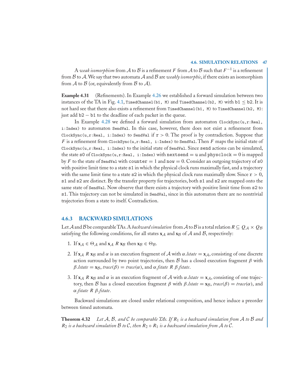#### **4.6. SIMULATION RELATIONS 47**

A *weak isomorphism* from A to B is a refinement F from A to B such that  $F^{-1}$  is a refinement from B to A.We say that two automata A and B are *weakly isomorphic*, if there exists an isomorphism from A to B (or, equivalently from B to A).

**Example 4.31** (Refinements). In Example [4.26](#page-57-0) we established a forward simulation between two instances of the TA in Fig. [4.1,](#page-40-0) TimedChannel(b1, M) and TimedChannel(b2, M) with  $b1 \leq b2$ . It is not hard see that there also exists a refinement from TimedChannel(b1, M) to TimedChannel(b2, M): just add b2 − b1 to the deadline of each packet in the queue.

In Example [4.28](#page-58-0) we defined a forward simulation from automaton  $\text{ClockSpec}(u, r: Real)$ , i:Index) to automaton SendVal. In this case, however, there does not exist a refinement from ClockSync(u,r:Real, i:Index) to SendVal if  $r > 0$ . The proof is by contradiction. Suppose that *F* is a refinement from ClockSync(u,r:Real, i:Index) to SendVal. Then *F* maps the initial state of ClockSync(u,r:Real, i:Index) to the initial state of SendVal. Since send actions can be simulated, the state s0 of ClockSync(u,r:Real, i:Index) with nextsend = u and physclock = 0 is mapped by *F* to the state of SendVal with counter  $= 1$  and now  $= 0$ . Consider an outgoing trajectory of s0 with positive limit time to a state  $s1$  in which the physical clock runs maximally fast, and a trajectory with the same limit time to a state  $s2$  in which the physical clock runs maximally slow. Since  $r > 0$ , s1 and s2 are distinct. By the transfer property for trajectories, both s1 and s2 are mapped onto the same state of SendVal. Now observe that there exists a trajectory with positive limit time from s2 to s1. This trajectory can not be simulated in SendVal, since in this automaton there are no nontrivial trajectories from a state to itself. Contradiction.

#### **4.6.3 BACKWARD SIMULATIONS**

Let A and B be comparable TAs. A *backward simulation* from A to B is a total relation  $R \subseteq Q_A \times Q_B$ satisfying the following conditions, for all states  $\mathbf{x}_A$  and  $\mathbf{x}_B$  of  $A$  and  $B$ , respectively:

- 1. If  $\mathbf{x}_{\mathcal{A}} \in \Theta_{\mathcal{A}}$  and  $\mathbf{x}_{\mathcal{A}}$  *R*  $\mathbf{x}_{\mathcal{B}}$  then  $\mathbf{x}_{\mathcal{B}} \in \Theta_{\mathcal{B}}$ .
- 2. If  $\mathbf{x}_A$  *R*  $\mathbf{x}_B$  and  $\alpha$  is an execution fragment of A with  $\alpha$ .*lstate* =  $\mathbf{x}_A$ , consisting of one discrete action surrounded by two point trajectories, then  $\beta$  has a closed execution fragment  $\beta$  with  $β.$ *lstate* = *trace* $(β) = trace(α),$  **and**  $α.$ *fstate* $R$  $β.$ *fstate***.**
- 3. If **x**<sub>A</sub>  $R$  **x**<sub>B</sub> and  $\alpha$  is an execution fragment of  $\mathcal A$  with  $\alpha$ .*lstate* = **x**<sub>A</sub>, consisting of one trajectory, then *B* has a closed execution fragment *β* with *β.lstate* = **x***B*, *trace*(*β*) = *trace*(*α*), and *α.fstate R β.fstate*.

Backward simulations are closed under relational composition, and hence induce a preorder between timed automata.

**Theorem 4.32** *Let* A*,*B*, and* C *be comparable TAs. If R*<sup>1</sup> *is a backward simulation from* A *to* B *and R*<sup>2</sup> *is a backward simulation* B *to* C*, then R*<sup>2</sup> ◦ *R*<sup>1</sup> *is a backward simulation from* A *to* C*.*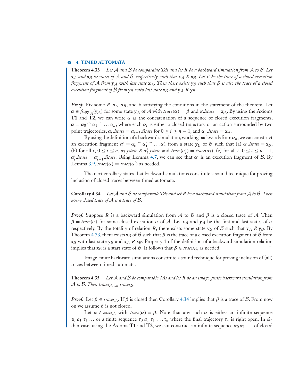**Theorem 4.33** *Let* A *and* B *be comparable TAs and let R be a backward simulation from* A *to* B*. Let* **x**<sup>A</sup> *and* **x**<sup>B</sup> *be states of* A *and* B*, respectively, such that* **x**<sup>A</sup> *R* **x**B*. Let β be the trace of a closed execution fragment of* A *from* **y**<sup>A</sup> *with last state* **x**A*. Then there exists* **y**<sup>B</sup> *such that β is also the trace of a closed execution fragment of* B *from* **y**<sup>B</sup> *with last state* **x**<sup>B</sup> *and* **y**<sup>A</sup> *R* **y**B*.*

*Proof.* Fix some  $R$ ,  $\mathbf{x}_A$ ,  $\mathbf{x}_B$ , and  $\beta$  satisfying the conditions in the statement of the theorem. Let  $\alpha \in \text{frags}_A(y_\mathcal{A})$  for some state  $y_\mathcal{A}$  of  $\mathcal A$  with *trace* $(\alpha) = \beta$  and  $\alpha$ *.lstate* = **x**<sub>A</sub>. By using the Axioms **T1** and **T2**, we can write  $\alpha$  as the concatenation of a sequence of closed execution fragments,  $\alpha = \alpha_0 \alpha_1 \alpha_1 \dots \alpha_n$ , where each  $\alpha_i$  is either a closed trajectory or an action surrounded by two point trajectories,  $\alpha_i$ .*lstate* =  $\alpha_{i+1}$ .*fstate* for  $0 \le i \le n-1$ , and  $\alpha_n$ .*lstate* =  $\mathbf{x}_A$ .

By using the definition of a backward simulation, working backwards from  $\alpha_n$ , we can construct an execution fragment  $\alpha' = \alpha'_0 \cap \alpha'_1 \cap \ldots \alpha'_n$  from a state  $y_B$  of B such that (a)  $\alpha'$ . *lstate* = **x**B, (b) for all  $i, 0 \le i \le n$ ,  $\alpha_i$  fstate R  $\alpha'_i$  fstate and trace( $\alpha'_i$ ) = trace( $\alpha_i$ ), (c) for all  $i, 0 \le i \le n-1$ ,  $\alpha'_i$ *. lstate* =  $\alpha'_{i+1}$ *. fstate*. Using Lemma [4.7,](#page-46-0) we can see that  $\alpha'$  is an execution fragment of B. By Lemma [3.9,](#page-34-0)  $trace(\alpha') = trace(\alpha')$  as needed.

The next corollary states that backward simulations constitute a sound technique for proving inclusion of closed traces between timed automata.

**Corollary 4.34** *Let* A *and* B *be comparable TAs and let R be a backward simulation from* A *to* B*.Then every closed trace of* A *is a trace of* B*.*

*Proof.* Suppose *R* is a backward simulation from A to B and  $\beta$  is a closed trace of A. Then *β* = *trace*(*α*) for some closed execution *α* of A. Let **x**<sub>A</sub> and **y**<sub>A</sub> be the first and last states of *α* respectively. By the totality of relation *R*, there exists some state  $y_B$  of B such that  $y_A R y_B$ . By Theorem 4.33, there exists  $\mathbf{x}$ B of  $\beta$  such that  $\beta$  is the trace of a closed execution fragment of  $\beta$  from **x**B with last state **y**B and **x**<sub>A</sub> *R* **x**B. Property 1 of the definition of a backward simulation relation implies that **x** is a start state of B. It follows that  $\beta \in \text{traces}_n$ , as needed. implies that  $\mathbf{x}_\mathcal{B}$  is a start state of  $\mathcal{B}$ . It follows that  $\beta \in \mathit{traces}_B$ , as needed.

Image-finite backward simulations constitute a sound technique for proving inclusion of (all) traces between timed automata.

**Theorem 4.35** *Let* A *and* B *be comparable TAs and let R be an image-finite backward simulation from*  $A$  *to*  $B$ *. Then traces*  $\mathcal{A} \subseteq$  *traces*  $B$ *.* 

*Proof.* Let  $\beta \in \text{traces}_A$ . If  $\beta$  is closed then Corollary 4.34 implies that  $\beta$  is a trace of  $\beta$ . From now on we assume  $\beta$  is not closed.

Let  $\alpha \in \text{exess}_A$  with  $\text{trace}(\alpha) = \beta$ . Note that any such  $\alpha$  is either an infinite sequence *τ*<sub>0</sub> *a*<sub>1</sub> *τ*<sub>1</sub> *...* or a finite sequence *τ*<sub>0</sub> *a*<sub>1</sub> *τ*<sub>1</sub> *... τ<sub>n</sub>* where the final trajectory *τ<sub>n</sub>* is right open. In either case, using the Axioms **T1** and **T2**, we can construct an infinite sequence  $\alpha_0 \alpha_1 \ldots$  of closed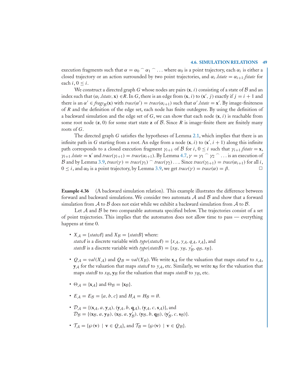#### **4.6. SIMULATION RELATIONS 49**

<span id="page-62-0"></span>execution fragments such that  $\alpha = \alpha_0 \cap \alpha_1 \cap \ldots$  where  $\alpha_0$  is a point trajectory, each  $\alpha_i$  is either a closed trajectory or an action surrounded by two point trajectories, and  $\alpha_i$ .*lstate* =  $\alpha_{i+1}$ *.fstate* for each  $i, 0 \leq i$ .

We construct a directed graph *G* whose nodes are pairs  $(x, i)$  consisting of a state of  $\beta$  and an index such that  $(\alpha_i \text{.} \text{.} \text{.} \text{I} \text{.} \text{I} \text{.} \text{I} \text{.} \text{I} \text{.} \text{I} \text{.} \text{I} \text{.} \text{I} \text{.} \text{I} \text{.} \text{I} \text{.} \text{I} \text{.} \text{I} \text{.} \text{I} \text{.} \text{I} \text{.} \text{I} \text{.} \text{I} \text{.} \text{I} \text{.} \text{I} \text{.} \text{I} \text{.} \text{I} \$ there is an  $\alpha' \in \text{frags}_B(\mathbf{x})$  with  $\text{trace}(\alpha') = \text{trace}(\alpha_{i+1})$  such that  $\alpha'.\text{lstate} = \mathbf{x}'.$  By image-finiteness of *R* and the definition of the edge set, each node has finite outdegree. By using the definition of a backward simulation and the edge set of *G*, we can show that each node *(***x***, i)* is reachable from some root node *(***z***,* 0*)* for some start state **z** of B. Since *R* is image-finite there are finitely many roots of *G*.

The directed graph *G* satisfies the hypotheses of Lemma [2.1,](#page-24-0) which implies that there is an infinite path in G starting from a root. An edge from a node  $(\mathbf{x}, i)$  to  $(\mathbf{x}', i + 1)$  along this infinite path corresponds to a closed execution fragment  $\gamma_{i+1}$  of B for *i*,  $0 \le i$  such that  $\gamma_{i+1}$ *.fstate* = **x**,  $\gamma_{i+1}$ *.lstate* = **x**<sup>'</sup> and *trace*( $\gamma_{i+1}$ ) = *trace*( $\alpha_{i+1}$ ). By Lemma [4.7,](#page-46-0)  $\gamma = \gamma_1 \cap \gamma_2 \cap ...$  is an execution of *B* and by Lemma [3.9,](#page-34-0) *trace*(γ) = *trace*(γ<sub>1</sub>)  $\cap$  *trace*(γ<sub>2</sub>).... Since *trace*(γ<sub>*i*+1</sub>) = *trace*(α<sub>*i*+1</sub>) for all *i*, 0 < *i*, and α<sub>0</sub> is a point traiectory, by Lemma 3.9, we get *trace*(γ) = *trace*(α) = *B*  $0 ≤ i$ , and  $α_0$  is a point trajectory, by Lemma [3.9,](#page-34-0) we get *trace*( $γ$ ) = *trace*( $α$ ) =  $β$ .

**Example 4.36** (A backward simulation relation). This example illustrates the difference between forward and backward simulations. We consider two automata  $A$  and  $B$  and show that a forward simulation from A to B does not exist while we exhibit a backward simulation from A to B.

Let  $A$  and  $B$  be two comparable automata specified below. The trajectories consist of a set of point trajectories. This implies that the automaton does not allow time to pass — everything happens at time 0.

- $X_A = \{stateA\}$  and  $X_B = \{stateB\}$  where: *stateA* is a discrete variable with  $type(stateA) = \{x_A, y_A, q_A, s_A\}$ , and *stateB* is a discrete variable with  $type(stateB) = \{x_B, y_B, y'_B, q_B, sg\}.$
- $Q_A = val(X_A)$  and  $Q_B = val(X_B)$ . We write  $\mathbf{x}_A$  for the valuation that maps *stateA* to  $x_A$ , **y**<sub>A</sub> for the valuation that maps *stateA* to *y*<sub>A</sub>, etc. Similarly, we write **x**<sub>B</sub> for the valuation that maps *stateB* to  $x_B$ ,  $y_B$  for the valuation that maps *stateB* to  $y_B$ , etc.
- $\Theta_{\mathcal{A}} = {\mathbf{x}_{\mathcal{A}}}$  and  $\Theta_{\mathcal{B}} = {\mathbf{x}_{\mathcal{B}}}.$
- $E_A = E_B = \{a, b, c\}$  and  $H_A = H_B = \emptyset$ .
- $\mathcal{D}_{\mathcal{A}} = \{ (\mathbf{x}_{\mathcal{A}}, a, \mathbf{y}_{\mathcal{A}}), (\mathbf{y}_{\mathcal{A}}, b, \mathbf{q}_{\mathcal{A}}), (\mathbf{y}_{\mathcal{A}}, c, \mathbf{s}_{\mathcal{A}}) \}$ , and  $\mathcal{D}_{\mathcal{B}} = \{(\mathbf{x}_{\mathcal{B}}, a, \mathbf{y}_{\mathcal{B}}), (\mathbf{x}_{\mathcal{B}}, a, \mathbf{y}_{\mathcal{B}}^{\dagger}), (\mathbf{y}_{\mathcal{B}}, b, \mathbf{q}_{\mathcal{B}}), (\mathbf{y}_{\mathcal{B}}^{\dagger}, c, \mathbf{s}_{\mathcal{B}})\}.$
- $\mathcal{T}_A = \{ \wp(\mathbf{v}) \mid \mathbf{v} \in Q_A \},\$  and  $\mathcal{T}_B = \{ \wp(\mathbf{v}) \mid \mathbf{v} \in Q_B \}.$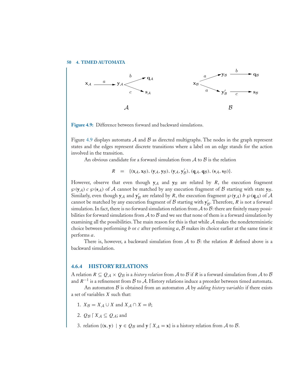

**Figure 4.9:** Difference between forward and backward simulations.

Figure 4.9 displays automata  $\mathcal A$  and  $\mathcal B$  as directed multigraphs. The nodes in the graph represent states and the edges represent discrete transitions where a label on an edge stands for the action involved in the transition.

An obvious candidate for a forward simulation from  $A$  to  $B$  is the relation

 $R = \{ (x_{\mathcal{A}}, x_{\mathcal{B}}), (y_{\mathcal{A}}, y_{\mathcal{B}}), (y_{\mathcal{A}}, y_{\mathcal{B}}'), (q_{\mathcal{A}}, q_{\mathcal{B}}), (s_{\mathcal{A}}, s_{\mathcal{B}}) \}.$ 

However, observe that even though  $y_A$  and  $y_B$  are related by  $R$ , the execution fragment  $\wp(\mathbf{y}_\mathcal{A})$  *c*  $\wp(\mathbf{s}_\mathcal{A})$  of A cannot be matched by any execution fragment of B starting with state  $\mathbf{y}_\mathcal{B}$ . Similarly, even though **y**<sub>A</sub> and **y**<sup>'</sup><sub>B</sub> are related by *R*, the execution fragment  $\wp$  (**y**<sub>A</sub>) *b*  $\wp$  (**q**<sub>A</sub>) of A cannot be matched by any execution fragment of B starting with  $y'_B$ . Therefore, R is not a forward simulation. In fact, there is no forward simulation relation from  $\mathcal A$  to  $\mathcal B$ : there are finitely many possibilities for forward simulations from  $A$  to  $B$  and we see that none of them is a forward simulation by examining all the possibilities. The main reason for this is that while  $A$  makes the nondeterministic choice between performing *b* or *c* after performing *a*,  $\beta$  makes its choice earlier at the same time it performs *a*.

There is, however, a backward simulation from A to B: the relation *R* defined above is a backward simulation.

# **4.6.4 HISTORY RELATIONS**

A relation  $R \subseteq Q_A \times Q_B$  is a *history relation* from A to B if R is a forward simulation from A to B and  $R^{-1}$  is a refinement from  $\beta$  to  $\mathcal{A}$ . History relations induce a preorder between timed automata.

An automaton  $\beta$  is obtained from an automaton  $\mathcal A$  by *adding history variables* if there exists a set of variables *X* such that:

- 1.  $X_{\mathcal{B}} = X_{\mathcal{A}} \cup X$  and  $X_{\mathcal{A}} \cap X = \emptyset$ ;
- 2.  $Q_B \restriction X_A \subseteq Q_A$ ; and
- 3. relation  $\{(x, y) | y \in Q_B \text{ and } y \mid X_A = x\}$  is a history relation from A to B.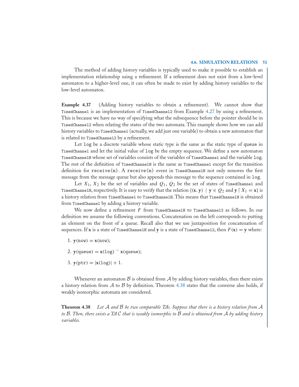#### **4.6. SIMULATION RELATIONS 51**

<span id="page-64-0"></span>The method of adding history variables is typically used to make it possible to establish an implementation relationship using a refinement. If a refinement does not exist from a low-level automaton to a higher-level one, it can often be made to exist by adding history variables to the low-level automaton.

**Example 4.37** (Adding history variables to obtain a refinement). We cannot show that TimedChannel is an implementation of TimedChannel2 from Example [4.27](#page-57-0) by using a refinement. This is because we have no way of specifying what the subsequence before the pointer should be in TimedChannel2 when relating the states of the two automata. This example shows how we can add history variables to TimedChannel (actually, we add just one variable) to obtain a new automaton that is related to TimedChannel2 by a refinement.

Let log be a discrete variable whose static type is the same as the static type of queue in TimedChannel and let the initial value of log be the empty sequence. We define a new automaton TimedChannelH whose set of variables consists of the variables of TimedChannel and the variable log. The rest of the definition of TimedChannelH is the same as TimedChannel except for the transition definition for  $\text{receive}(\mathfrak{m})$ . A  $\text{receive}(\mathfrak{m})$  event in TimedChannelH not only removes the first message from the message queue but also appends this message to the sequence contained in log.

Let  $X_1$ ,  $X_2$  be the set of variables and  $Q_1$ ,  $Q_2$  be the set of states of TimedChannel and TimedChannelH, respectively. It is easy to verify that the relation  $\{(x, y) \mid y \in Q_2 \text{ and } y \mid X_1 = x\}$  is a history relation from TimedChannel to TimedChannelH. This means that TimedChannelH is obtained from TimedChannel by adding a history variable.

We now define a refinement *F* from TimedChannelH to TimedChannel2 as follows. In our definition we assume the following conventions. Concatenation on the left corresponds to putting an element on the front of a queue. Recall also that we use juxtaposition for concatenation of sequences. If **x** is a state of TimedChannelH and **y** is a state of TimedChannel2, then  $F(\mathbf{x}) = \mathbf{y}$  where:

- 1.  $y(\text{now}) = x(\text{now})$ ;
- 2.  $y$ (queue) =  $x(\log)$   $\cap$   $x$ (queue);
- 3.  $y(ptr) = |x(log)| + 1.$

Whenever an automaton  $\mathcal B$  is obtained from  $\mathcal A$  by adding history variables, then there exists a history relation from A to B by definition. Theorem 4.38 states that the converse also holds, if weakly isomorphic automata are considered.

**Theorem 4.38** *Let* A *and* B *be two comparable TAs. Suppose that there is a history relation from* A *to* B*. Then, there exists a TA* C *that is weakly isomorphic to* B *and is obtained from* A *by adding history variables.*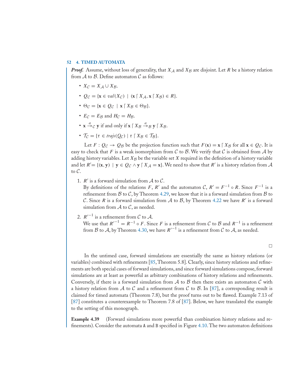*Proof.* Assume, without loss of generality, that  $X_A$  and  $X_B$  are disjoint. Let R be a history relation from  $A$  to  $B$ . Define automaton  $C$  as follows:

- $X_C = X_A \cup X_B$ .
- $Q_{\mathcal{C}} = \{ \mathbf{x} \in val(X_{\mathcal{C}}) \mid (\mathbf{x} \mid X_{\mathcal{A}}, \mathbf{x} \mid X_{\mathcal{B}}) \in R \}.$
- $\Theta_{\mathcal{C}} = \{ \mathbf{x} \in \mathcal{Q}_{\mathcal{C}} \mid \mathbf{x} \mid X_{\mathcal{B}} \in \Theta_{\mathcal{B}} \}.$
- $E_C = E_B$  and  $H_C = H_B$ .
- $\mathbf{x} \stackrel{a}{\rightarrow} c \mathbf{y}$  if and only if  $\mathbf{x} \upharpoonright X_B \stackrel{a}{\rightarrow} B \mathbf{y} \upharpoonright X_B$ .
- $\mathcal{T}_{\mathcal{C}} = {\tau \in \mathit{trajs}}(Q_{\mathcal{C}}) \mid \tau \upharpoonright X_{\mathcal{B}} \in \mathcal{T}_{\mathcal{B}}}.$

Let  $F: Q_C \to Q_B$  be the projection function such that  $F(\mathbf{x}) = \mathbf{x} \upharpoonright X_B$  for all  $\mathbf{x} \in Q_C$ . It is easy to check that *F* is a weak isomorphism from C to B. We verify that C is obtained from A by adding history variables. Let  $X_B$  be the variable set  $X$  required in the definition of a history variable and let  $R' = \{(\mathbf{x}, \mathbf{y}) \mid \mathbf{y} \in Q_C \wedge \mathbf{y} \mid X_A = \mathbf{x}\}$ . We need to show that  $R'$  is a history relation from  $\mathcal A$ to C.

1.  $R'$  is a forward simulation from  $A$  to  $C$ .

By definitions of the relations *F*, *R*<sup>'</sup> and the automaton *C*,  $R' = F^{-1} \circ R$ . Since  $F^{-1}$  is a refinement from  $\beta$  to C, by Theorem [4.29,](#page-59-0) we know that it is a forward simulation from  $\beta$  to C. Since R is a forward simulation from A to B, by Theorem [4.22](#page-55-0) we have R' is a forward simulation from  $A$  to  $C$ , as needed.

- 2.  $R'^{-1}$  is a refinement from C to A.
- We use that  $R'^{-1} = R^{-1} \circ F$ . Since *F* is a refinement from C to B and  $R^{-1}$  is a refinement from B to A, by Theorem [4.30,](#page-59-0) we have  $R'^{-1}$  is a refinement from C to A, as needed.

 $\Box$ 

In the untimed case, forward simulations are essentially the same as history relations (or variables) combined with refinements [\[85](#page-126-0), Theorem 5.8]. Clearly, since history relations and refinements are both special cases of forward simulations, and since forward simulations compose, forward simulations are at least as powerful as arbitrary combinations of history relations and refinements. Conversely, if there is a forward simulation from  $A$  to  $B$  then there exists an automaton  $C$  with a history relation from A to C and a refinement from C to B. In [\[87](#page-126-0)], a corresponding result is claimed for timed automata (Theorem 7.8), but the proof turns out to be flawed. Example 7.13 of [\[87\]](#page-126-0) constitutes a counterexample to Theorem 7.8 of [\[87](#page-126-0)]. Below, we have translated the example to the setting of this monograph.

**Example 4.39** (Forward simulations more powerful than combination history relations and refinements). Consider the automata A and B specified in Figure [4.10.](#page-66-0) The two automaton definitions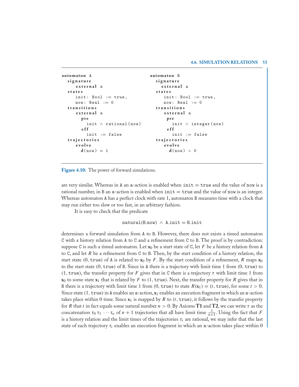```
automaton A automaton B
 signature signature
  external a external a
 states states
  init: \text{Bool} := true, init: Bool := true,
  now: Real := 0 now: Real := 0
 transitions transitions
  external a external a
    pre pre
    init ∧ rational(now) init ∧ integer(now)
    eff eff
    init := false init := false
 trajectories trajectories
  evolve evolve
   d(now) = 1 d(now) > 0
```
**Figure 4.10:** The power of forward simulations.

are very similar. Whereas in A an a-action is enabled when  $init = true$  and the value of now is a rational number, in B an a-action is enabled when  $init = true$  and the value of now is an integer. Whereas automaton A has a perfect clock with rate 1, automaton B measures time with a clock that may run either too slow or too fast, in an arbitrary fashion.

It is easy to check that the predicate

$$
\mathtt{natural}(\mathtt{B}.\mathtt{now})~\wedge~\mathtt{A}.\mathtt{init} = \mathtt{B}.\mathtt{init}
$$

determines a forward simulation from A to B. However, there does not exists a timed automaton C with a history relation from A to C and a refinement from C to B. The proof is by contradiction: suppose C is such a timed automaton. Let **x**<sup>0</sup> be a start state of C, let *F* be a history relation from A to C, and let *R* be a refinement from C to B. Then, by the start condition of a history relation, the start state (0, true) of A is related to  $\mathbf{x}_0$  by F. By the start condition of a refinement, R maps  $\mathbf{x}_0$ to the start state *(*0*,* true*)* of B. Since in A there is a trajectory with limit time 1 from *(*0*,* true*)* to  $(1, \text{true})$ , the transfer property for *F* gives that in C there is a trajectory *τ* with limit time 1 from **x**<sub>0</sub> to some state **x**<sub>1</sub> that is related by *F* to (1, true). Next, the transfer property for *R* gives that in B there is a trajectory with limit time 1 from  $(0, \text{true})$  to state  $R(\mathbf{x}_1) = (t, \text{true})$ , for some  $t > 0$ . Since state *(*1*,* true*)*in A enables an a-action, **x**<sup>1</sup> enables an execution fragment in which an a-action takes place within 0 time. Since  $\mathbf{x}_1$  is mapped by *R* to  $(t, \text{true})$ , it follows by the transfer property for *R* that *t* in fact equals some natural number  $n > 0$ . By Axioms **T1** and **T2**, we can write  $\tau$  as the concatenation  $\tau_0$   $\tau_1$   $\cdots$   $\tau_n$  of  $n+1$  trajectories that all have limit time  $\frac{1}{n+1}$ . Using the fact that *F* is a history relation and the limit times of the trajectories  $\tau_i$  are rational, we may infer that the last state of each trajectory  $\tau_i$  enables an execution fragment in which an a-action takes place within 0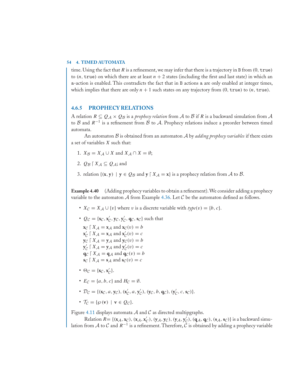time. Using the fact that *R* is a refinement, we may infer that there is a trajectory in B from *(*0*,* true*)* to  $(n, \text{true})$  on which there are at least  $n + 2$  states (including the first and last state) in which an a-action is enabled. This contradicts the fact that in B actions a are only enabled at integer times, which implies that there are only  $n + 1$  such states on any trajectory from  $(0, \text{true})$  to  $(n, \text{true})$ .

# **4.6.5 PROPHECY RELATIONS**

A relation  $R \subseteq Q_{\mathcal{A}} \times Q_{\mathcal{B}}$  is a *prophecy relation* from  $\mathcal A$  to  $\mathcal B$  if  $R$  is a backward simulation from  $\mathcal A$ to B and  $R^{-1}$  is a refinement from B to A. Prophecy relations induce a preorder between timed automata.

An automaton  $\beta$  is obtained from an automaton  $\mathcal A$  by *adding prophecy variables* if there exists a set of variables *X* such that:

- 1.  $X_B = X_A \cup X$  and  $X_A \cap X = \emptyset$ ;
- 2.  $Q_B \restriction X_A \subseteq Q_A$ ; and
- 3. relation  $\{(x, y) | y \in Q_B \text{ and } y \mid X_A = x\}$  is a prophecy relation from A to B.

**Example 4.40** (Adding prophecy variables to obtain a refinement).We consider adding a prophecy variable to the automaton A from Example [4.36.](#page-62-0) Let  $C$  be the automaton defined as follows.

- $X_c = X_A \cup \{v\}$  where *v* is a discrete variable with  $\text{type}(v) = \{b, c\}.$
- $Q_{\mathcal{C}} = \{x_{\mathcal{C}}, x'_{\mathcal{C}}, y_{\mathcal{C}}, y'_{\mathcal{C}}, q_{\mathcal{C}}, s_{\mathcal{C}}\}$  such that

**x**<sub>C</sub>  $\lceil X_A = \mathbf{x}_A \text{ and } \mathbf{x}_C(v) = b$ 

 $\mathbf{x}'_C$   $\begin{bmatrix} X_A = \mathbf{x}_A \text{ and } \mathbf{x}'_C(v) = c \end{bmatrix}$ 

**y**<sub>C</sub>  $\lceil X_A = \mathbf{y}_A \text{ and } \mathbf{y}_C(v) = b$ 

- $\mathbf{y}'_C$   $\begin{bmatrix} X_A = \mathbf{y}_A \text{ and } \mathbf{y}'_C(v) = c \end{bmatrix}$
- **q**<sub>C</sub>  $\lceil X_A = \mathbf{q}_A \text{ and } \mathbf{q}_C(v) = b$
- **s** $\mathcal{C} \restriction X_{\mathcal{A}} = \mathbf{s}_{\mathcal{A}}$  and  $\mathbf{s}_{\mathcal{C}}(v) = c$
- $\Theta_{\mathcal{C}} = {\mathbf{x}_{\mathcal{C}}, \mathbf{x}'_{\mathcal{C}}}.$
- $E_C = \{a, b, c\}$  and  $H_C = \emptyset$ .
- $\mathcal{D}_{\mathcal{C}} = \{ (\mathbf{x}_{\mathcal{C}}, a, \mathbf{y}_{\mathcal{C}}), (\mathbf{x}'_{\mathcal{C}}, a, \mathbf{y}'_{\mathcal{C}}), (\mathbf{y}_{\mathcal{C}}, b, \mathbf{q}_{\mathcal{C}}), (\mathbf{y}'_{\mathcal{C}}, c, \mathbf{s}_{\mathcal{C}}) \}.$
- $\mathcal{T}_{\mathcal{C}} = {\varphi(\mathbf{v}) \mid \mathbf{v} \in \mathcal{Q}_{\mathcal{C}}}.$

Figure [4.11](#page-68-0) displays automata  $A$  and  $C$  as directed multipgraphs.

Relation  $R = \{(\mathbf{x}_A, \mathbf{x}_C), (\mathbf{x}_A, \mathbf{x}_C'), (\mathbf{y}_A, \mathbf{y}_C), (\mathbf{y}_A, \mathbf{y}_C'), (\mathbf{q}_A, \mathbf{q}_C), (\mathbf{s}_A, \mathbf{s}_C)\}\)$  is a backward simulation from A to C and  $R^{-1}$  is a refinement. Therefore, C is obtained by adding a prophecy variable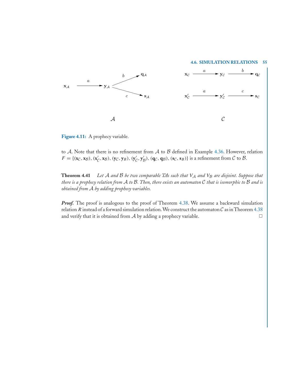<span id="page-68-0"></span>

**Figure 4.11:** A prophecy variable.

to  $A$ . Note that there is no refinement from  $A$  to  $B$  defined in Example [4.36.](#page-62-0) However, relation  $F = \{(\mathbf{x}_{\mathcal{C}}, \mathbf{x}_{\mathcal{B}}), (\mathbf{x}'_{\mathcal{C}}, \mathbf{x}_{\mathcal{B}}), (\mathbf{y}_{\mathcal{C}}, \mathbf{y}_{\mathcal{B}}), (\mathbf{y}'_{\mathcal{C}}, \mathbf{y}'_{\mathcal{B}}), (\mathbf{q}_{\mathcal{C}}, \mathbf{q}_{\mathcal{B}}), (\mathbf{s}_{\mathcal{C}}, \mathbf{s}_{\mathcal{B}})\}\}\$ is a refinement from  $\mathcal{C}$  to  $\mathcal{B}$ .

**Theorem 4.41** *Let* A *and* B *be two comparable TAs such that V*<sup>A</sup> *and V*<sup>B</sup> *are disjoint. Suppose that there is a prophecy relation from* A *to* B*. Then, there exists an automaton* C *that is isomorphic to* B *and is obtained from* A *by adding prophecy variables.*

*Proof.* The proof is analogous to the proof of Theorem [4.38.](#page-64-0) We assume a backward simulation relation *R* instead of a forward simulation relation. We construct the automaton *C* as in Theorem [4.38](#page-64-0)<br>and verify that it is obtained from *A* by adding a prophecy variable. and verify that it is obtained from  $A$  by adding a prophecy variable.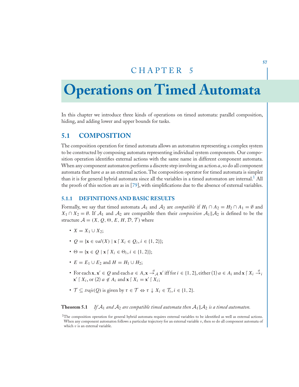# CHAPTER 5

# **Operations on Timed Automata**

In this chapter we introduce three kinds of operations on timed automata: parallel composition, hiding, and adding lower and upper bounds for tasks.

# **5.1 COMPOSITION**

The composition operation for timed automata allows an automaton representing a complex system to be constructed by composing automata representing individual system components. Our composition operation identifies external actions with the same name in different component automata. When any component automaton performs a discrete step involving an action *a*, so do all component automata that have *a* as an external action. The composition operator for timed automata is simpler than it is for general hybrid automata since all the variables in a timed automaton are internal.<sup>1</sup> All the proofs of this section are as in [\[79](#page-125-0)], with simplifications due to the absence of external variables.

# **5.1.1 DEFINITIONS AND BASIC RESULTS**

Formally, we say that timed automata  $A_1$  and  $A_2$  are *compatible* if  $H_1 \cap A_2 = H_2 \cap A_1 = \emptyset$  and  $X_1 \cap X_2 = \emptyset$ . If  $\mathcal{A}_1$  and  $\mathcal{A}_2$  are compatible then their *composition*  $\mathcal{A}_1 || \mathcal{A}_2$  is defined to be the structure  $\mathcal{A} = (X, Q, \Theta, E, H, \mathcal{D}, \mathcal{T})$  where

- $X = X_1 \cup X_2$ ;
- $Q = {\mathbf{x} \in \text{val}(X) \mid \mathbf{x} \mid X_i \in Q_i, i \in \{1, 2\}};$
- $\Theta = {\mathbf{x} \in Q \mid \mathbf{x} \mid X_i \in \Theta_i, i \in \{1, 2\}};$
- $E = E_1 \cup E_2$  and  $H = H_1 \cup H_2$ ;
- For each  $\mathbf{x}, \mathbf{x}' \in Q$  and each  $a \in A$ ,  $\mathbf{x} \rightarrow a$ ,  $\mathbf{x}'$  iff for  $i \in \{1, 2\}$ , either (1)  $a \in A_i$  and  $\mathbf{x} \mid X_i \rightarrow a$  $\mathbf{x}' \upharpoonright X_i$ , or (2)  $a \notin A_i$  and  $\mathbf{x} \upharpoonright X_i = \mathbf{x}' \upharpoonright X_i$ ;
- $\mathcal{T} \subseteq \text{trajs}(Q)$  is given by  $\tau \in \mathcal{T} \Leftrightarrow \tau \downarrow X_i \in \mathcal{T}_i, i \in \{1, 2\}.$

#### **Theorem 5.1** *If*  $A_1$  *and*  $A_2$  *are compatible timed automata then*  $A_1 \parallel A_2$  *is a timed automaton.*

<sup>&</sup>lt;sup>1</sup>The composition operation for general hybrid automata requires external variables to be identified as well as external actions. When any component automaton follows a particular trajectory for an external variable *v*, then so do all component automata of which *v* is an external variable.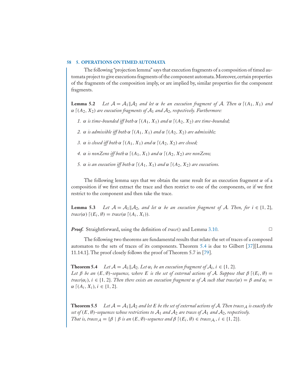# **58 5. OPERATIONS ON TIMED AUTOMATA**

The following "projection lemma" says that execution fragments of a composition of timed automata project to give executions fragments of the component automata.Moreover, certain properties of the fragments of the composition imply, or are implied by, similar properties for the component fragments.

**Lemma 5.2** *Let*  $\mathcal{A} = \mathcal{A}_1 || \mathcal{A}_2$  *and let*  $\alpha$  *be an execution fragment of*  $\mathcal{A}$ *. Then*  $\alpha \lceil (A_1, X_1) \rceil$  *and*  $\alpha \int (A_2, X_2)$  *are execution fragments of*  $\mathcal{A}_1$  *and*  $\mathcal{A}_2$ *, respectively. Furthermore:* 

- *1.*  $\alpha$  *is time-bounded iff both*  $\alpha$   $\lceil$  (*A*<sub>1</sub>*, X*<sub>1</sub>*) and*  $\alpha$   $\lceil$  (*A*<sub>2</sub>*, X*<sub>2</sub>*) are time-bounded*;
- 2.  $\alpha$  *is admissible iff both*  $\alpha \lceil (A_1, X_1) \rceil$  *and*  $\alpha \lceil (A_2, X_2) \rceil$  *are admissible*;
- *3.*  $\alpha$  *is closed iff both*  $\alpha \lceil (A_1, X_1) \text{ and } \alpha \lceil (A_2, X_2) \text{ are closed};$
- 4.  $\alpha$  *is nonZeno iff both*  $\alpha \lceil (A_1, X_1) \text{ and } \alpha \lceil (A_2, X_2) \text{ are nonZeno;}$
- *5.*  $\alpha$  *is an execution iff both*  $\alpha \lceil (A_1, X_1) \rceil$  *and*  $\alpha \lceil (A_2, X_2) \rceil$  *are executions.*

The following lemma says that we obtain the same result for an execution fragment  $\alpha$  of a composition if we first extract the trace and then restrict to one of the components, or if we first restrict to the component and then take the trace.

**Lemma 5.3** *Let*  $\mathcal{A} = \mathcal{A}_1 || \mathcal{A}_2$ *, and let*  $\alpha$  *be an execution fragment of*  $\mathcal{A}$ *. Then, for*  $i \in \{1, 2\}$ *, trace*( $\alpha$ )  $\lceil (E_i, \emptyset) \rceil$  *trace*( $\alpha \lceil (A_i, X_i) \rceil$ *.* 

*Proof.* Straightforward, using the definition of *trace*() and Lemma [3.10.](#page-34-0) ◯

The following two theorems are fundamental results that relate the set of traces of a composed automaton to the sets of traces of its components. Theorem 5.4 is due to Gilbert [\[37\]](#page-121-0)[Lemma 11.14.1]. The proof closely follows the proof of Theorem 5.7 in [\[79](#page-125-0)].

**Theorem 5.4** *Let*  $\mathcal{A} = \mathcal{A}_1 || \mathcal{A}_2$ *. Let*  $\alpha_i$  *be an execution fragment of*  $\mathcal{A}_i$ *, i*  $\in \{1, 2\}$ *.* Let  $\beta$  be an  $(E, \emptyset)$ -sequence, where  $E$  is the set of external actions of  $\mathcal{A}$ . Suppose that  $\beta \lceil (E_i, \emptyset) =$ *trace* $(\alpha_i)$ *,*  $i \in \{1, 2\}$ *. Then there exists an execution fragment*  $\alpha$  *of*  $\mathcal A$  *such that trace* $(\alpha) = \beta$  *and*  $\alpha_i =$  $\alpha$   $[(A_i, X_i), i \in \{1, 2\}].$ 

**Theorem 5.5** *Let*  $A = A_1 \parallel A_2$  *and let*  $E$  *be the set of external actions of*  $A$ *. Then traces*  $\Lambda$  *is exactly the set of*  $(E, \emptyset)$ -sequences whose restrictions to  $A_1$  and  $A_2$  are traces of  $A_1$  and  $A_2$ , respectively. *That is, traces*  $A = \{\beta \mid \beta \text{ is an } (E, \emptyset) \text{-sequence and } \beta \mid (E_i, \emptyset) \in \text{traces}_{\mathcal{A}_i}, i \in \{1, 2\} \}.$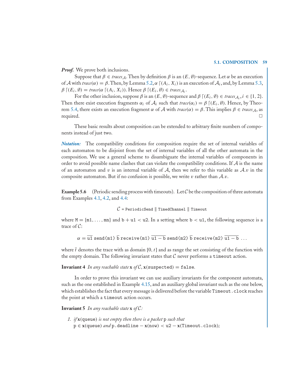# **5.1. COMPOSITION 59**

<span id="page-72-0"></span>*Proof.* We prove both inclusions.

Suppose that  $β ∈ traces_A$ . Then by definition  $β$  is an  $(E, ∅)$ -sequence. Let  $α$  be an execution of A with  $trace(\alpha) = \beta$ . Then, by Lemma [5.2,](#page-71-0)  $\alpha \int (A_i, X_i)$  is an execution of  $A_i$ , and, by Lemma [5.3,](#page-71-0)  $\beta \Gamma(E_i, \emptyset) = \text{trace}(\alpha \Gamma(A_i, X_i))$ . Hence  $\beta \Gamma(E_i, \emptyset) \in \text{traces}_{\mathcal{A}_i}$ .

For the other inclusion, suppose  $\beta$  is an  $(E, \emptyset)$ -sequence and  $\beta \lceil (E_i, \emptyset) \in \text{traces}_{\mathcal{A}_i}, i \in \{1, 2\}.$ Then there exist execution fragments  $\alpha_i$  of  $\mathcal{A}_i$  such that  $trace(\alpha_i) = \beta \left[ (E_i, \emptyset) \right]$ . Hence, by Theo-rem [5.4,](#page-71-0) there exists an execution fragment *α* of *A* with  $trace(\alpha) = \beta$ . This implies  $\beta \in traces_{\mathcal{A}}$ , as required. required.  $\Box$ 

These basic results about composition can be extended to arbitrary finite numbers of components instead of just two.

*Notation:* The compatibility conditions for composition require the set of internal variables of each automaton to be disjoint from the set of internal variables of all the other automata in the composition. We use a general scheme to disambiguate the internal variables of components in order to avoid possible name clashes that can violate the compatibility conditions. If  $A$  is the name of an automaton and *v* is an internal variable of  $A$ , then we refer to this variable as  $A \cdot v$  in the composite automaton. But if no confusion is possible, we write *v* rather than A*.v*.

**Example 5.6** (Periodic sending process with timeouts). Let C be the composition of three automata from Examples [4.1,](#page-39-0) [4.2,](#page-40-0) and [4.4:](#page-41-0)

 $C$  = PeriodicSend || TimedChannel || Timeout

where  $M = \{m1, \ldots, mn\}$  and  $b + u1 < u2$ . In a setting where  $b < u1$ , the following sequence is a trace of C:

 $\alpha = \overline{u1}$  send(m1)  $\overline{b}$  receive(m1)  $\overline{u1-b}$  send(m2)  $\overline{b}$  receive(m2)  $\overline{u1-b}$  ...

where  $\bar{t}$  denotes the trace with as domain [0, t] and as range the set consisting of the function with the empty domain. The following invariant states that  $C$  never performs a timeout action.

**Invariant 4** *In any reachable state*  $\mathbf{x}$  *of*  $\mathcal{C}$ ,  $\mathbf{x}$ (suspected) = false.

In order to prove this invariant we can use auxiliary invariants for the component automata, such as the one established in Example [4.15,](#page-50-0) and an auxiliary global invariant such as the one below, which establishes the fact that every message is delivered before the variable Timeout.clock reaches the point at which a timeout action occurs.

**Invariant 5** *In any reachable state* **x** *of* C*:*

*1. if* **x***(*queue*) is not empty then there is a packet* p *such that* p ∈ **x***(*queue*) and* p.deadline − **x***(*now*) <* u2 − **x***(*Timeout.clock*);*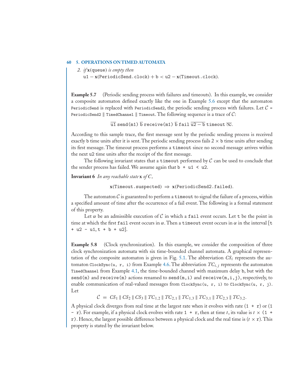# <span id="page-73-0"></span>*2. if* **x***(*queue*) is empty then*

u1 − **x***(*PeriodicSend.clock*)* + b *<* u2 − **x***(*Timeout.clock*).*

**Example 5.7** (Periodic sending process with failures and timeouts). In this example, we consider a composite automaton defined exactly like the one in Example [5.6](#page-72-0) except that the automaton PeriodicSend is replaced with PeriodicSend2, the periodic sending process with failures. Let  $C =$ PeriodicSend2 || TimedChannel || Timeout. The following sequence is a trace of  $\mathcal{C}$ :

 $\overline{u1}$  send(m1)  $\overline{b}$  receive(m1)  $\overline{b}$  fail  $\overline{u2-b}$  timeout  $\overline{\infty}$ .

According to this sample trace, the first message sent by the periodic sending process is received exactly b time units after it is sent. The periodic sending process fails  $2 \times b$  time units after sending its first message. The timeout process performs a timeout since no second message arrives within the next u2 time units after the receipt of the first message.

The following invariant states that a timeout performed by  $C$  can be used to conclude that the sender process has failed. We assume again that  $b + u1 < u2$ .

**Invariant 6** *In any reachable state* **x** *of C,*

 $x$ <sup>(Timeout.suspected)  $\Rightarrow$   $x$ <sup>(PeriodicSend2.failed).</sup></sup>

The automaton  $\mathcal C$  is guaranteed to perform a timeout to signal the failure of a process, within a specified amount of time after the occurrence of a fail event. The following is a formal statement of this property.

Let  $\alpha$  be an admissible execution of C in which a fail event occurs. Let t be the point in time at which the first fail event occurs in *α*. Then a timeout event occurs in *α* in the interval [t  $+ u2 - u1, t + b + u2$ .

**Example 5.8** (Clock synchronization). In this example, we consider the composition of three clock synchronization automata with six time-bounded channel automata. A graphical represen-tation of the composite automaton is given in Fig. [5.1.](#page-74-0) The abbreviation  $CS_i$  represents the au-tomaton ClockSync(u, r, i) from Example [4.6.](#page-43-0) The abbreviation  $TC_{i,j}$  represents the automaton TimedChannel from Example [4.1,](#page-39-0) the time-bounded channel with maximum delay b, but with the send(m) and receive(m) actions renamed to send(m, i) and receive(m, i, j), respectively, to enable communication of real-valued messages from ClockSync(u, r, i) to ClockSync(u, r, j). Let

 $\mathcal{C} = CS_1 \parallel CS_2 \parallel CS_3 \parallel TC_{1,2} \parallel TC_{2,1} \parallel TC_{1,3} \parallel TC_{3,1} \parallel TC_{2,3} \parallel TC_{3,2}.$ 

A physical clock diverges from real time at the largest rate when it evolves with rate  $(1 + r)$  or  $(1 + r)$ - r). For example, if a physical clock evolves with rate  $1 + r$ , then at time *t*, its value is  $t \times (1 +$ r). Hence, the largest possible difference between a physical clock and the real time is  $(t \times r)$ . This property is stated by the invariant below.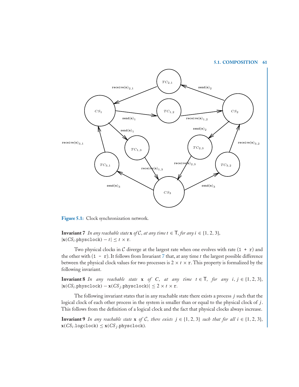#### **5.1. COMPOSITION 61**

<span id="page-74-0"></span>

Figure 5.1: Clock synchronization network.

**Invariant 7** *In any reachable state* **x** *of*  $C$ *, at any time*  $t \in T$ *, for any*  $i \in \{1, 2, 3\}$ *,*  $|\mathbf{x}(C\mathcal{S}_i) - \mathbf{b}| \leq t \times \mathbf{r}$ .

Two physical clocks in  $C$  diverge at the largest rate when one evolves with rate  $(1 + r)$  and the other with  $(1 - r)$ . It follows from Invariant [7](#page-73-0) that, at any time *t* the largest possible difference between the physical clock values for two processes is  $2 \times t \times r$ . This property is formalized by the following invariant.

**Invariant 8** *In any reachable state* **x** *of C, at any time*  $t \in T$ *, for any*  $i, j \in \{1, 2, 3\}$ *,*  $|\mathbf{x}(CS_i.\text{physicalock}) - \mathbf{x}(CS_j.\text{physicalock})| \leq 2 \times t \times \mathbf{r}.$ 

The following invariant states that in any reachable state there exists a process *j* such that the logical clock of each other process in the system is smaller than or equal to the physical clock of *j* . This follows from the definition of a logical clock and the fact that physical clocks always increase.

**Invariant 9** *In any reachable state* **x** *of* C, *there exists*  $j \in \{1, 2, 3\}$  *such that for all*  $i \in \{1, 2, 3\}$ *,*  $\mathbf{x}(CS_i.\text{logclock}) \leq \mathbf{x}(CS_j.\text{physclock})$ *.*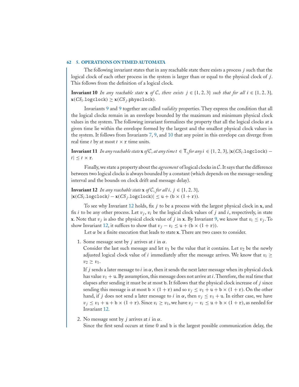<span id="page-75-0"></span>The following invariant states that in any reachable state there exists a process *j* such that the logical clock of each other process in the system is larger than or equal to the physical clock of *j* . This follows from the definition of a logical clock.

**Invariant 10** In any reachable state **x** of C, there exists  $j \in \{1, 2, 3\}$  such that for all  $i \in \{1, 2, 3\}$ ,  $\mathbf{x}(CS_i.\text{logclock}) \geq \mathbf{x}(CS_j.\text{physclock})$ *.* 

Invariants [9](#page-74-0) and [9](#page-74-0) together are called *validity* properties. They express the condition that all the logical clocks remain in an envelope bounded by the maximum and minimum physical clock values in the system. The following invariant formalizes the property that all the logical clocks at a given time lie within the envelope formed by the largest and the smallest physical clock values in the system. It follows from Invariants [7,](#page-73-0) [9,](#page-74-0) and 10 that any point in this envelope can diverge from real time *t* by at most  $t \times r$  time units.

**Invariant 11** *In any reachable state* **x** *of* C, at any time  $t \in \text{T}$ *, for any*  $i \in \{1, 2, 3\}$ ,  $\vert \mathbf{x}(CS_i.\text{logclock})$  −  $|t| \leq t \times r$ .

Finally, we state a property about the *agreement* of logical clocks in C. It says that the difference between two logical clocks is always bounded by a constant (which depends on the message-sending interval and the bounds on clock drift and message delay).

**Invariant 12** *In any reachable state* **x** *of*  $C$ *, for all*  $i, j \in \{1, 2, 3\}$ *,*  $|\mathbf{x}(C\mathcal{S}_i \cdot \text{logclock}) - \mathbf{x}(C\mathcal{S}_i \cdot \text{logclock})| \leq u + (b \times (1+r)).$ 

To see why Invariant 12 holds, fix *j* to be a process with the largest physical clock in **x**, and fix *i* to be any other process. Let  $v_i$ ,  $v_i$  be the logical clock values of *j* and *i*, respectively, in state **x**. Note that  $v_j$  is also the physical clock value of *j* in **x**. By Invariant [9,](#page-74-0) we know that  $v_i \leq v_j$ . To show Invariant 12, it suffices to show that  $v_j - v_i \le u + (b \times (1+r))$ .

Let  $\alpha$  be a finite execution that leads to state **x**. There are two cases to consider.

1. Some message sent by *j* arrives at *i* in *α*.

Consider the last such message and let  $v_1$  be the value that it contains. Let  $v_2$  be the newly adjusted logical clock value of *i* immediately after the message arrives. We know that  $v_i \geq$  $v_2 \geq v_1$ .

If *j* sends a later message to *i* in  $\alpha$ , then it sends the next later message when its physical clock has value *v*<sup>1</sup> + u. By assumption, this message does not arrive at *i*.Therefore, the real time that elapses after sending it must be at most b. It follows that the physical clock increase of *j* since sending this message is at most  $b \times (1 + r)$  and so  $v_i \le v_1 + u + b \times (1 + r)$ . On the other hand, if *j* does not send a later message to *i* in  $\alpha$ , then  $v_j \le v_1 + u$ . In either case, we have  $v_j \le v_1 + u + b \times (1 + r)$ . Since  $v_i \ge v_1$ , we have  $v_j - v_i \le u + b \times (1 + r)$ , as needed for Invariant 12.

2. No message sent by *j* arrives at *i* in *α*. Since the first send occurs at time 0 and b is the largest possible communication delay, the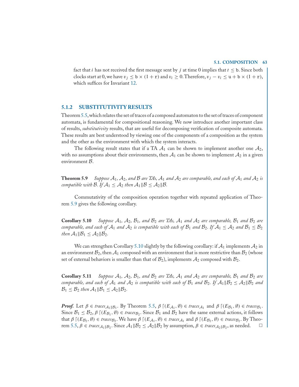#### **5.1. COMPOSITION 63**

<span id="page-76-0"></span>fact that *i* has not received the first message sent by *j* at time 0 implies that  $t \leq b$ . Since both clocks start at 0, we have  $v_j \leq b \times (1+r)$  and  $v_i \geq 0$ . Therefore,  $v_j - v_i \leq u + b \times (1+r)$ , which suffices for Invariant [12.](#page-75-0)

#### **5.1.2 SUBSTITUTIVITY RESULTS**

Theorem [5.5,](#page-71-0)which relates the set of traces of a composed automaton to the set of traces of component automata, is fundamental for compositional reasoning. We now introduce another important class of results, *substitutivity* results, that are useful for decomposing verification of composite automata. These results are best understood by viewing one of the components of a composition as the system and the other as the environment with which the system interacts.

The following result states that if a TA  $A_1$  can be shown to implement another one  $A_2$ , with no assumptions about their environments, then  $A_1$  can be shown to implement  $A_2$  in a given environment B.

**Theorem 5.9** *Suppose*  $A_1$ ,  $A_2$ , and  $B$  are TAs,  $A_1$  and  $A_2$  are comparable, and each of  $A_1$  and  $A_2$  is *compatible with*  $\mathcal{B}$ *. If*  $\mathcal{A}_1 \leq \mathcal{A}_2$  *then*  $\mathcal{A}_1 \parallel \mathcal{B} \leq \mathcal{A}_2 \parallel \mathcal{B}$ *.* 

Commutativity of the composition operation together with repeated application of Theorem 5.9 gives the following corollary.

**Corollary 5.10** *Suppose*  $A_1$ ,  $A_2$ ,  $B_1$ , and  $B_2$  *are TAs*,  $A_1$  *and*  $A_2$  *are comparable*,  $B_1$  *and*  $B_2$  *are comparable, and each of*  $A_1$  *and*  $A_2$  *is compatible with each of*  $B_1$  *and*  $B_2$ *. If*  $A_1 \leq A_2$  *and*  $B_1 \leq B_2$ *then*  $\mathcal{A}_1 || \mathcal{B}_1 \leq \mathcal{A}_2 || \mathcal{B}_2$ .

We can strengthen Corollary 5.10 slightly by the following corollary: if  $\mathcal{A}_1$  implements  $\mathcal{A}_2$  in an environment  $B_2$ , then  $A_1$  composed with an environment that is more restrictive than  $B_2$  (whose set of external behaviors is smaller than that of  $B_2$ ), implements  $A_2$  composed with  $B_2$ .

**Corollary 5.11** *Suppose*  $A_1$ ,  $A_2$ ,  $B_1$ , and  $B_2$  are TAs,  $A_1$  and  $A_2$  are comparable,  $B_1$  and  $B_2$  are *comparable, and each of*  $\mathcal{A}_1$  *and*  $\mathcal{A}_2$  *is compatible with each of*  $\mathcal{B}_1$  *and*  $\mathcal{B}_2$ *. If*  $\mathcal{A}_1 \|\mathcal{B}_2 \leq \mathcal{A}_2 \|\mathcal{B}_2$  *and*  $\mathcal{B}_1 \leq \mathcal{B}_2$  then  $\mathcal{A}_1 \parallel \mathcal{B}_1 \leq \mathcal{A}_2 \parallel \mathcal{B}_2$ .

*Proof.* Let  $\beta \in \text{traces}_{\mathcal{A}_1 \| \mathcal{B}_1}$ . By Theorem [5.5,](#page-71-0)  $\beta \lceil (E_{\mathcal{A}_1}, \emptyset) \in \text{traces}_{\mathcal{A}_1}$  and  $\beta \lceil (E_{\mathcal{B}_1}, \emptyset) \in \text{traces}_{\mathcal{B}_1}$ . Since  $\mathcal{B}_1 \leq \mathcal{B}_2$ ,  $\beta \lceil (E_{\mathcal{B}_1}, \emptyset) \in \text{trace}_{\mathcal{B}_2}$ . Since  $\mathcal{B}_1$  and  $\mathcal{B}_2$  have the same external actions, it follows that  $\beta \lceil (E_{\mathcal{B}_2}, \emptyset) \in \text{traces}_{\mathcal{B}_2}$ . We have  $\beta \lceil (E_{\mathcal{A}_1}, \emptyset) \in \text{traces}_{\mathcal{A}_1}$  and  $\beta \lceil (E_{\mathcal{B}_2}, \emptyset) \in \text{traces}_{\mathcal{B}_2}$ . By Theo-rem [5.5,](#page-71-0)  $\beta \in \text{traces}_{A_1 \parallel B_2}$ . Since  $A_1 \parallel B_2 \le A_2 \parallel B_2$  by assumption,  $\beta \in \text{traces}_{A_2 \parallel B_2}$ , as needed.  $\Box$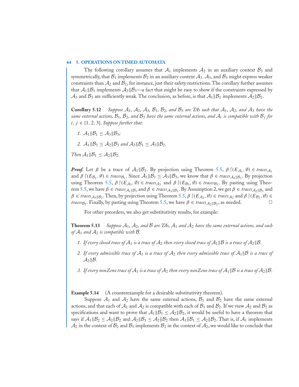<span id="page-77-0"></span>The following corollary assumes that  $\mathcal{A}_1$  implements  $\mathcal{A}_2$  in an auxiliary context  $\mathcal{B}_3$  and symmetrically, that  $B_1$  implements  $B_2$  in an auxiliary context  $A_3$ .  $A_3$ , and  $B_3$  might express weaker constraints than  $A_2$  and  $B_2$ , for instance, just their safety restrictions. The corollary further assumes that  $\mathcal{A}_1||\mathcal{B}_1$  implements  $\mathcal{A}_3||\mathcal{B}_3$ —a fact that might be easy to show if the constraints expressed by  $\mathcal{A}_3$  and  $\mathcal{B}_3$  are sufficiently weak. The conclusion, as before, is that  $\mathcal{A}_1 \parallel \mathcal{B}_1$  implements  $\mathcal{A}_2 \parallel \mathcal{B}_2$ .

**Corollary 5.12** Suppose  $A_1$ ,  $A_2$ ,  $A_3$ ,  $B_1$ ,  $B_2$ , and  $B_3$  are TAs such that  $A_1$ ,  $A_2$ , and  $A_3$  have the *same external actions,* B1*,* B2*, and* B<sup>3</sup> *have the same external actions, and* A*<sup>i</sup> is compatible with* B*<sup>j</sup> for*  $i, j \in \{1, 2, 3\}$ *. Suppose further that:* 

- *1.*  $A_1 || B_1 \leq A_3 || B_3;$
- *2.*  $\mathcal{A}_1 || \mathcal{B}_3 \leq \mathcal{A}_2 || \mathcal{B}_3$  and  $\mathcal{A}_3 || \mathcal{B}_1 \leq \mathcal{A}_3 || \mathcal{B}_2$ .

*Then*  $A_1 \parallel B_1 \leq A_2 \parallel B_2$ .

*Proof.* Let *β* be a trace of  $A_1 \parallel B_1$ . By projection using Theorem [5.5,](#page-71-0)  $\beta \mid (E_{A_1}, \emptyset) \in \text{traces}_{A_1}$ and  $\beta$   $[(E_{\beta_1}, \emptyset) \in \text{traces}_{\beta_1}$ . Since  $\mathcal{A}_1 \| \mathcal{B}_1 \leq \mathcal{A}_3 \| \mathcal{B}_3$ , we know that  $\beta \in \text{traces}_{\mathcal{A}_3 \| \mathcal{B}_3}$ . By projection  $using Theorem 5.5, \beta \lceil (E_{\mathcal{A}_3}, \emptyset) \in traces_{\mathcal{A}_3} \text{ and } \beta \lceil (E_{\mathcal{B}_3}, \emptyset) \in traces_{\mathcal{B}_3}$  $using Theorem 5.5, \beta \lceil (E_{\mathcal{A}_3}, \emptyset) \in traces_{\mathcal{A}_3} \text{ and } \beta \lceil (E_{\mathcal{B}_3}, \emptyset) \in traces_{\mathcal{B}_3}$  $using Theorem 5.5, \beta \lceil (E_{\mathcal{A}_3}, \emptyset) \in traces_{\mathcal{A}_3} \text{ and } \beta \lceil (E_{\mathcal{B}_3}, \emptyset) \in traces_{\mathcal{B}_3}$ . By pasting using Theo-rem [5.5,](#page-71-0) we have  $\beta \in \text{traces}_{\mathcal{A}_1 \| \mathcal{B}_3}$  and  $\beta \in \text{traces}_{\mathcal{A}_3 \| \mathcal{B}_1}$ . By Assumption 2, we get  $\beta \in \text{traces}_{\mathcal{A}_2 \| \mathcal{B}_3}$  and  $\beta \in \text{traces}_{\mathcal{A}_3 \parallel \mathcal{B}_2}$ . Then, by projection using Theorem [5.5,](#page-71-0)  $\beta \lceil (E_{\mathcal{A}_2}, \emptyset) \in \text{traces}_{\mathcal{A}_2}$  and  $\beta \lceil (E_{\mathcal{B}_2}, \emptyset) \in$ *traces* $B_2$ . Finally, by pasting using Theorem [5.5,](#page-71-0) we have  $\beta \in \text{traces}_{A_2||B_2}$ , as needed.

For other preorders, we also get substitutivity results, for example:

**Theorem 5.13** *Suppose* A1*,* A2*, and* B *are TAs,* A<sup>1</sup> *and* A<sup>2</sup> *have the same external actions, and each of* A<sup>1</sup> *and* A<sup>2</sup> *is compatible with* B*.*

- 1. If every closed trace of  $A_1$  is a trace of  $A_2$  then every closed trace of  $A_1 \parallel B$  is a trace of  $A_2 \parallel B$ .
- 2. If every admissible trace of  $A_1$  is a trace of  $A_2$  then every admissible trace of  $A_1||B$  is a trace of  $\mathcal{A}_2$ || $\mathcal{B}$ *.*
- *3.* If every nonZeno trace of  $A_1$  is a trace of  $A_2$  then every nonZeno trace of  $A_1 \parallel B$  is a trace of  $A_2 \parallel B$ .

**Example 5.14** (A counterexample for a desirable substitutivity theorem).

Suppose  $A_1$  and  $A_2$  have the same external actions,  $B_1$  and  $B_2$  have the same external actions, and that each of  $A_1$  and  $A_2$  is compatible with each of  $B_1$  and  $B_2$ . If we view  $A_2$  and  $B_2$  as specifications and want to prove that  $\mathcal{A}_1 || \mathcal{B}_1 \leq \mathcal{A}_2 || \mathcal{B}_2$ , it would be useful to have a theorem that says if  $\mathcal{A}_1 || \mathcal{B}_2 \leq \mathcal{A}_2 || \mathcal{B}_2$  and  $\mathcal{A}_2 || \mathcal{B}_1 \leq \mathcal{A}_2 || \mathcal{B}_2$  then  $\mathcal{A}_1 || \mathcal{B}_1 \leq \mathcal{A}_2 || \mathcal{B}_2$ . That is, if  $\mathcal{A}_1$  implements  $\mathcal{A}_2$  in the context of  $\mathcal{B}_2$  and  $\mathcal{B}_1$  implements  $\mathcal{B}_2$  in the context of  $\mathcal{A}_2$ , we would like to conclude that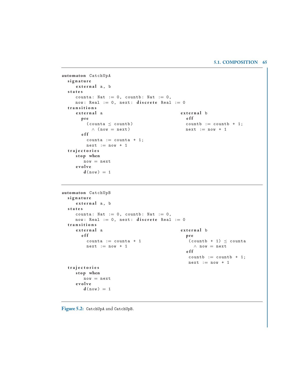```
automaton CatchUpA
 signature
    external a, b
 states
    counta: Nat := 0, countb: Nat := 0,
    now: Real := 0, next: discrete Real := 0
 transitions
    external a external b
      pre eff
       (\text{counta} \le \text{countb}) countb := countb + 1;
         \wedge (now = next) next := now + 1
      eff
       counta := counta + 1;
       next := now + 1trajectories
    stop when
      now = nextevolve
      d(now) = 1
automaton CatchUpB
 signature
    external a, b
 states
    counta: Nat := 0, countb: Nat := 0,
    now: Real := 0, next: discrete Real := 0
 transitions
```
**external** a **external** b **eff pre**

counta := counta + 1  $(countb + 1) \leq counta$ 

**eff**

 $countb := countb + 1;$ 

 $next := now + 1$ 

next := now + 1 ∧ now = next

```
Figure 5.2: CatchUpA and CatchUpB.
```
 $now = next$ 

 $d$ (now) = 1

**trajectories stop when**

**evolve**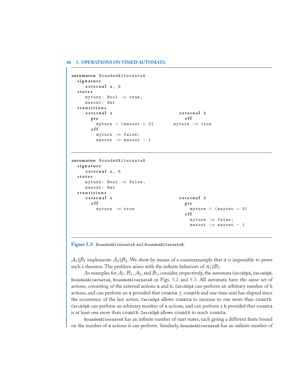```
automaton BoundedAlternateA
 signature
   external a, b
 states
    myturn: Bool := true,
   maxout: Nat
 transitions
    external a external b
      pre eff
       myturn ∧ (maxout > 0) myturn := true
     eff
       myturn := false;maxout := maxout - 1
```

```
automaton BoundedAlternateB
 signature
   external a, b
 states
   myturn: Bool := false,
   maxout: Nat
 transitions
                                external b
      eff pre
       myturn := true myturn ∧ (maxout > 0)
                                 eff
                                   myturn := false;maxout := maxout - 1
```
**Figure 5.3:** BoundedAlternateA and BoundedAlternateB.

 $\mathcal{A}_1|\mathcal{B}_1$  implements  $\mathcal{A}_2|\mathcal{B}_2$ . We show by means of a counterexample that it is impossible to prove such a theorem. The problem arises with the infinite behaviors of  $A_1 \parallel B_2$ .

As examples for  $A_1, B_1, A_2$ , and  $B_2$ , consider, respectively, the automata CatchUpA, CatchUpB, BoundedAlternateA, BoundedAlternateB in Figs. [5.2](#page-78-0) and 5.3. All automata have the same set of actions, consisting of the external actions a and b. CatchUpA can perform an arbitrary number of b actions, and can perform an a provided that  $counta \leq countb$  and one time unit has elapsed since the occurrence of the last action. CatchUpA allows counta to increase to one more than countb. CatchUpB can perform an arbitrary number of a actions, and can perform a b provided that counta is at least one more than countb. CatchUpB allows countb to reach counta.

BoundedAlternateA has an infinite number of start states, each giving a different finite bound on the number of a actions it can perform. Similarly, BoundedAlternateB has an infinite number of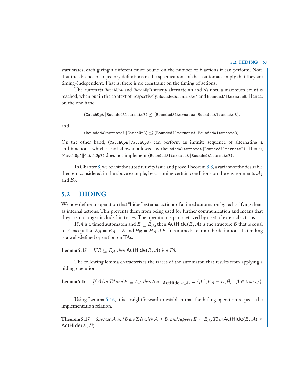#### **5.2. HIDING 67**

start states, each giving a different finite bound on the number of b actions it can perform. Note that the absence of trajectory definitions in the specifications of these automata imply that they are timing-independent. That is, there is no constraint on the timing of actions.

The automata CatchUpA and CatchUpB strictly alternate a's and b's until a maximum count is reached, when put in the context of, respectively, BoundedAlternateA and BoundedAlternateB.Hence, on the one hand

```
(CatchUpA\parallelBoundedAlternateB) \leq (BoundedAlternateA\parallelBoundedAlternateB),
```
and

 $(BoundedAlternateA||CatchUpB) \leq (BoundedAlternateA||BoundedAlternateA).$ 

On the other hand, *(CatchUpA*||CatchUpB) can perform an infinite sequence of alternating a and b actions, which is not allowed allowed by *(BoundedAlternateA||BoundedAlternateB*). Hence,  $(CatchUpA|| CatchUpB)$  does not implement *(BoundedAlternateA|BoundedAlternateB*).

In Chapter [8,](#page-104-0)we revisit the substitutivity issue and proveTheorem [8.8,](#page-107-0) a variant of the desirable theorem considered in the above example, by assuming certain conditions on the environments  $A_2$ and  $\mathcal{B}_2$ .

# **5.2 HIDING**

We now define an operation that "hides" external actions of a timed automaton by reclassifying them as internal actions. This prevents them from being used for further communication and means that they are no longer included in traces. The operation is parametrized by a set of external actions:

If A is a timed automaton and  $E \subseteq E_{\mathcal{A}}$ , then  $\mathsf{ActHide}(E, \mathcal{A})$  is the structure B that is equal to A except that  $E_B = E_A - E$  and  $H_B = H_A \cup E$ . It is immediate from the definitions that hiding is a well-defined operation on TAs.

**Lemma 5.15** *If*  $E \subseteq E_A$  *then*  $\mathsf{ActHide}(E, \mathcal{A})$  *is a TA.* 

The following lemma characterizes the traces of the automaton that results from applying a hiding operation.

**Lemma 5.16** *If*  $A$  *is a TA and*  $E \subseteq E_A$  *then traces*  $\text{ActHide}(E,A) = \{ \beta \mid (E_A - E, \emptyset) \mid \beta \in \text{traces}_A \}.$ 

Using Lemma 5.16, it is straightforward to establish that the hiding operation respects the implementation relation.

**Theorem 5.17** Suppose A and B are TAs with  $A \leq B$ , and suppose  $E \subseteq E_A$ . Then  $\mathsf{ActHide}(E, \mathcal{A}) \leq$ ActHide $(E,\mathcal{B})$ *.*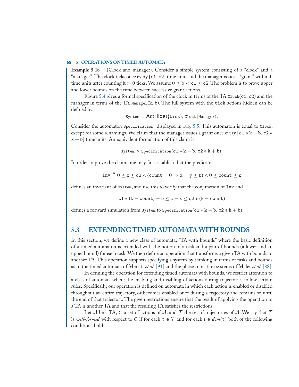**Example 5.18** (Clock and manager). Consider a simple system consisting of a "clock" and a "manager". The clock ticks once every [c1*,* c2] time units and the manager issues a "grant" within b time units after counting  $k > 0$  ticks. We assume  $0 \le b < c1 \le c2$ . The problem is to prove upper and lower bounds on the time between successive grant actions.

Figure [5.4](#page-82-0) gives a formal specification of the clock in terms of the TA  $Clock(c1, c2)$  and the manager in terms of the TA Manager $(k, b)$ . The full system with the tick actions hidden can be defined by

System =  $\text{ActHide}(\{\text{tick}\}, \text{Clock}|\text{Manager})$ .

Consider the automaton Specification displayed in Fig. [5.5.](#page-83-0) This automaton is equal to Clock, except for some renamings. We claim that the manager issues a grant once every [c1 ∗ k − b*,* c2 ∗  $k + b$ ] time units. An equivalent formulation of this claim is:

$$
\mathtt{System} \leq \mathtt{Specification}(\mathtt{c1} * k - b, \mathtt{c2} * k + b).
$$

In order to prove the claim, one may first establish that the predicate

$$
\text{Inv} \stackrel{\vartriangle}{=} 0 \leq x \leq c2 \land (\text{count}=0 \Rightarrow x=y \leq b) \land 0 \leq \text{count} \leq k
$$

defines an invariant of System, and use this to verify that the conjunction of Inv and

$$
\mathtt{c1} * (k - \mathtt{count}) - b \leq z - x \leq \mathtt{c2} * (k - \mathtt{count})
$$

defines a forward simulation from System to Specification( $c1 * k - b$ ,  $c2 * k + b$ ).

# **5.3 EXTENDING TIMED AUTOMATA WITH BOUNDS**

In this section, we define a new class of automata, "TA with bounds" where the basic definition of a timed automaton is extended with the notion of a task and a pair of bounds (a lower and an upper bound) for each task.We then define an operation that transforms a given TA with bounds to another TA. This operation supports specifying a system by thinking in terms of tasks and bounds as in the timed automata of Merritt *et al*. [\[91](#page-126-0)] and the phase transition systems of Maler *et al*. [\[88](#page-126-0)].

In defining the operation for extending timed automata with bounds, we restrict attention to a class of automata where the enabling and disabling of actions during trajectories follow certain rules. Specifically, our operation is defined on automata in which each action is enabled or disabled throughout an entire trajectory, or becomes enabled once during a trajectory and remains so until the end of that trajectory. The given restrictions ensure that the result of applying the operation to a TA is another TA and that the resulting TA satisfies the restrictions.

Let A be a TA, C a set of actions of A, and T the set of trajectories of A. We say that  $\mathcal T$ is *well-formed* with respect to *C* if for each  $\tau \in \mathcal{T}$  and for each  $t \in dom(\tau)$  both of the following conditions hold: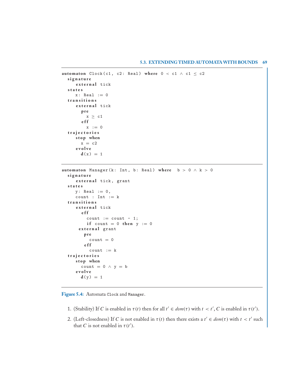```
automaton Clock(c1, c2: Real) where 0 < c1 \land c1 \le c2signature
     external tick
  states
     x: Real := 0transitions
     external tick
        pre
          x \geq c1eff
          \begin{array}{ccc} \mathtt{x} & \mathtt{:}= & 0 \end{array}trajectories
     stop when
       x = c2evolve
       d(x) = 1automaton Manager(k: Int, b: Real) where b > 0 \land k > 0signature
     external tick, grant
  states
     y: Real := 0,count : Int := k
  transitions
     external tick
        eff
          count := count - 1;if count = 0 then y := 0external grant
         pre
           count = 0eff
           count := k
  trajectories
     stop when
       count = 0 \wedge y = bevolve
       d(y) = 1
```
**Figure 5.4:** Automata Clock and Manager.

- 1. (Stability) If *C* is enabled in  $\tau(t)$  then for all  $t' \in dom(\tau)$  with  $t < t'$ , *C* is enabled in  $\tau(t')$ .
- 2. (Left-closedness) If *C* is not enabled in  $\tau(t)$  then there exists a  $t' \in dom(\tau)$  with  $t < t'$  such that *C* is not enabled in  $\tau(t')$ .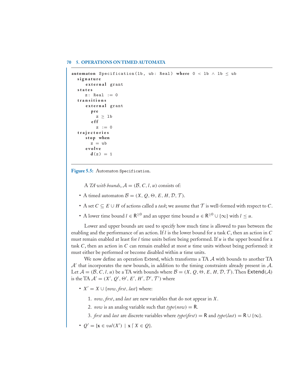```
automaton Specification(lb, ub: Real) where 0 < 1b \land 1b \leq ub
  signature
     external grant
  states
     z: Real := 0transitions
     external grant
       pre
         z \geq 1beff
         z := 0trajectories
     stop when
       z = ubevolve
       d(z) = 1
```
**Figure 5.5:** Automaton Specification.

A *TA* with bounds,  $A = (B, C, l, u)$  consists of:

- A timed automaton  $\mathcal{B} = (X, Q, \Theta, E, H, \mathcal{D}, \mathcal{T})$ .
- A set *C* ⊆ *E* ∪ *H* of actions called a *task*; we assume that T is well-formed with respect to *C*.
- A lower time bound  $l \in \mathbb{R}^{\geq 0}$  and an upper time bound  $u \in \mathbb{R}^{\geq 0} \cup \{\infty\}$  with  $l \leq u$ .

Lower and upper bounds are used to specify how much time is allowed to pass between the enabling and the performance of an action. If *l* is the lower bound for a task *C*, then an action in *C* must remain enabled at least for *l* time units before being performed. If *u* is the upper bound for a task *C*, then an action in *C* can remain enabled at most *u* time units without being performed: it must either be performed or become disabled within *u* time units.

We now define an operation Extend, which transforms a TA A with bounds to another TA  $A'$  that incorporates the new bounds, in addition to the timing constraints already present in  $A$ . Let  $A = (\mathcal{B}, C, l, u)$  be a TA with bounds where  $\mathcal{B} = (X, Q, \Theta, E, H, \mathcal{D}, \mathcal{T})$ . Then Extend(A) is the TA  $\mathcal{A}' = (X', Q', \Theta', E', H', \mathcal{D}', \mathcal{T}')$  where

- $X' = X \cup \{now, first, last\}$  where:
	- 1. *now, first*, and *last* are new variables that do not appear in *X*.
	- 2. *now* is an analog variable such that  $\text{type}(now) = \mathsf{R}$ .
	- 3. *first* and *last* are discrete variables where  $type(first) = R$  and  $type(last) = R \cup \{\infty\}$ .
- $Q' = \{ \mathbf{x} \in val(X') \mid \mathbf{x} \mid X \in Q \}.$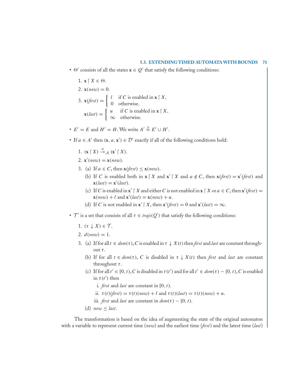# **5.3. EXTENDING TIMED AUTOMATA WITH BOUNDS 71**

•  $\Theta'$  consists of all the states  $\mathbf{x} \in \mathcal{Q}'$  that satisfy the following conditions:

1. 
$$
\mathbf{x} \mid X \in \Theta
$$
.  
\n2.  $\mathbf{x}(now) = 0$ .  
\n3.  $\mathbf{x}(first) = \begin{cases} l & \text{if } C \text{ is enabled in } \mathbf{x} \mid X, \\ 0 & \text{otherwise.} \end{cases}$   
\n $\mathbf{x}(last) = \begin{cases} u & \text{if } C \text{ is enabled in } \mathbf{x} \mid X, \\ \infty & \text{otherwise.} \end{cases}$ 

- $E' = E$  and  $H' = H$ . We write  $A' \triangleq E' \cup H'$ .
- If  $a \in A'$  then  $(\mathbf{x}, a, \mathbf{x}') \in \mathcal{D}'$  exactly if all of the following conditions hold:
	- 1.  $(\mathbf{x} \upharpoonright X) \stackrel{a}{\rightarrow}{}_{\mathcal{A}} (\mathbf{x}' \upharpoonright X)$ .
	- 2.  $\mathbf{x}'(now) = \mathbf{x}(now).$
	- 3. (a) If  $a \in C$ , then  $\mathbf{x}$ *(first*)  $\leq \mathbf{x}$ *(now)*.
		- (b) If *C* is enabled both in  $\mathbf{x} \restriction X$  and  $\mathbf{x}' \restriction X$  and  $a \notin C$ , then  $\mathbf{x}(first) = \mathbf{x}'(first)$  and  $\mathbf{x}(last) = \mathbf{x}'(last).$
		- (c) If *C* is enabled in  $\mathbf{x}' \restriction X$  and either *C* is not enabled in  $\mathbf{x} \restriction X$  or  $a \in C$ , then  $\mathbf{x}'$  (*first*) =  $\mathbf{x}(now) + l$  and  $\mathbf{x}'(last) = \mathbf{x}(now) + u$ .
		- (d) If *C* is not enabled in  $\mathbf{x}' \upharpoonright X$ , then  $\mathbf{x}'$  (*first*) = 0 and  $\mathbf{x}'$  (*last*) =  $\infty$ .
- $\mathcal{T}'$  is a set that consists of all  $\tau \in \text{trajs}(Q')$  that satisfy the following conditions:
	- 1.  $(\tau \downarrow X) \in \mathcal{T}$ .
	- 2.  $d(now) = 1$ .
	- 3. (a) If for all  $t \in dom(\tau)$ , *C* is enabled in  $\tau \downarrow X(t)$  then *first* and *last* are constant throughout *τ* .
		- (b) If for all  $t \in dom(\tau)$ , *C* is disabled in  $\tau \downarrow X(t)$  then *first* and *last* are constant throughout *τ* .
		- (c) If for all  $t' \in [0, t)$ , *C* is disabled in  $\tau(t')$  and for all  $t' \in dom(\tau) [0, t)$ , *C* is enabled  $\int$ *in*  $\tau(t')$  then
			- i. *first* and *last* are constant in [0*,t)*.
			- ii.  $\tau(t)(\text{first}) = \tau(t)(\text{now}) + l$  and  $\tau(t)(\text{last}) = \tau(t)(\text{now}) + u$ .
			- iii. *first* and *last* are constant in  $dom(\tau) [0, t)$ .
		- (d) *now*  $\leq$  *last*.

The transformation is based on the idea of augmenting the state of the original automaton with a variable to represent current time (*now*) and the earliest time (*first*) and the latest time (*last*)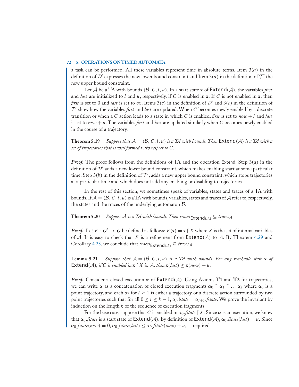<span id="page-85-0"></span>a task can be performed. All these variables represent time in absolute terms. Item 3*(a)* in the definition of  $\mathcal{D}'$  expresses the new lower bound constraint and Item 3*(d)* in the definition of  $\mathcal{T}'$  the new upper bound constraint.

Let A be a TA with bounds  $(\beta, C, l, u)$ . In a start state **x** of **Extend** $(A)$ , the variables *first* and *last* are initialized to *l* and *u*, respectively, if *C* is enabled in **x**. If *C* is not enabled in **x**, then *first* is set to 0 and *last* is set to  $\infty$ . Items 3*(c)* in the definition of  $\mathcal{D}'$  and 3*(c)* in the definition of  $T'$  show how the variables *first* and *last* are updated. When C becomes newly enabled by a discrete transition or when a *C* action leads to a state in which *C* is enabled, *first* is set to *now* + *l* and *last* is set to *now* + *u*. The variables *first* and *last* are updated similarly when *C* becomes newly enabled in the course of a trajectory.

**Theorem 5.19** *Suppose that*  $A = (B, C, l, u)$  *is a TA with bounds. Then*  $\mathsf{Extend}(A)$  *is a TA with a set of trajectories that is well formed with respect to C.*

*Proof.* The proof follows from the definitions of TA and the operation Extend. Step 3*(a)* in the definition of  $\mathcal{D}'$  adds a new lower bound constraint, which makes enabling start at some particular time. Step  $3(b)$  in the definition of  $\mathcal{T}'$ , adds a new upper bound constraint, which stops trajectories at a particular time and which does not add any enabling or disabling to trajectories.  $\Box$ 

In the rest of this section, we sometimes speak of variables, states and traces of a TA with bounds. If  $\mathcal{A} = (\mathcal{B}, C, l, u)$  is a TA with bounds, variables, states and traces of  $\mathcal{A}$  refer to, respectively, the states and the traces of the underlying automaton  $B$ .

**Theorem 5.20** *Suppose A is a TA with bounds. Then traces*  $_{\text{Extended}(A)} \subseteq$  *traces*  $_A$ *.* 

*Proof.* Let  $F: Q' \to Q$  be defined as follows:  $F(\mathbf{x}) = \mathbf{x} \restriction X$  where X is the set of internal variables of A. It is easy to check that *F* is a refinement from **Extend**(A) to A. By Theorem [4.29](#page-59-0) and Corollary 4.25 we conclude that *traces* word to  $\subseteq$  *traces* 4. Corollary [4.25,](#page-56-0) we conclude that  $\text{trace}_{\mathsf{Extended}(A)} \subseteq \text{traces}_{\mathcal{A}}$ .

**Lemma 5.21** *Suppose that*  $A = (B, C, l, u)$  *is a TA with bounds. For any reachable state* **x** *of* Extend( $A$ )*, if*  $C$  *is enabled in*  $\mathbf{x} \restriction X$  *in*  $A$ *, then*  $\mathbf{x}(last) \leq \mathbf{x}(now) + u$ *.* 

*Proof.* Consider a closed execution  $\alpha$  of Extend $(A)$ . Using Axioms T1 and T2 for trajectories, we can write *α* as a concatenation of closed execution fragments *α*<sup>0</sup> *α*<sup>1</sup> *...αk* where *α*<sup>0</sup> is a point trajectory, and each  $\alpha_i$  for  $i \geq 1$  is either a trajectory or a discrete action surrounded by two point trajectories such that for all  $0 \le i \le k - 1$ ,  $\alpha_i$ .*lstate* =  $\alpha_{i+1}$ .*fstate*. We prove the invariant by induction on the length *k* of the sequence of execution fragments.

For the base case, suppose that  $C$  is enabled in  $\alpha_0$ *.fstate*  $\lceil$  X. Since  $\alpha$  is an execution, we know that  $\alpha_0$ *, fstate* is a start state of  $\text{Extend}(\mathcal{A})$ . By definition of  $\text{Extend}(\mathcal{A})$ ,  $\alpha_0$ *, fstate(last*) = *u*. Since  $\alpha_0$ *.fstate*(*now*) = 0,  $\alpha_0$ *.<i>fstate*(*last*)  $\leq \alpha_0$ *.fstate*(*now*) + *u*, as required.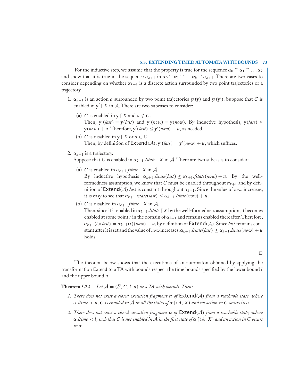#### **5.3. EXTENDING TIMED AUTOMATA WITH BOUNDS 73**

For the inductive step, we assume that the property is true for the sequence  $\alpha_0 \alpha_1 \gamma \ldots \alpha_k$ and show that it is true in the sequence  $\alpha_{k+1}$  in  $\alpha_0 \cap \alpha_1 \cap \ldots \alpha_k \cap \alpha_{k+1}$ . There are two cases to consider depending on whether  $\alpha_{k+1}$  is a discrete action surrounded by two point trajectories or a trajectory.

- 1.  $\alpha_{k+1}$  is an action *a* surrounded by two point trajectories  $\wp(\mathbf{y})$  and  $\wp(\mathbf{y}')$ . Suppose that *C* is enabled in  $y' \upharpoonright X$  in A. There are two subcases to consider:
	- (a) *C* is enabled in  $y \upharpoonright X$  and  $a \notin C$ . Then,  $\mathbf{y}'(last) = \mathbf{y}(last)$  and  $\mathbf{y}'(now) = \mathbf{y}(now)$ . By inductive hypothesis,  $\mathbf{y}(last) \leq$  $\mathbf{y}(now) + u$ . Therefore,  $\mathbf{y}'(last) \leq \mathbf{y}'(now) + u$ , as needed.
	- (b) *C* is disabled in  $y \upharpoonright X$  or  $a \in C$ . Then, by definition of  $\textsf{Extend}(\mathcal{A}), \mathbf{y}'(\mathit{last}) = \mathbf{y}'(\mathit{now}) + \mathit{u}, \text{which suffices}.$
- 2.  $\alpha_{k+1}$  is a trajectory.

Suppose that *C* is enabled in  $\alpha_{k+1}$ *. lstate*  $\lceil X \rceil$  *X* in *A*. There are two subcases to consider:

(a) *C* is enabled in  $\alpha_{k+1}$ *, fstate*  $\lceil X \rceil$  *X* in A.

By inductive hypothesis  $\alpha_{k+1}$ *.fstate*(*last*)  $\leq \alpha_{k+1}$ *.<i>fstate*(*now*) + *u*. By the wellformedness assumption, we know that *C* must be enabled throughout  $\alpha_{k+1}$  and by definition of  $\textsf{Extend}(A)$  *last* is constant throughout  $\alpha_{k+1}$ . Since the value of *now* increases, it is easy to see that  $\alpha_{k+1}$ *.lstate*(*last*)  $\leq \alpha_{k+1}$ *.lstate*(*now*) + *u*.

(b) *C* is disabled in  $\alpha_{k+1}$ *, fstate*  $\lceil X \rceil$  in A.

Then, since it is enabled in  $\alpha_{k+1}$ *. lstate*  $\lceil X \rceil$  by the well-formedness assumption, it becomes enabled at some point  $t$  in the domain of  $\alpha_{k+1}$  and remains enabled thereafter. Therefore,  $\alpha_{k+1}(t)(\text{last}) = \alpha_{k+1}(t)(\text{now}) + u$ , by definition of **Extend**(A). Since *last* remains constant after it is set and the value of *now* increases,  $\alpha_{k+1}$ *.lstate*(*last*)  $\leq \alpha_{k+1}$ *.lstate*(*now*) + *u* holds.

 $\Box$ 

The theorem below shows that the executions of an automaton obtained by applying the transformation Extend to a TA with bounds respect the time bounds specified by the lower bound *l* and the upper bound *u*.

**Theorem 5.22** *Let*  $A = (B, C, l, u)$  *be a TA with bounds. Then:* 

- *1. There does not exist a closed execution fragment α of* Extend*(*A*) from a reachable state, where*  $\alpha$ .*ltime*  $>$  *u*, *C is enabled in*  $A$  *in all the states of*  $\alpha$   $\lceil$  ( $A, X$ ) *and no action in*  $C$  *occurs in*  $\alpha$ .
- *2. There does not exist a closed execution fragment α of* Extend*(*A*) from a reachable state, where*  $\alpha$  *ltime*  $\langle$  *l, such that*  $C$  *is not enabled in*  $A$  *in the first state of*  $\alpha \lceil (A, X) \rceil$  *and an action in*  $C$  *occurs in α.*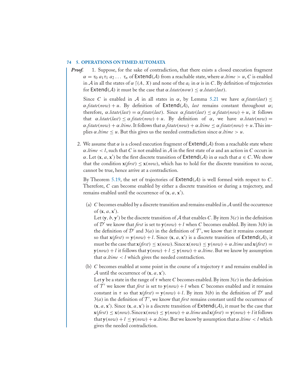**Proof.** 1. Suppose, for the sake of contradiction, that there exists a closed execution fragment  $\alpha = \tau_0 a_1 \tau_1 a_2 \ldots \tau_n$  of **Extend**(*A*) from a reachable state, where  $\alpha$ .*ltime*  $> u$ , *C* is enabled in A in all the states of  $\alpha \lceil (A, X) \rceil$  and none of the  $a_i$  in  $\alpha$  is in C. By definition of trajectories for  $\textsf{Extend}(\mathcal{A})$  it must be the case that  $\alpha$ *.lstate*(now)  $\leq \alpha$ *.lstate*(*last*).

Since *C* is enabled in *A* in all states in  $\alpha$ , by Lemma [5.21](#page-85-0) we have  $\alpha$ .*fstate*(*last*)  $\leq$  $\alpha$ *.fstate*(*now*) + *u*. By definition of Extend(*A*), *last* remains constant throughout  $\alpha$ ; therefore,  $\alpha$ .lstate(last) =  $\alpha$ .fstate(last). Since  $\alpha$ .fstate(last)  $\leq \alpha$ .fstate(now) + u, it follows  $\alpha$ .*lstate*(*last*) ≤ *α.fstate*(*now*) + *u*. By definition of *α*, we have *α.lstate*(*now*) =  $\alpha$ .fstate(now) +  $\alpha$ .ltime. It follows that  $\alpha$ .fstate(now) +  $\alpha$ .ltime  $\leq \alpha$ .fstate(now) + u. This implies  $\alpha$ .*ltime*  $\leq u$ . But this gives us the needed contradiction since  $\alpha$ .*ltime*  $> u$ .

2. We assume that  $\alpha$  is a closed execution fragment of  $\textsf{Extend}(\mathcal{A})$  from a reachable state where  $\alpha$ *.ltime* < *l*, such that *C* is not enabled in A in the first state of  $\alpha$  and an action in *C* occurs in *α*. Let (**x***, a*, **x**<sup> $\prime$ </sup>) be the first discrete transition of **Extend**(*A*) in *α* such that *a* ∈ *C*. We show that the condition  $\mathbf{x}(first) \leq \mathbf{x}(now)$ , which has to hold for the discrete transition to occur, cannot be true, hence arrive at a contradiction.

By Theorem [5.19,](#page-85-0) the set of trajectories of  $Extend(A)$  is well formed with respect to *C*. Therefore, *C* can become enabled by either a discrete transition or during a trajectory, and remains enabled until the occurrence of  $(\mathbf{x}, a, \mathbf{x}')$ .

(a)  $C$  becomes enabled by a discrete transition and remains enabled in  $A$  until the occurrence of *(***x***, a,* **x** *)*.

Let  $(\mathbf{y}, b, \mathbf{y}')$  be the discrete transition of  $\mathcal A$  that enables  $C$ . By item 3*(c)* in the definition of D' we know that *first* is set to  $y(now) + l$  when C becomes enabled. By item 3*(b)* in the definition of  $\mathcal{D}'$  and  $3(a)$  in the definition of  $\mathcal{T}'$ , we know that it remains constant so that  $\mathbf{x}(first) = \mathbf{y}(now) + l$ . Since  $(\mathbf{x}, a, \mathbf{x}')$  is a discrete transition of  $\mathsf{Extend}(\mathcal{A})$ , it must be the case that  $\mathbf{x}(first) \leq \mathbf{x}(now)$ . Since  $\mathbf{x}(now) \leq \mathbf{y}(now) + \alpha$ .ltime and  $\mathbf{x}(first) =$  $\mathbf{y}(now) + l$  it follows that  $\mathbf{y}(now) + l \leq \mathbf{y}(now) + \alpha$ .*ltime*. But we know by assumption that *α.ltime < l* which gives the needed contradiction.

(b) *C* becomes enabled at some point in the course of a trajectory  $\tau$  and remains enabled in  $\mathcal A$  until the occurrence of  $(\mathbf x, a, \mathbf x')$ .

Let y be a state in the range of  $\tau$  where C becomes enabled. By item  $3(c)$  in the definition of  $\mathcal{T}'$  we know that *first* is set to  $y(now) + l$  when C becomes enabled and it remains constant in  $\tau$  so that  $\mathbf{x}($ *first* $) = \mathbf{y}(now) + l$ . By item 3*(b)* in the definition of D' and  $3(a)$  in the definition of  $\mathcal{T}'$ , we know that *first* remains constant until the occurrence of  $(\mathbf{x}, a, \mathbf{x}')$ . Since  $(\mathbf{x}, a, \mathbf{x}')$  is a discrete transition of  $\textsf{Extend}(\mathcal{A})$ , it must be the case that  $\mathbf{x}(first) \leq \mathbf{x}(now).$  Since  $\mathbf{x}(now) \leq \mathbf{y}(now) + \alpha$ . *Itime* and  $\mathbf{x}(first) = \mathbf{y}(now) + l$  it follows  $\text{that } \mathbf{y}(now) + l \leq \mathbf{y}(now) + \alpha$ .*ltime*. But we know by assumption that  $\alpha$ .*ltime* < *l* which gives the needed contradiction.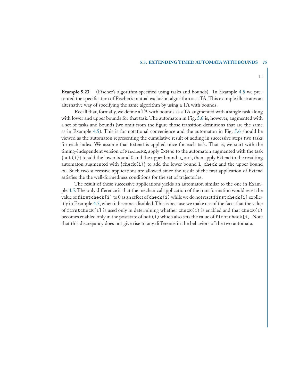#### **5.3. EXTENDING TIMED AUTOMATA WITH BOUNDS 75**

 $\Box$ 

**Example 5.23** (Fischer's algorithm specified using tasks and bounds). In Example [4.5](#page-41-0) we presented the specification of Fischer's mutual exclusion algorithm as a TA. This example illustrates an alternative way of specifying the same algorithm by using a TA with bounds.

Recall that, formally, we define a TA with bounds as a TA augmented with a single task along with lower and upper bounds for that task. The automaton in Fig. [5.6](#page-89-0) is, however, augmented with a set of tasks and bounds (we omit from the figure those transition definitions that are the same as in Example [4.5\)](#page-41-0). This is for notational convenience and the automaton in Fig. [5.6](#page-89-0) should be viewed as the automaton representing the cumulative result of adding in successive steps two tasks for each index. We assume that Extend is applied once for each task. That is, we start with the timing-independent version of FischerME, apply Extend to the automaton augmented with the task {set(i)} to add the lower bound 0 and the upper bound u\_set, then apply Extend to the resulting automaton augmented with  ${check(i)}$  to add the lower bound l\_check and the upper bound ∞. Such two successive applications are allowed since the result of the first application of Extend satisfies the the well-formedness conditions for the set of trajectories.

The result of these successive applications yields an automaton similar to the one in Example [4.5.](#page-41-0) The only difference is that the mechanical application of the transformation would reset the value of first check [i] to 0 as an effect of check (i) while we do not reset first check [i] explicitly in Example [4.5,](#page-41-0) when it becomes disabled.This is because we make use of the facts that the value of firstcheck $[i]$  is used only in determining whether check $(i)$  is enabled and that check $(i)$ becomes enabled only in the poststate of set(i) which also sets the value of firstcheck[i]. Note that this discrepancy does not give rise to any difference in the behaviors of the two automata.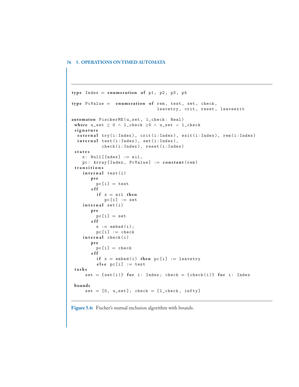```
type Index = enumeration of p1, p2, p3, p4
type PcValue = enumeration of rem, test, set, check,
                                leavetry, crit, reset, leaveexit
automaton FischerME( u_set, l_check: Real)
where u_set ≥ 0 ∧ l_check ≥0 ∧ u_set < l_check
signature
  external try(i:Index), crit(i:Index), exit(i:Index), rem(i:Index)
 internal test(i:Index), set(i:Index),
           check(i:Index), reset(i:Index)
 states
   x: Null[Index] := nil,pc: Array[Index, PcValue] := constant (rem)
 transitions
    internal test(i)
       pre
         pc[i] = testeff
         if x = nil thenpc[i] := setinternal set(i)
       pre
         pc[i] = seteff
         x := embed(i);
         pc[i] := checkinternal check(i)
       pre
         pc[i] = checkeff
         if x = embed(i) then pc[i] := leavetry
         else pc[i] := test
tasks
     set = \{ set(i) \} for i: Index; check = { \text{check}(i) \} for i: Index
bounds
     set = [0, u_set]; check = [1<sub>check</sub>, infty]
```
Figure 5.6: Fischer's mutual exclusion algorithm with bounds.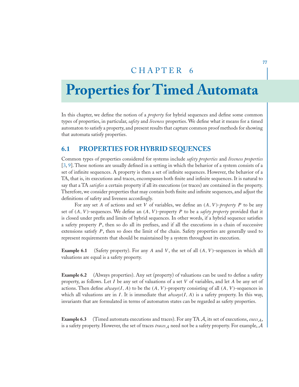# CHAPTER 6

# <span id="page-90-0"></span>**Properties for Timed Automata**

In this chapter, we define the notion of a *property* for hybrid sequences and define some common types of properties, in particular, *safety* and *liveness* properties. We define what it means for a timed automaton to satisfy a property, and present results that capture common proof methods for showing that automata satisfy properties.

# **6.1 PROPERTIES FOR HYBRID SEQUENCES**

Common types of properties considered for systems include *safety properties* and *liveness properties* [\[3,](#page-118-0) [9\]](#page-118-0). These notions are usually defined in a setting in which the behavior of a system consists of a set of infinite sequences. A property is then a set of infinite sequences. However, the behavior of a TA, that is, its executions and traces, encompasses both finite and infinite sequences. It is natural to say that a TA *satisfies* a certain property if all its executions (or traces) are contained in the property. Therefore, we consider properties that may contain both finite and infinite sequences, and adjust the definitions of safety and liveness accordingly.

For any set *A* of actions and set *V* of variables, we define an *(A, V )*-*property P* to be any set of *(A, V )*-sequences. We define an *(A, V )*-property *P* to be a *safety property* provided that it is closed under prefix and limits of hybrid sequences. In other words, if a hybrid sequence satisfies a safety property *P*, then so do all its prefixes, and if all the executions in a chain of successive extensions satisfy *P*, then so does the limit of the chain. Safety properties are generally used to represent requirements that should be maintained by a system throughout its execution.

**Example 6.1** (Safety property). For any *A* and *V*, the set of all  $(A, V)$ -sequences in which all valuations are equal is a safety property.

**Example 6.2** (Always properties). Any set (property) of valuations can be used to define a safety property, as follows. Let *I* be any set of valuations of a set *V* of variables, and let *A* be any set of actions. Then define *always(I, A)* to be the *(A, V )*-property consisting of all *(A, V )*-sequences in which all valuations are in *I*. It is immediate that  $always(1, A)$  is a safety property. In this way, invariants that are formulated in terms of automaton states can be regarded as safety properties.

**Example 6.3** (Timed automata executions and traces). For any TA A, its set of executions, execs<sub>A</sub>, is a safety property. However, the set of traces *traces*  $A$  need not be a safety property. For example,  $A$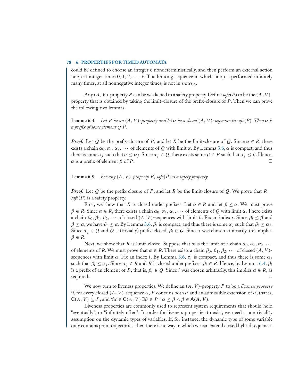# <span id="page-91-0"></span>**78 6. PROPERTIES FOR TIMED AUTOMATA**

could be defined to choose an integer *k* nondeterministically, and then perform an external action beep at integer times 0*,* 1*,* 2*,...,k*. The limiting sequence in which beep is performed infinitely many times, at all nonnegative integer times, is not in *traces*  $\mathcal{A}$ .

Any  $(A, V)$ -property *P* can be weakened to a safety property. Define  $\text{safe}(P)$  to be the  $(A, V)$ property that is obtained by taking the limit-closure of the prefix-closure of *P*. Then we can prove the following two lemmas.

**Lemma 6.4** *Let P be an*  $(A, V)$ *-property and let*  $\alpha$  *be a closed*  $(A, V)$ *-sequence in safe* $(P)$ *. Then*  $\alpha$  *is a prefix of some element of P.*

*Proof.* Let *Q* be the prefix closure of *P*, and let *R* be the limit-closure of *Q*. Since  $\alpha \in R$ , there exists a chain  $\alpha_0, \alpha_1, \alpha_2, \cdots$  of elements of *Q* with limit  $\alpha$ . By Lemma [3.6,](#page-32-0)  $\alpha$  is compact, and thus there is some  $\alpha_j$  such that  $\alpha \leq \alpha_j$ . Since  $\alpha_j \in Q$ , there exists some  $\beta \in P$  such that  $\alpha_j \leq \beta$ . Hence,  $\alpha$  is a prefix of element *β* of *P*.

**Lemma 6.5** *For any (A, V )-property P, safe(P) is a safety property.*

*Proof.* Let *Q* be the prefix closure of *P*, and let *R* be the limit-closure of *Q*. We prove that  $R =$  $safe(P)$  is a safety property.

First, we show that *R* is closed under prefixes. Let  $\alpha \in R$  and let  $\beta \leq \alpha$ . We must prove  $\beta \in R$ . Since  $\alpha \in R$ , there exists a chain  $\alpha_0, \alpha_1, \alpha_2, \cdots$  of elements of *Q* with limit  $\alpha$ . There exists a chain  $\beta_0, \beta_1, \beta_2, \cdots$  of closed  $(A, V)$ -sequences with limit  $\beta$ . Fix an index *i*. Since  $\beta_i \leq \beta$  and  $β ≤ α$ , we have  $β<sub>i</sub> ≤ α$ . By Lemma [3.6,](#page-32-0)  $β<sub>i</sub>$  is compact, and thus there is some  $α<sub>j</sub>$  such that  $β<sub>i</sub> ≤ α<sub>j</sub>$ . Since  $\alpha_j \in Q$  and  $Q$  is (trivially) prefix-closed,  $\beta_i \in Q$ . Since *i* was chosen arbitrarily, this implies *β* ∈ *R*.

Next, we show that *R* is limit-closed. Suppose that  $\alpha$  is the limit of a chain  $\alpha_0, \alpha_1, \alpha_2, \cdots$ of elements of *R*. We must prove that *α* ∈ *R*. There exists a chain *β*0*, β*1*, β*2*,* ··· of closed *(A, V )* sequences with limit  $\alpha$ . Fix an index *i*. By Lemma [3.6,](#page-32-0)  $\beta_i$  is compact, and thus there is some  $\alpha_j$ such that  $\beta_i \leq \alpha_j$ . Since  $\alpha_j \in R$  and R is closed under prefixes,  $\beta_i \in R$ . Hence, by Lemma 6.4,  $\beta_i$ is a prefix of an element of *P*, that is,  $\beta_i \in Q$ . Since *i* was chosen arbitrarily, this implies  $\alpha \in R$ , as required. ✷

We now turn to liveness properties. We define an *(A, V )*-property *P* to be a *liveness property* if, for every closed (A, V)-sequence  $\alpha$ , P contains both  $\alpha$  and an admissible extension of  $\alpha$ , that is,  $C(A, V) \subseteq P$ , and  $\forall \alpha \in C(A, V) \exists \beta \in P : \alpha \leq \beta \land \beta \in A(A, V)$ .

Liveness properties are commonly used to represent system requirements that should hold "eventually", or "infinitely often". In order for liveness properties to exist, we need a nontriviality assumption on the dynamic types of variables. If, for instance, the dynamic type of some variable only contains point trajectories, then there is no way in which we can extend closed hybrid sequences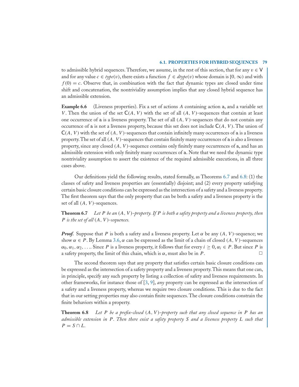#### **6.1. PROPERTIES FOR HYBRID SEQUENCES 79**

<span id="page-92-0"></span>to admissible hybrid sequences. Therefore, we assume, in the rest of this section, that for any  $v \in V$ and for any value  $c \in type(v)$ , there exists a function  $f \in dtype(v)$  whose domain is  $[0, \infty)$  and with  $f(0) = c$ . Observe that, in combination with the fact that dynamic types are closed under time shift and concatenation, the nontriviality assumption implies that any closed hybrid sequence has an admissible extension.

**Example 6.6** (Liveness properties). Fix a set of actions *A* containing action a, and a variable set *V* . Then the union of the set C*(A, V )* with the set of all *(A, V )*-sequences that contain at least one occurrence of a is a liveness property. The set of all *(A, V )*-sequences that do not contain any occurrence of a is not a liveness property, because this set does not include C*(A, V )*. The union of  $C(A, V)$  with the set of  $(A, V)$ -sequences that contain infinitely many occurrences of a is a liveness property.The set of all *(A, V )*-sequences that contain finitely many occurrences of a is also a liveness property, since any closed *(A, V )*-sequence contains only finitely many occurrences of a, and has an admissible extension with only finitely many occurrences of a. Note that we need the dynamic type nontriviality assumption to assert the existence of the required admissible executions, in all three cases above.

Our definitions yield the following results, stated formally, as Theorems 6.7 and 6.8: (1) the classes of safety and liveness properties are (essentially) disjoint; and (2) every property satisfying certain basic closure conditions can be expressed as the intersection of a safety and a liveness property. The first theorem says that the only property that can be both a safety and a liveness property is the set of all *(A, V )*-sequences.

**Theorem 6.7** *Let P be an (A, V )-property. If P is both a safety property and a liveness property, then P is the set of all (A, V )-sequences.*

*Proof.* Suppose that *P* is both a safety and a liveness property. Let  $\alpha$  be any  $(A, V)$ -sequence; we show  $\alpha \in P$ . By Lemma [3.6,](#page-32-0)  $\alpha$  can be expressed as the limit of a chain of closed  $(A, V)$ -sequences  $\alpha_0, \alpha_1, \alpha_2, \ldots$  Since *P* is a liveness property, it follows that for every  $i \geq 0, \alpha_i \in P$ . But since *P* is a safety property, the limit of this chain, which is  $\alpha$ , must also be in *P*.

The second theorem says that any property that satisfies certain basic closure conditions can be expressed as the intersection of a safety property and a liveness property. This means that one can, in principle, specify any such property by listing a collection of safety and liveness requirements. In other frameworks, for instance those of [\[3,](#page-118-0) [9\]](#page-118-0), *any* property can be expressed as the intersection of a safety and a liveness property, whereas we require two closure conditions. This is due to the fact that in our setting properties may also contain finite sequences. The closure conditions constrain the finite behaviors within a property.

**Theorem 6.8** *Let P be a prefix-closed (A, V )-property such that any closed sequence in P has an admissible extension in P. Then there exist a safety property S and a liveness property L such that*  $P = S \cap L$ .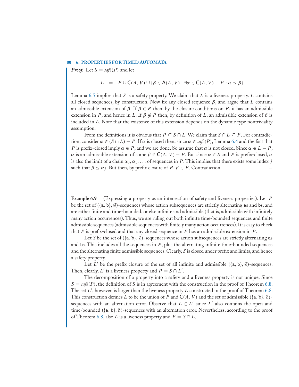### **80 6. PROPERTIES FOR TIMED AUTOMATA**

*Proof.* Let  $S = \text{safe}(P)$  and let

$$
L = P \cup C(A, V) \cup \{ \beta \in A(A, V) \mid \exists \alpha \in C(A, V) - P : \alpha \le \beta \}
$$

Lemma [6.5](#page-91-0) implies that *S* is a safety property. We claim that *L* is a liveness property. *L* contains all closed sequences, by construction. Now fix any closed sequence *β*, and argue that *L* contains an admissible extension of  $\beta$ . If  $\beta \in P$  then, by the closure conditions on P, it has an admissible extension in *P*, and hence in *L*. If  $\beta \notin P$  then, by definition of *L*, an admissible extension of  $\beta$  is included in *L*. Note that the existence of this extension depends on the dynamic type nontriviality assumption.

From the definitions it is obvious that  $P \subseteq S \cap L$ . We claim that  $S \cap L \subseteq P$ . For contradiction, consider *α* ∈ *(S* ∩ *L)* − *P*. If *α* is closed then, since *α* ∈ *safe(P)*, Lemma [6.4](#page-91-0) and the fact that *P* is prefix-closed imply  $\alpha \in P$ , and we are done. So assume that  $\alpha$  is not closed. Since  $\alpha \in L - P$ , *α* is an admissible extension of some *β* ∈ C(*A, V*) − *P*. But since *α* ∈ *S* and *P* is prefix-closed, *α* is also the limit of a chain  $\alpha_0, \alpha_1, \ldots$  of sequences in *P*. This implies that there exists some index *j* such that  $\beta \leq \alpha_i$ . But then, by prefix closure of  $P, \beta \in P$ . Contradiction.

**Example 6.9** (Expressing a property as an intersection of safety and liveness properties). Let *P* be the set of *(*{a*,* b}*,* ∅*)*-sequences whose action subsequences are strictly alternating as and bs, and are either finite and time-bounded, or else infinite and admissible (that is, admissible with infinitely many action occurrences). Thus, we are ruling out both infinite time-bounded sequences and finite admissible sequences (admissible sequences with finitely many action occurrences). It is easy to check that *P* is prefix-closed and that any closed sequence in *P* has an admissible extension in *P*.

Let *S* be the set of *(*{a*,* b}*,* ∅*)*-sequences whose action subsequences are strictly alternating as and bs. This includes all the sequences in *P*, plus the alternating infinite time-bounded sequences and the alternating finite admissible sequences. Clearly, *S* is closed under prefix and limits, and hence a safety property.

Let  $L'$  be the prefix closure of the set of all infinite and admissible  $(\{a, b\}, \emptyset)$ -sequences. Then, clearly,  $L'$  is a liveness property and  $P = S \cap L'$ .

The decomposition of a property into a safety and a liveness property is not unique. Since  $S = \text{safe}(P)$ , the definition of *S* is in agreement with the construction in the proof of Theorem [6.8.](#page-92-0) The set L', however, is larger than the liveness property L constructed in the proof of Theorem [6.8.](#page-92-0) This construction defines *L* to be the union of *P* and  $C(A, V)$  and the set of admissible  $(\{a, b\}, \emptyset)$ sequences with an alternation error. Observe that  $L \subset L'$  since  $L'$  also contains the open and time-bounded *(*{a*,* b}*,* ∅*)*-sequences with an alternation error. Nevertheless, according to the proof of Theorem [6.8,](#page-92-0) also *L* is a liveness property and  $P = S \cap L$ .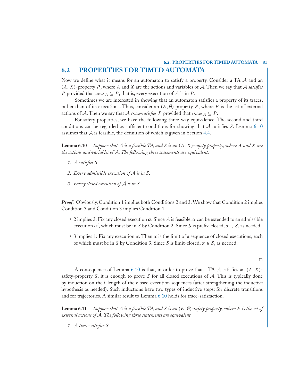# **6.2. PROPERTIES FOR TIMED AUTOMATA 81 6.2 PROPERTIES FOR TIMED AUTOMATA**

Now we define what it means for an automaton to satisfy a property. Consider a TA  $\mathcal A$  and an *(A, X)*-property *P*, where *A* and *X* are the actions and variables of A. Then we say that A *satisfies P* provided that *execs* $\mathcal{A} \subseteq P$ , that is, every execution of  $\mathcal{A}$  is in  $P$ .

Sometimes we are interested in showing that an automaton satisfies a property of its traces, rather than of its executions. Thus, consider an  $(E, \emptyset)$  property P, where E is the set of external actions of A. Then we say that A *trace-satisfies* P provided that *traces*  $\mathbf{A} \subseteq \mathbf{P}$ .

For safety properties, we have the following three-way equivalence. The second and third conditions can be regarded as sufficient conditions for showing that A satisfies *S*. Lemma 6.10 assumes that  $A$  is feasible, the definition of which is given in Section [4.4.](#page-52-0)

**Lemma 6.10** *Suppose that* A *is a feasible TA, and S is an (A, X)-safety property, where A and X are the actions and variables of* A*. The following three statements are equivalent.*

- *1.* A *satisfies S.*
- *2. Every admissible execution of* A *is in S.*
- *3. Every closed execution of* A *is in S.*

*Proof.* Obviously, Condition 1 implies both Conditions 2 and 3.We show that Condition 2 implies Condition 3 and Condition 3 implies Condition 1.

- 2 implies 3: Fix any closed execution *α*. Since A is feasible, *α* can be extended to an admissible execution  $\alpha'$ , which must be in *S* by Condition 2. Since *S* is prefix-closed,  $\alpha \in S$ , as needed.
- 3 implies 1: Fix any execution *α*. Then *α* is the limit of a sequence of closed executions, each of which must be in *S* by Condition 3. Since *S* is limit-closed,  $\alpha \in S$ , as needed.

 $\Box$ 

A consequence of Lemma 6.10 is that, in order to prove that a TA A satisfies an *(A, X)* safety-property *S*, it is enough to prove *S* for all closed executions of A. This is typically done by induction on the i-length of the closed execution sequences (after strengthening the inductive hypothesis as needed). Such inductions have two types of inductive steps: for discrete transitions and for trajectories. A similar result to Lemma 6.10 holds for trace-satisfaction.

**Lemma 6.11** *Suppose that* A *is a feasible TA, and S is an (E,* ∅*)-safety property, where E is the set of external actions of* A*. The following three statements are equivalent.*

*1.* A *trace-satisfies S.*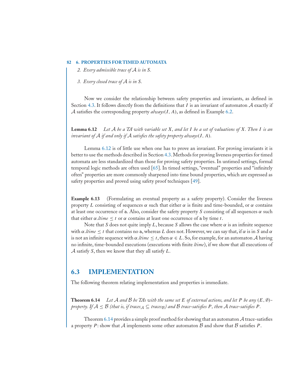### **82 6. PROPERTIES FOR TIMED AUTOMATA**

- *2. Every admissible trace of* A *is in S.*
- *3. Every closed trace of* A *is in S.*

Now we consider the relationship between safety properties and invariants, as defined in Section [4.3.](#page-49-0) It follows directly from the definitions that  $I$  is an invariant of automaton  $A$  exactly if A satisfies the corresponding property *always(I, A)*, as defined in Example [6.2.](#page-90-0)

**Lemma 6.12** *Let* A *be a TA with variable set X, and let I be a set of valuations of X. Then I is an invariant of* A *if and only if* A *satisfies the safety property always(I, A).*

Lemma 6.12 is of little use when one has to prove an invariant. For proving invariants it is better to use the methods described in Section [4.3.](#page-49-0)Methods for proving liveness properties for timed automata are less standardized than those for proving safety properties. In untimed settings, formal temporal logic methods are often used [\[65\]](#page-124-0). In timed settings, "eventual" properties and "infinitely often" properties are more commonly sharpened into time bound properties, which are expressed as safety properties and proved using safety proof techniques [\[49\]](#page-122-0).

**Example 6.13** (Formulating an eventual property as a safety property). Consider the liveness property *L* consisting of sequences  $\alpha$  such that either  $\alpha$  is finite and time-bounded, or  $\alpha$  contains at least one occurrence of a. Also, consider the safety property *S* consisting of all sequences  $\alpha$  such that either  $\alpha$ *.ltime*  $\leq t$  or  $\alpha$  contains at least one occurrence of a by time *t*.

Note that *S* does not quite imply *L*, because *S* allows the case where  $\alpha$  is an infinite sequence with  $\alpha$ *.ltime*  $\leq t$  that contains no a, whereas *L* does not. However, we can say that, if  $\alpha$  is in *S* and  $\alpha$ is not an infinite sequence with  $\alpha$ .*ltime*  $\leq t$ , then  $\alpha \in L$ . So, for example, for an automaton A having no infinite, time-bounded executions (executions with finite *ltime*), if we show that all executions of A satisfy *S*, then we know that they all satisfy *L*.

# **6.3 IMPLEMENTATION**

The following theorem relating implementation and properties is immediate.

**Theorem 6.14** *Let*  $A$  *and*  $B$  *be*  $TAs$  *with the same set*  $E$  *of external actions, and let*  $P$  *be any*  $(E, \emptyset)$ *property. If*  $A \leq B$  *(that is, if traces* $A \subseteq$  *traces* $B$ *) and* B *trace-satisfies* P, *then* A *trace-satisfies* P.

Theorem 6.14 provides a simple proof method for showing that an automaton  $A$  trace-satisfies a property  $P$ : show that  $\mathcal A$  implements some other automaton  $\mathcal B$  and show that  $\mathcal B$  satisfies  $P$ .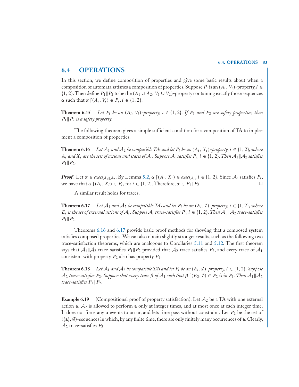# <span id="page-96-0"></span>**6.4 OPERATIONS**

In this section, we define composition of properties and give some basic results about when a composition of automata satisfies a composition of properties. Suppose  $P_i$  is an  $(A_i, V_i)$ -property,  $i \in$  $\{1, 2\}$ . Then define  $P_1 \| P_2$  to be the  $(A_1 \cup A_2, V_1 \cup V_2)$ -property containing exactly those sequences *α* such that  $\alpha \lceil (A_i, V_i) \in P_i, i \in \{1, 2\}.$ 

**Theorem 6.15** *Let*  $P_i$  *be an*  $(A_i, V_i)$ *-property,*  $i \in \{1, 2\}$ *. If*  $P_1$  *and*  $P_2$  *are safety properties, then P*1*P*<sup>2</sup> *is a safety property.*

The following theorem gives a simple sufficient condition for a composition of TA to implement a composition of properties.

**Theorem 6.16** *Let*  $A_1$  *and*  $A_2$  *be compatible TAs and let*  $P_i$  *be an*  $(A_i, X_i)$ *-property, i*  $\in \{1, 2\}$ *, where A<sub>i</sub>* and  $X_i$  are the sets of actions and states of  $A_i$ *. Suppose*  $A_i$  satisfies  $P_i$ *,*  $i \in \{1, 2\}$ *. Then*  $A_1 \parallel A_2$  satisfies  $P_1$  ||  $P_2$ .

*Proof.* Let  $\alpha \in \text{exess}_{\mathcal{A}_1 \mid \mathcal{A}_2}$ . By Lemma [5.2,](#page-71-0)  $\alpha \mid (A_i, X_i) \in \text{exess}_{\mathcal{A}_i}, i \in \{1, 2\}$ . Since  $\mathcal{A}_i$  satisfies  $P_i$ , we have that  $\alpha \left[ (A_i, X_i) \in P_i, \text{ for } i \in \{1, 2\}. \text{ Therefore, } \alpha \in P_1 \right] \left| P_2 \right|$ .

A similar result holds for traces.

**Theorem 6.17** *Let*  $A_1$  *and*  $A_2$  *be compatible TAs and let*  $P_i$  *be an*  $(E_i, \emptyset)$ *-property,*  $i \in \{1, 2\}$ *, where*  $E_i$  *is the set of external actions of*  $A_i$ *. Suppose*  $A_i$  *trace-satisfies*  $P_i$ *, i*  $\in$  {1, 2}*. Then*  $A_1$ || $A_2$  *trace-satisfies*  $P_1$ || $P_2$ *.* 

Theorems 6.16 and 6.17 provide basic proof methods for showing that a composed system satisfies composed properties.We can also obtain slightly stronger results, such as the following two trace-satisfaction theorems, which are analogous to Corollaries [5.11](#page-76-0) and [5.12.](#page-77-0) The first theorem says that  $\mathcal{A}_1||\mathcal{A}_2$  trace-satisfies  $P_1||P_2$  provided that  $\mathcal{A}_2$  trace-satisfies  $P_2$ , and every trace of  $\mathcal{A}_1$ consistent with property  $P_2$  also has property  $P_1$ .

**Theorem 6.18** *Let*  $A_1$  *and*  $A_2$  *be compatible TAs and let*  $P_i$  *be an*  $(E_i, \emptyset)$ *-property,*  $i \in \{1, 2\}$ *. Suppose*  $A_2$  trace-satisfies  $P_2$ . Suppose that every trace  $\beta$  of  $A_1$  such that  $\beta \lceil (E_2, \emptyset) \in P_2$  is in  $P_1$ . Then  $A_1 \| A_2$ *trace-satisfies*  $P_1 \| P_2$ .

**Example 6.19** (Compositional proof of property satisfaction). Let  $A_2$  be a TA with one external action a.  $A_2$  is allowed to perform a only at integer times, and at most once at each integer time. It does not force any a events to occur, and lets time pass without constraint. Let  $P_2$  be the set of *(*{a}*,* ∅*)*-sequences in which, by any finite time, there are only finitely many occurrences of a. Clearly,  $A_2$  trace-satisfies  $P_2$ .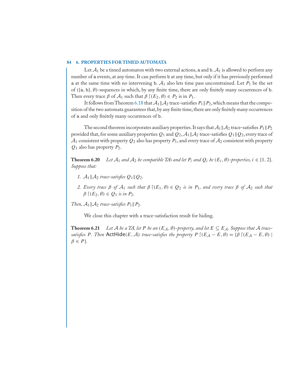# **84 6. PROPERTIES FOR TIMED AUTOMATA**

Let  $A_1$  be a timed automaton with two external actions, a and b.  $A_1$  is allowed to perform any number of a events, at any time. It can perform b at any time, but only if it has previously performed a at the same time with no intervening b.  $A_1$  also lets time pass unconstrained. Let  $P_1$  be the set of *(*{a*,* b}*,* ∅*)*-sequences in which, by any finite time, there are only finitely many occurrences of b. Then every trace  $\beta$  of  $\mathcal{A}_1$  such that  $\beta$   $\lceil (E_2, \emptyset) \in P_2$  is in  $P_1$ .

It follows from Theorem [6.18](#page-96-0) that  $A_1||A_2$  trace-satisfies  $P_1||P_2$ , which means that the composition of the two automata guarantees that, by any finite time, there are only finitely many occurrences of a and only finitely many occurrences of b.

The second theorem incorporates auxiliary properties. It says that  $\mathcal{A}_1||\mathcal{A}_2$  trace-satisfies  $P_1||P_2$ provided that, for some auxiliary properties  $Q_1$  and  $Q_2$ ,  $\mathcal{A}_1 \parallel \mathcal{A}_2$  trace-satisfies  $Q_1 \parallel Q_2$ , every trace of  $\mathcal{A}_1$  consistent with property  $Q_2$  also has property  $P_1$ , and every trace of  $\mathcal{A}_2$  consistent with property *Q*<sup>1</sup> also has property *P*2.

**Theorem 6.20** *Let*  $A_1$  *and*  $A_2$  *be compatible TAs and let*  $P_i$  *and*  $Q_i$  *be*  $(E_i, \emptyset)$ *-properties,*  $i \in \{1, 2\}$ *. Suppose that:*

- *1.*  $\mathcal{A}_1 || \mathcal{A}_2$  *trace-satisfies*  $Q_1 || Q_2$ *.*
- $2.$  Every trace  $\beta$  of  $\mathcal{A}_1$  *such that*  $\beta \lceil (E_1, \emptyset) \in Q_2$  *is in*  $P_1$ *, and every trace*  $\beta$  of  $\mathcal{A}_2$  *such that*  $\beta$   $[(E_2, \emptyset) \in Q_1$  *is in P*<sub>2</sub>.

*Then,*  $\mathcal{A}_1 || \mathcal{A}_2$  *trace-satisfies*  $P_1 || P_2$ .

We close this chapter with a trace-satisfaction result for hiding.

**Theorem 6.21** *Let*  $A$  *be a TA, let*  $P$  *be an*  $(E_A, \emptyset)$ -property, and let  $E \subseteq E_A$ . Suppose that  $A$  *tracesatisfies*  $P$ *. Then*  $\mathsf{ActHide}(E, \mathcal{A})$  *trace-satisfies the property*  $P \left[ (E_{\mathcal{A}} - E, \emptyset) = \{\beta \left[ (E_{\mathcal{A}} - E, \emptyset) \right] \}$  $\beta \in P$ }.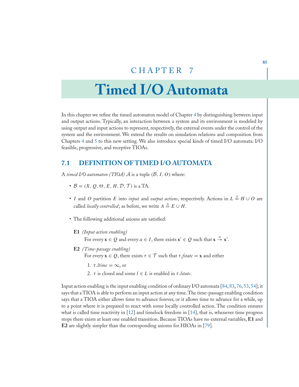# CHAPTER 7

# <span id="page-98-0"></span>**Timed I/O Automata**

In this chapter we refine the timed automaton model of Chapter [4](#page-36-0) by distinguishing between input and output actions. Typically, an interaction between a system and its environment is modeled by using output and input actions to represent, respectively, the external events under the control of the system and the environment. We extend the results on simulation relations and composition from Chapters [4](#page-36-0) and [5](#page-70-0) to this new setting. We also introduce special kinds of timed I/O automata: I/O feasible, progressive, and receptive TIOAs.

# **7.1 DEFINITION OF TIMED I/O AUTOMATA**

A *timed I/O automaton (TIOA)* A is a tuple *(*B*,I,O)* where:

- $\bullet$   $\mathcal{B} = (X, Q, \Theta, E, H, \mathcal{D}, \mathcal{T})$  is a TA.
- *I* and *O* partition *E* into *input* and *output actions*, respectively. Actions in *L* = *H* ∪ *O* are called *locally controlled*; as before, we write  $A \stackrel{\scriptscriptstyle\Delta}{=} E \cup H.$
- The following additional axioms are satisfied:
	- **E1** *(Input action enabling)*

For every  $\mathbf{x} \in Q$  and every  $a \in I$ , there exists  $\mathbf{x}' \in Q$  such that  $\mathbf{x} \stackrel{a}{\rightarrow} \mathbf{x}'$ .

- **E2** *(Time-passage enabling)* For every  $\mathbf{x} \in Q$ , there exists  $\tau \in \mathcal{T}$  such that  $\tau$ *fstate* = **x** and either
	- 1. *τ.ltime* =  $\infty$ , or
	- 2.  $\tau$  is closed and some  $l \in L$  is enabled in  $\tau$ *. lstate*.

Input action enabling is the input enabling condition of ordinary I/O automata [\[84,](#page-126-0) [83](#page-126-0), [76,](#page-125-0) [53](#page-123-0), [54](#page-123-0)]; it says that a TIOA is able to perform an input action at any time.The time-passage enabling condition says that a TIOA either allows time to advance forever, or it allows time to advance for a while, up to a point where it is prepared to react with some locally controlled action. The condition ensures what is called time reactivity in  $[12]$  $[12]$  and timelock freedom in  $[14]$ , that is, whenever time progress stops there exists at least one enabled transition. Because TIOAs have no external variables, **E1** and **E2** are slightly simpler than the corresponding axioms for HIOAs in [\[79\]](#page-125-0).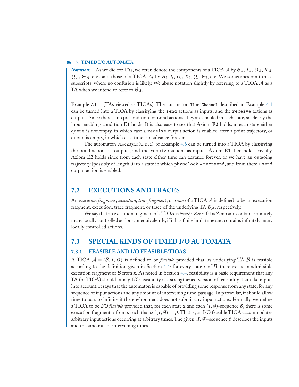# **86 7. TIMED I/O AUTOMATA**

*Notation:* As we did for TAs, we often denote the components of a TIOA  $A$  by  $B_A$ ,  $I_A$ ,  $O_A$ ,  $X_A$ ,  $Q_A$ ,  $\Theta_A$ , etc., and those of a TIOA  $A_i$  by  $H_i$ ,  $I_i$ ,  $O_i$ ,  $X_i$ ,  $Q_i$ ,  $\Theta_i$ , etc. We sometimes omit these subscripts, where no confusion is likely. We abuse notation slightly by referring to a TIOA A as a TA when we intend to refer to  $\mathcal{B}_A$ .

**Example 7.1** (TAs viewed as TIOAs). The automaton TimedChannel described in Example [4.1](#page-39-0) can be turned into a TIOA by classifying the send actions as inputs, and the receive actions as outputs. Since there is no precondition for send actions, they are enabled in each state, so clearly the input enabling condition **E1** holds. It is also easy to see that Axiom **E2** holds: in each state either queue is nonempty, in which case a receive output action is enabled after a point trajectory, or queue is empty, in which case time can advance forever.

The automaton ClockSync(u,r,i) of Example [4.6](#page-43-0) can be turned into a TIOA by classifying the send actions as outputs, and the receive actions as inputs. Axiom **E1** then holds trivially. Axiom **E2** holds since from each state either time can advance forever, or we have an outgoing trajectory (possibly of length 0) to a state in which physclock = nextsend, and from there a send output action is enabled.

# **7.2 EXECUTIONS AND TRACES**

An *execution fragment*, *execution*, *trace fragment*, or *trace* of a TIOA A is defined to be an execution fragment, execution, trace fragment, or trace of the underlying TA  $\mathcal{B}_A$ , respectively.

We say that an execution fragment of a TIOA is*locally-Zeno*if it is Zeno and contains infinitely many locally controlled actions, or equivalently, if it has finite limit time and contains infinitely many locally controlled actions.

# **7.3 SPECIAL KINDS OF TIMED I/O AUTOMATA**

# **7.3.1 FEASIBLE AND I/O FEASIBLE TIOAS**

A TIOA  $A = (\mathcal{B}, I, O)$  is defined to be *feasible* provided that its underlying TA  $\mathcal{B}$  is feasible according to the definition given in Section [4.4:](#page-52-0) for every state **x** of  $\beta$ , there exists an admissible execution fragment of  $\beta$  from **x**. As noted in Section [4.4,](#page-52-0) feasibility is a basic requirement that any TA (or TIOA) should satisfy. I/O feasibility is a strengthened version of feasibility that take inputs into account. It says that the automaton is capable of providing some response from any state, for any sequence of input actions and any amount of intervening time-passage. In particular, it should allow time to pass to infinity if the environment does not submit any input actions. Formally, we define a TIOA to be *I/O feasible* provided that, for each state **x** and each  $(I, \emptyset)$ -sequence  $\beta$ , there is some execution fragment  $\alpha$  from **x** such that  $\alpha \lceil (I, \emptyset) = \beta$ . That is, an I/O feasible TIOA accommodates arbitrary input actions occurring at arbitrary times. The given  $(I, \emptyset)$ -sequence  $\beta$  describes the inputs and the amounts of intervening times.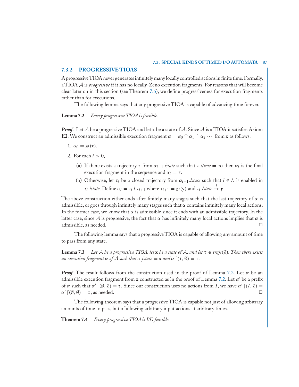# **7.3. SPECIAL KINDS OF TIMED I/O AUTOMATA 87**

# <span id="page-100-0"></span>**7.3.2 PROGRESSIVE TIOAS**

A progressiveTIOA never generates infinitely many locally controlled actions in finite time.Formally, a TIOA A is *progressive* if it has no locally-Zeno execution fragments. For reasons that will become clear later on in this section (see Theorem [7.6\)](#page-102-0), we define progressiveness for execution fragments rather than for executions.

The following lemma says that any progressive TIOA is capable of advancing time forever.

**Lemma 7.2** *Every progressive TIOA is feasible.*

*Proof.* Let A be a progressive TIOA and let **x** be a state of A. Since A is a TIOA it satisfies Axiom **E2**. We construct an admissible execution fragment  $\alpha = \alpha_0 \alpha_1 \alpha_2 \cdots$  from **x** as follows.

- 1.  $\alpha_0 = \wp(\mathbf{x})$ .
- 2. For each *i >* 0,
	- (a) If there exists a trajectory  $\tau$  from  $\alpha_{i-1}$ *.lstate* such that  $\tau$ *.ltime* =  $\infty$  then  $\alpha_i$  is the final execution fragment in the sequence and  $\alpha_i = \tau$ .
	- (b) Otherwise, let  $\tau_i$  be a closed trajectory from  $\alpha_{i-1}$ *.lstate* such that  $l \in L$  is enabled in  $\tau_i$ .*lstate*. Define  $\alpha_i = \tau_i \ l \ \tau_{i+1}$  where  $\tau_{i+1} = \wp(\mathbf{y})$  and  $\tau_i$ .*lstate*  $\stackrel{l}{\rightarrow} \mathbf{y}$ .

The above construction either ends after finitely many stages such that the last trajectory of  $\alpha$  is admissible, or goes through infinitely many stages such that  $\alpha$  contains infinitely many local actions. In the former case, we know that  $\alpha$  is admissible since it ends with an admissible trajectory. In the latter case, since A is progressive, the fact that *α* has infinitely many local actions implies that *α* is admissible as needed admissible, as needed.

The following lemma says that a progressive TIOA is capable of allowing any amount of time to pass from any state.

**Lemma 7.3** *Let*  $A$  *be a progressive TIOA, let*  $x$  *be a state of*  $A$ *, and let*  $\tau \in \text{trajs}(\emptyset)$ *. Then there exists an execution fragment*  $\alpha$  *of*  $A$  *such that*  $\alpha$ *,fstate* = **x** *and*  $\alpha$   $\lceil$   $(I, \emptyset)$  = *τ*.

*Proof.* The result follows from the construction used in the proof of Lemma 7.2. Let *α* be an admissible execution fragment from **x** constructed as in the proof of Lemma 7.2. Let  $\alpha'$  be a prefix of *α* such that  $\alpha'$   $($ ( $\emptyset$ ,  $\emptyset$ ) =  $\tau$ . Since our construction uses no actions from *I*, we have  $\alpha'$   $($ I,  $\emptyset$ ) =  $\alpha'$   $\lceil (\emptyset, \emptyset) = \tau$ , as needed.

The following theorem says that a progressive TIOA is capable not just of allowing arbitrary amounts of time to pass, but of allowing arbitrary input actions at arbitrary times.

**Theorem 7.4** *Every progressive TIOA is I/O feasible.*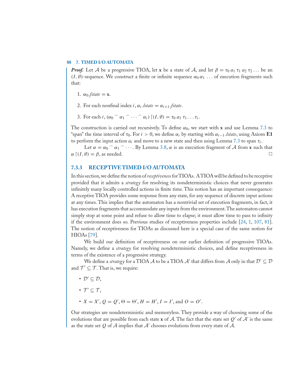### **88 7. TIMED I/O AUTOMATA**

*Proof.* Let A be a progressive TIOA, let **x** be a state of A, and let  $\beta = \tau_0 a_1 \tau_1 a_2 \tau_2 \ldots$  be an *(I, Ø*)-sequence. We construct a finite or infinite sequence  $α_0 α_1 \ldots$  of execution fragments such that:

1.  $\alpha_0$ *.fstate* = **x**.

- 2. For each nonfinal index *i*,  $\alpha_i$ *.lstate* =  $\alpha_{i+1}$ *.fstate*.
- 3. For each *i*,  $(\alpha_0 \cap \alpha_1 \cap \cdots \cap \alpha_i)$   $[(I, \emptyset) = \tau_0 a_1 \tau_1 \dots \tau_i$ .

The construction is carried out recursively. To define  $\alpha_0$ , we start with **x** and use Lemma [7.3](#page-100-0) to "span" the time interval of *τ*0. For *i >* 0, we define *αi* by starting with *αi*<sup>−</sup>1*.lstate*, using Axiom **E1** to perform the input action  $a_i$  and move to a new state and then using Lemma [7.3](#page-100-0) to span  $\tau_i$ .

Let  $\alpha = \alpha_0 \cap \alpha_1 \cap \cdots$ . By Lemma [3.8,](#page-34-0)  $\alpha$  is an execution fragment of A from **x** such that  $\emptyset$ ) =  $\beta$ , as needed.  $\alpha \left[ (I, \emptyset) = \beta \right]$ , as needed.

# **7.3.3 RECEPTIVE TIMED I/O AUTOMATA**

In this section,we define the notion of*receptiveness* forTIOAs. ATIOA will be defined to be receptive provided that it admits a *strategy* for resolving its nondeterministic choices that never generates infinitely many locally controlled actions in finite time. This notion has an important consequence: A receptive TIOA provides some response from any state, for any sequence of discrete input actions at any times. This implies that the automaton has a nontrivial set of execution fragments, in fact, it has execution fragments that accommodate any inputsfrom the environment.The automaton cannot simply stop at some point and refuse to allow time to elapse; it must allow time to pass to infinity if the environment does so. Previous studies of receptiveness properties include [\[24](#page-120-0), [1](#page-118-0), [107,](#page-128-0) [81](#page-125-0)]. The notion of receptiveness for TIOAs as discussed here is a special case of the same notion for HIOAs [\[79\]](#page-125-0).

We build our definition of receptiveness on our earlier definition of progressive TIOAs. Namely, we define a *strategy* for resolving nondeterministic choices, and define receptiveness in terms of the existence of a progressive strategy.

We define a *strategy* for a TIOA A to be a TIOA A' that differs from A only in that  $\mathcal{D}' \subseteq \mathcal{D}$ and  $\mathcal{T}' \subseteq \mathcal{T}$ . That is, we require:

- $\mathcal{D}' \subseteq \mathcal{D}$ ,
- $\mathcal{T}' \subseteq \mathcal{T}$ ,
- $X = X', Q = Q', \Theta = \Theta', H = H', I = I', \text{and } O = O'.$

Our strategies are nondeterministic and memoryless. They provide a way of choosing some of the evolutions that are possible from each state **x** of A. The fact that the state set  $Q'$  of A' is the same as the state set  $Q$  of  $\mathcal A$  implies that  $\mathcal A'$  chooses evolutions from every state of  $\mathcal A$ .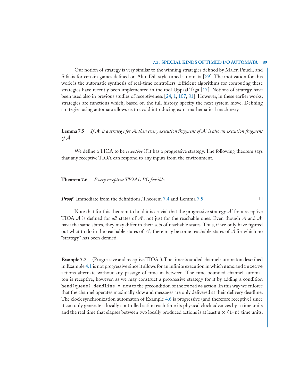# **7.3. SPECIAL KINDS OF TIMED I/O AUTOMATA 89**

<span id="page-102-0"></span>Our notion of strategy is very similar to the winning strategies defined by Maler, Pnueli, and Sifakis for certain games defined on Alur-Dill style timed automata [\[89\]](#page-126-0). The motivation for this work is the automatic synthesis of real-time controllers. Efficient algorithms for computing these strategies have recently been implemented in the tool Uppaal Tiga [\[17](#page-119-0)]. Notions of strategy have been used also in previous studies of receptiveness [\[24](#page-120-0), [1,](#page-118-0) [107](#page-128-0), [81](#page-125-0)]. However, in these earlier works, strategies are functions which, based on the full history, specify the next system move. Defining strategies using automata allows us to avoid introducing extra mathematical machinery.

# **Lemma 7.5** *If* <sup>A</sup> *is a strategy for* <sup>A</sup>*, then every execution fragment of* <sup>A</sup> *is also an execution fragment of* A*.*

We define a TIOA to be *receptive* if it has a progressive strategy. The following theorem says that any receptive TIOA can respond to any inputs from the environment.

**Theorem 7.6** *Every receptive TIOA is I/O feasible.*

*Proof.* Immediate from the definitions, Theorem [7.4](#page-100-0) and Lemma 7.5. □

Note that for this theorem to hold it is crucial that the progressive strategy  $A'$  for a receptive TIOA  $A$  is defined for *all* states of  $A'$ , not just for the reachable ones. Even though  $A$  and  $A'$ have the same states, they may differ in their sets of reachable states. Thus, if we only have figured out what to do in the reachable states of  $A'$ , there may be some reachable states of  $\overline{A}$  for which no "strategy" has been defined.

**Example 7.7** (Progressive and receptive TIOAs). The time-bounded channel automaton described in Example [4.1](#page-39-0) is not progressive since it allows for an infinite execution in which send and receive actions alternate without any passage of time in between. The time-bounded channel automaton is receptive, however, as we may construct a progressive strategy for it by adding a condition head (queue). deadline = now to the precondition of the receive action. In this way we enforce that the channel operates maximally slow and messages are only delivered at their delivery deadline. The clock synchronization automaton of Example [4.6](#page-43-0) is progressive (and therefore receptive) since it can only generate a locally controlled action each time its physical clock advances by u time units and the real time that elapses between two locally produced actions is at least  $u \times (1-r)$  time units.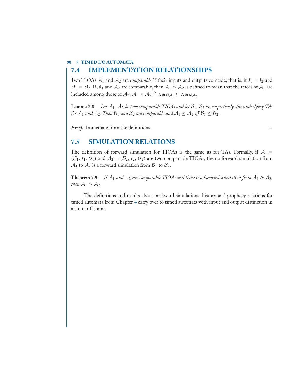# **90 7. TIMED I/O AUTOMATA 7.4 IMPLEMENTATION RELATIONSHIPS**

Two TIOAs  $A_1$  and  $A_2$  are *comparable* if their inputs and outputs coincide, that is, if  $I_1 = I_2$  and  $O_1 = O_2$ . If  $\mathcal{A}_1$  and  $\mathcal{A}_2$  are comparable, then  $\mathcal{A}_1 \leq \mathcal{A}_2$  is defined to mean that the traces of  $\mathcal{A}_1$  are included among those of  $A_2$ :  $A_1 \leq A_2 \triangleq$  *traces*  $A_1 \subseteq$  *traces*  $A_2$ .

**Lemma 7.8** *Let* A1*,* A<sup>2</sup> *be two comparable TIOAs and let* B1*,* B<sup>2</sup> *be, respectively, the underlying TAs for*  $A_1$  *and*  $A_2$ *. Then*  $B_1$  *and*  $B_2$  *are comparable and*  $A_1 \leq A_2$  *iff*  $B_1 \leq B_2$ *.* 

*Proof.* Immediate from the definitions. □

# **7.5 SIMULATION RELATIONS**

The definition of forward simulation for TIOAs is the same as for TAs. Formally, if  $A_1 =$  $(\mathcal{B}_1, I_1, O_1)$  and  $\mathcal{A}_2 = (\mathcal{B}_2, I_2, O_2)$  are two comparable TIOAs, then a forward simulation from  $\mathcal{A}_1$  to  $\mathcal{A}_2$  is a forward simulation from  $\mathcal{B}_1$  to  $\mathcal{B}_2$ .

**Theorem 7.9** *If*  $A_1$  *and*  $A_2$  *are comparable TIOAs and there is a forward simulation from*  $A_1$  *to*  $A_2$ *, then*  $A_1 \leq A_2$ *.* 

The definitions and results about backward simulations, history and prophecy relations for timed automata from Chapter [4](#page-36-0) carry over to timed automata with input and output distinction in a similar fashion.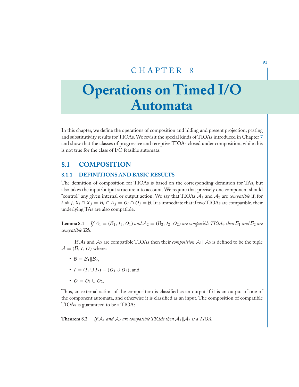# CHAPTER 8

# <span id="page-104-0"></span>**Operations on Timed I/O Automata**

In this chapter, we define the operations of composition and hiding and present projection, pasting and substitutivity results for TIOAs.We revisit the special kinds of TIOAs introduced in Chapter [7](#page-98-0) and show that the classes of progressive and receptive TIOAs closed under composition, while this is not true for the class of I/O feasible automata.

# **8.1 COMPOSITION**

# **8.1.1 DEFINITIONS AND BASIC RESULTS**

The definition of composition for TIOAs is based on the corresponding definition for TAs, but also takes the input/output structure into account. We require that precisely one component should "control" any given internal or output action. We say that TIOAs  $A_1$  and  $A_2$  are *compatible* if, for  $i \neq j$ ,  $X_i \cap X_j = H_i \cap A_j = O_i \cap O_j = \emptyset$ . It is immediate that if two TIOAs are compatible, their underlying TAs are also compatible.

**Lemma 8.1** *If*  $A_1 = (\mathcal{B}_1, I_1, O_1)$  and  $A_2 = (\mathcal{B}_2, I_2, O_2)$  are compatible TIOAs, then  $\mathcal{B}_1$  and  $\mathcal{B}_2$  are *compatible TAs.*

If  $\mathcal{A}_1$  and  $\mathcal{A}_2$  are compatible TIOAs then their *composition*  $\mathcal{A}_1 \parallel \mathcal{A}_2$  is defined to be the tuple  $\mathcal{A} = (\mathcal{B}, I, O)$  where:

- $\mathcal{B} = \mathcal{B}_1 || \mathcal{B}_2$ ,
- $I = (I_1 \cup I_2) (O_1 \cup O_2)$ , and
- $O = O_1 \cup O_2$ .

Thus, an external action of the composition is classified as an output if it is an output of one of the component automata, and otherwise it is classified as an input. The composition of compatible TIOAs is guaranteed to be a TIOA:

**Theorem 8.2** *If*  $A_1$  *and*  $A_2$  *are compatible TIOAs then*  $A_1 \parallel A_2$  *is a TIOA.*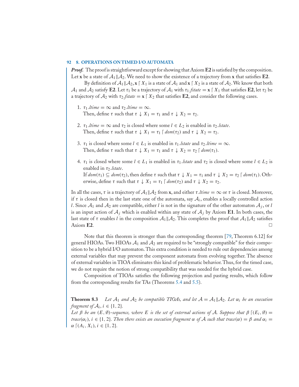*Proof.* The proof is straightforward except for showing that Axiom **E2** is satisfied by the composition. Let **x** be a state of  $\mathcal{A}_1 || \mathcal{A}_2$ . We need to show the existence of a trajectory from **x** that satisfies **E2**.

By definition of  $A_1 \parallel A_2$ ,  $\mathbf{x} \parallel X_1$  is a state of  $A_1$  and  $\mathbf{x} \parallel X_2$  is a state of  $A_2$ . We know that both  $A_1$  and  $A_2$  satisfy **E2**. Let  $\tau_1$  be a trajectory of  $A_1$  with  $\tau_1$  *fstate* = **x**  $\lceil X_1 \rceil$  that satisfies **E2**, let  $\tau_2$  be a trajectory of  $A_2$  with  $\tau_2$ *. fstate* = **x** |  $X_2$  that satisfies **E2**, and consider the following cases.

- 1.  $\tau_1$ *.ltime* =  $\infty$  and  $\tau_2$ *.ltime* =  $\infty$ *.* Then, define  $\tau$  such that  $\tau \downarrow X_1 = \tau_1$  and  $\tau \downarrow X_2 = \tau_2$ .
- 2.  $\tau_1$ *.ltime* =  $\infty$  and  $\tau_2$  is closed where some  $l \in L_2$  is enabled in  $\tau_2$ *.lstate.* Then, define  $\tau$  such that  $\tau \downarrow X_1 = \tau_1 \upharpoonright \text{dom}(\tau_2)$  and  $\tau \downarrow X_2 = \tau_2$ .
- 3. *τ*<sub>1</sub> is closed where some *l* ∈ *L*<sub>1</sub> is enabled in *τ*<sub>1</sub>*.lstate* and *τ*<sub>2</sub>*.ltime* = ∞. Then, define  $\tau$  such that  $\tau \downarrow X_1 = \tau_1$  and  $\tau \downarrow X_2 = \tau_2 \upharpoonright \text{dom}(\tau_1)$ .
- 4.  $\tau_1$  is closed where some  $l \in L_1$  is enabled in  $\tau_1$ *. lstate* and  $\tau_2$  is closed where some  $l \in L_2$  is enabled in *τ*2*.lstate*. If  $dom(\tau_1) \subseteq dom(\tau_2)$ , then define  $\tau$  such that  $\tau \downarrow X_1 = \tau_1$  and  $\tau \downarrow X_2 = \tau_2 \upharpoonright dom(\tau_1)$ . Otherwise, define  $\tau$  such that  $\tau \downarrow X_1 = \tau_1 \upharpoonright \text{dom}(\tau_2)$  and  $\tau \downarrow X_2 = \tau_2$ .

In all the cases,  $\tau$  is a trajectory of  $\mathcal{A}_1||\mathcal{A}_2$  from **x**, and either  $\tau$ .*ltime* =  $\infty$  or  $\tau$  is closed. Moreover, if  $\tau$  is closed then in the last state one of the automata, say  $A_i$ , enables a locally controlled action *l*. Since  $A_1$  and  $A_2$  are compatible, either *l* is not in the signature of the other automaton  $A_i$ , or *l* is an input action of  $A_j$  which is enabled within any state of  $A_j$  by Axiom **E1**. In both cases, the last state of  $\tau$  enables *l* in the composition  $\mathcal{A}_1 || \mathcal{A}_2$ . This completes the proof that  $\mathcal{A}_1 || \mathcal{A}_2$  satisfies Axiom **E2**. Axiom **E2**.  $\Box$ 

Note that this theorem is stronger than the corresponding theorem [\[79](#page-125-0), Theorem 6.12] for general HIOAs. Two HIOAs  $A_1$  and  $A_2$  are required to be "strongly compatible" for their composition to be a hybrid I/O automaton. This extra condition is needed to rule out dependencies among external variables that may prevent the component automata from evolving together. The absence of external variables in TIOA eliminates this kind of problematic behavior. Thus, for the timed case, we do not require the notion of strong compatibility that was needed for the hybrid case.

Composition of TIOAs satisfies the following projection and pasting results, which follow from the corresponding results for TAs (Theorems [5.4](#page-71-0) and [5.5\)](#page-71-0).

**Theorem 8.3** *Let*  $A_1$  *and*  $A_2$  *be compatible TIOAs, and let*  $A = A_1 || A_2$ *. Let*  $\alpha_i$  *be an execution fragment of*  $A_i$ *,*  $i \in \{1, 2\}$ *.* 

Let  $\beta$  be an  $(E, \emptyset)$ -sequence, where  $E$  is the set of external actions of  $\mathcal{A}$ . Suppose that  $\beta \lceil (E_i, \emptyset) =$ *trace*( $\alpha_i$ ),  $i \in \{1, 2\}$ *. Then there exists an execution fragment*  $\alpha$  *of*  $A$  *such that trace*( $\alpha$ ) =  $\beta$  *and*  $\alpha_i$  =  $\alpha$   $[(A_i, X_i), i \in \{1, 2\}].$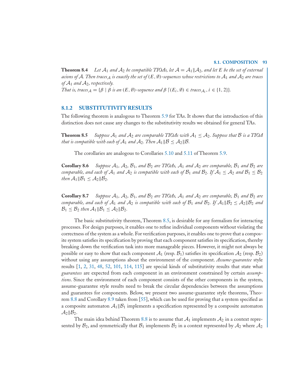#### **8.1. COMPOSITION 93**

<span id="page-106-0"></span>**Theorem 8.4** *Let*  $\mathcal{A}_1$  *and*  $\mathcal{A}_2$  *be compatible TIOAs, let*  $\mathcal{A} = \mathcal{A}_1 || \mathcal{A}_2$ *, and let*  $E$  *be the set of external acions of*  $A$ *. Then traces*  $\overline{A}$  *is exactly the set of*  $(E, \emptyset)$ -sequences whose restrictions to  $A_1$  and  $A_2$  are traces *of* A<sup>1</sup> *and* A2*, respectively. That is, traces*  $A = \{\beta \mid \beta \text{ is an } (E, \emptyset) \text{-sequence and } \beta \mid (E_i, \emptyset) \in \text{traces}_{\mathcal{A}_i}, i \in \{1, 2\} \}.$ 

# **8.1.2 SUBSTITUTIVITY RESULTS**

The following theorem is analogous to Theorem [5.9](#page-76-0) for TAs. It shows that the introduction of this distinction does not cause any changes to the substitutivity results we obtained for general TAs.

**Theorem 8.5** *Suppose*  $A_1$  *and*  $A_2$  *are comparable TIOAs with*  $A_1 \leq A_2$ *. Suppose that*  $B$  *is a TIOA that is compatible with each of*  $A_1$  *and*  $A_2$ *. Then*  $A_1 \parallel B \leq A_2 \parallel B$ *.* 

The corollaries are analogous to Corollaries [5.10](#page-76-0) and [5.11](#page-76-0) of Theorem [5.9.](#page-76-0)

**Corollary 8.6** *Suppose*  $A_1$ ,  $A_2$ ,  $B_1$ , and  $B_2$  are TIOAs,  $A_1$  and  $A_2$  are comparable,  $B_1$  and  $B_2$  are *comparable, and each of*  $A_1$  *and*  $A_2$  *is compatible with each of*  $B_1$  *and*  $B_2$ *. If*  $A_1 \leq A_2$  *and*  $B_1 \leq B_2$ *then*  $\mathcal{A}_1 || \mathcal{B}_1 \leq \mathcal{A}_2 || \mathcal{B}_2$ .

**Corollary 8.7** Suppose  $A_1$ ,  $A_2$ ,  $B_1$ , and  $B_2$  are TIOAs,  $A_1$  and  $A_2$  are comparable,  $B_1$  and  $B_2$  are *comparable, and each of*  $A_1$  *and*  $A_2$  *is compatible with each of*  $B_1$  *and*  $B_2$ *. If*  $A_1 \parallel B_2 \leq A_2 \parallel B_2$  *and*  $\mathcal{B}_1 \leq \mathcal{B}_2$  then  $\mathcal{A}_1 || \mathcal{B}_1 \leq \mathcal{A}_2 || \mathcal{B}_2$ .

The basic substitutivity theorem, Theorem 8.5, is desirable for any formalism for interacting processes. For design purposes, it enables one to refine individual components without violating the correctness of the system as a whole. For verification purposes, it enables one to prove that a composite system satisfies its specification by proving that each component satisfies its specification, thereby breaking down the verification task into more manageable pieces. However, it might not always be possible or easy to show that each component  $\mathcal{A}_1$  (resp.  $\mathcal{B}_1$ ) satisfies its specification  $\mathcal{A}_2$  (resp.  $\mathcal{B}_2$ ) without using any assumptions about the environment of the component. *Assume-guarantee* style results [\[1](#page-118-0), [2](#page-118-0), [31](#page-121-0), [48,](#page-122-0) [52](#page-122-0), [101,](#page-127-0) [114](#page-129-0), [115](#page-129-0)] are special kinds of substitutivity results that state what *guarantees* are expected from each component in an environment constrained by certain *assumptions*. Since the environment of each component consists of the other components in the system, assume-guarantee style results need to break the circular dependencies between the assumptions and guarantees for components. Below, we present two assume-guarantee style theorems, Theorem [8.8](#page-107-0) and Corollary [8.9](#page-109-0) taken from [\[55\]](#page-123-0), which can be used for proving that a system specified as a composite automaton  $\mathcal{A}_1 || \mathcal{B}_1$  implements a specification represented by a composite automaton  $\mathcal{A}_2 || \mathcal{B}_2$ .

The main idea behind Theorem [8.8](#page-107-0) is to assume that  $A_1$  implements  $A_2$  in a context represented by  $\mathcal{B}_2$ , and symmetrically that  $\mathcal{B}_1$  implements  $\mathcal{B}_2$  in a context represented by  $\mathcal{A}_2$  where  $\mathcal{A}_2$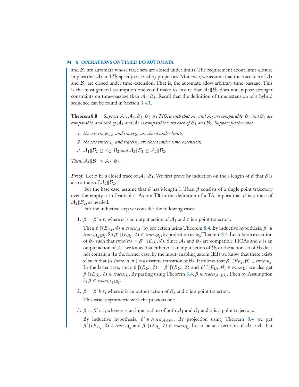<span id="page-107-0"></span>and  $B_2$  are automata whose trace sets are closed under limits. The requirement about limit-closure implies that  $\mathcal{A}_2$  and  $\mathcal{B}_2$  specify trace safety properties. Moreover, we assume that the trace sets of  $\mathcal{A}_2$ and  $B_2$  are closed under time-extension. That is, the automata allow arbitrary time-passage. This is the most general assumption one could make to ensure that  $\mathcal{A}_2||\mathcal{B}_2$  does not impose stronger constraints on time-passage than  $\mathcal{A}_1||\mathcal{B}_1$ . Recall that the definition of time extension of a hybrid sequence can be found in Section [3.4.1.](#page-31-0)

**Theorem 8.8** *Suppose*  $A_1$ ,  $A_2$ ,  $B_1$ ,  $B_2$  *are TIOAs such that*  $A_1$  *and*  $A_2$  *are comparable*,  $B_1$  *and*  $B_2$  *are comparable, and each of* A<sup>1</sup> *and* A<sup>2</sup> *is compatible with each of* B<sup>1</sup> *and* B2*. Suppose further that:*

- 1. the sets traces<sub>A2</sub> and traces<sub>B2</sub> are closed under limits;
- 2. the sets traces  $A_2$  *and traces*  $B_2$  *are closed under time-extension*;

3. 
$$
A_1 \parallel B_2 \leq A_2 \parallel B_2
$$
 and  $A_2 \parallel B_1 \leq A_2 \parallel B_2$ .

*Then,*  $A_1 \parallel B_1 \leq A_2 \parallel B_2$ .

*Proof.* Let  $\beta$  be a closed trace of  $\mathcal{A}_1 \parallel \mathcal{B}_1$ . We first prove by induction on the i-length of  $\beta$  that  $\beta$  is also a trace of  $\mathcal{A}_2 || \mathcal{B}_2$ .

For the base case, assume that  $\beta$  has i-length 1. Then  $\beta$  consists of a single point trajectory over the empty set of variables. Axiom **T0** in the definition of a TA implies that  $\beta$  is a trace of  $\mathcal{A}_2 \parallel \mathcal{B}_2$ , as needed.

For the inductive step we consider the following cases.

1.  $\beta = \beta' a \tau$ , where *a* is an output action of  $\mathcal{A}_1$  and  $\tau$  is a point trajectory.

Then  $\beta \lceil (E_{\mathcal{A}_1}, \emptyset) \in \text{traces}_{\mathcal{A}_1}$  by projection using Theorem [8.4.](#page-106-0) By inductive hypothesis,  $\beta' \in$ *traces*  $A_2||B_2$ . So  $\beta'$   $\lceil$  ( $E_{B_2}, \emptyset$ )  $\in$  *traces*  $B_2$ , by projection using Theorem [8.4.](#page-106-0) Let  $\alpha$  be an execution of  $B_2$  such that *trace*( $\alpha$ ) =  $\beta'$  [( $E_{B_2}$ ,  $\emptyset$ ). Since  $A_1$  and  $B_2$  are compatible TIOAs and  $a$  is an output action of  $A_1$ , we know that either *a* is an input action of  $B_2$  or the action set of  $B_2$  does not contain *a*. In the former case, by the input-enabling axiom (**E1**) we know that there exists **x**<sup>'</sup> such that  $(\alpha, \text{lstate}, a, \mathbf{x}')$  is a discrete transition of  $\mathcal{B}_2$ . It follows that  $\beta \lceil (E_{\mathcal{B}_2}, \emptyset) \in \text{traces}_{\mathcal{B}_2}$ . In the latter case, since  $\beta \lceil (E_{\mathcal{B}_2}, \emptyset) = \beta' \lceil (E_{\mathcal{B}_2}, \emptyset) \text{ and } \beta' \lceil (E_{\mathcal{B}_2}, \emptyset) \in \mathit{traces}_{\mathcal{B}_2}$  we also get  $\beta \Gamma(E_{\mathcal{B}_2}, \emptyset) \in \text{traces}_{\mathcal{B}_2}$ . By pasting using Theorem [8.4,](#page-106-0)  $\beta \in \text{traces}_{\mathcal{A}_1 \parallel \mathcal{B}_2}$ . Then by Assumption  $3, \beta \in \text{traces}_{\mathcal{A}_2 \parallel \mathcal{B}_2}$ .

2.  $\beta = \beta' b \tau$ , where *b* is an output action of  $\mathcal{B}_1$  and  $\tau$  is a point trajectory.

This case is symmetric with the previous one.

3.  $\beta = \beta' c \tau$ , where *c* is an input action of both  $\mathcal{A}_1$  and  $\beta_1$  and  $\tau$  is a point trajectory.

By inductive hypothesis,  $\beta' \in \text{traces}_{\mathcal{A}_2 \parallel \mathcal{B}_2}$ . By projection using Theorem [8.4](#page-106-0) we get  $\beta'$   $\lceil$   $(E_{\mathcal{A}_2}, \emptyset) \in \text{traces}_{\mathcal{A}_2}$  and  $\beta'$   $\lceil$   $(E_{\mathcal{B}_2}, \emptyset) \in \text{traces}_{\mathcal{B}_2}$ . Let  $\alpha$  be an execution of  $\mathcal{A}_2$  such that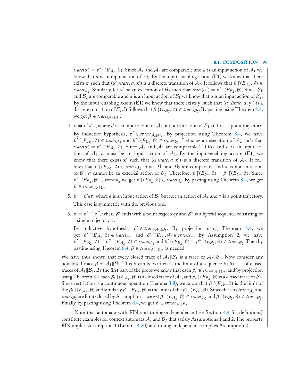#### **8.1. COMPOSITION 95**

<span id="page-108-0"></span>*trace*( $\alpha$ ) =  $\beta'$   $\lceil$  ( $E_{\mathcal{A}_2}$ ,  $\emptyset$ ). Since  $\mathcal{A}_1$  and  $\mathcal{A}_2$  are comparable and *a* is an input action of  $\mathcal{A}_1$  we know that *a* is an input action of  $A_2$ . By the input-enabling axiom (**E1**) we know that there exists **x**<sup>'</sup> such that  $(\alpha'$ .*lstate*,  $a$ , **x**<sup>'</sup>) is a discrete transition of  $A_2$ . It follows that  $\beta \lceil (E_{A_2}, \emptyset) \in$ *traces*<sub>A2</sub>. Similarly, let *α*<sup>'</sup> be an execution of  $B_2$  such that *trace*(*α*<sup>'</sup>) =  $\beta'$  [( $E_{B_2}$ , Ø). Since  $B_1$ and  $\mathcal{B}_2$  are comparable and *a* is an input action of  $\mathcal{B}_1$  we know that *a* is an input action of  $\mathcal{B}_2$ . By the input-enabling axiom (**E1**) we know that there exists **y**<sup></sup> such that  $(\alpha^7. \textit{lstate}, a, \mathbf{y}^7)$  is a discrete transition of  $B_2$ . It follows that  $\beta \lceil (E_{B_2}, \emptyset) \in \text{traces}_{B_2}$ . By pasting using Theorem [8.4,](#page-106-0) we get  $\beta \in \text{traces}_{\mathcal{A}_2 \parallel \mathcal{B}_2}$ .

4.  $β = β' d τ$ , where *d* is an input action of  $A_1$  but not an action of  $B_1$  and  $τ$  is a point trajectory.

By inductive hypothesis,  $\beta' \in \text{traces}_{A_2||B_2}$ . By projection using Theorem [8.4,](#page-106-0) we have  $\beta'$   $\lceil$   $(E_{\mathcal{A}_2}, \emptyset) \in \text{traces}_{\mathcal{A}_2}$  and  $\beta'$   $\lceil$   $(E_{\mathcal{B}_2}, \emptyset) \in \text{traces}_{\mathcal{B}_2}$ . Let  $\alpha$  be an execution of  $\mathcal{A}_2$  such that *trace*( $\alpha$ ) =  $\beta'$   $\lceil$  ( $E_{\mathcal{A}_2}$ ,  $\emptyset$ ). Since  $\mathcal{A}_1$  and  $\mathcal{A}_2$  are comparable TIOAs and *a* is an input action of  $A_1$ , *a* must be an input action of  $A_2$ . By the input-enabling axiom (**E1**) we know that there exists **x**<sup> $\prime$ </sup> such that  $(a. \text{lstate}, a, \mathbf{x}')$  is a discrete transition of  $A_2$ . It follows that  $\beta \left[ (E_{\mathcal{A}_2}, \emptyset) \in \text{traces}_{\mathcal{A}_2} \right]$ . Since  $\mathcal{B}_1$  and  $\mathcal{B}_2$  are comparable and *a* is not an action of  $\mathcal{B}_1$ , *a* cannot be an external action of  $\mathcal{B}_2$ . Therefore,  $\beta \lceil (E_{\mathcal{B}_2}, \emptyset) = \beta' \lceil (E_{\mathcal{B}_2}, \emptyset)$ . Since  $\beta'$   $\lceil$   $(E_{\beta_2}, \emptyset) \in \text{traces}_{\beta_2}$  we get  $\beta \lceil$   $(E_{\beta_2}, \emptyset) \in \text{traces}_{\beta_2}$ . By pasting using Theorem [8.4,](#page-106-0) we get  $\beta \in \text{traces}_{\mathcal{A}_2 \parallel \mathcal{B}_2}$ .

- 5.  $\beta = \beta' e\tau$ , where *e* is an input action of  $\beta_1$  but not an action of  $\mathcal{A}_1$  and  $\tau$  is a point trajectory. This case is symmetric with the previous one.
- 6.  $β = β' \nightharpoonup β''$ , where *β'* ends with a point trajectory and *β''* is a hybrid sequence consisting of a single trajectory *τ* .

By inductive hypothesis,  $\beta' \in \text{traces}_{\mathcal{A}_2 \parallel \mathcal{B}_2}$ . By projection using Theorem [8.4,](#page-106-0) we get  $\beta'$   $\lceil (E_{\mathcal{A}_2}, \emptyset) \in \text{traces}_{\mathcal{A}_2}$  and  $\beta'$   $\lceil (E_{\mathcal{B}_2}, \emptyset) \in \text{traces}_{\mathcal{B}_2}$ . By Assumption 2, we have  $\beta'$   $\lceil (E_{\mathcal{A}_2}, \emptyset) \cap \beta'' \rceil (E_{\mathcal{A}_2}, \emptyset) \in \mathit{traces}_{\mathcal{A}_2}$  and  $\beta' \lceil (E_{\mathcal{B}_2}, \emptyset) \cap \beta'' \rceil (E_{\mathcal{B}_2}, \emptyset) \in \mathit{traces}_{\mathcal{B}_2}$ . Then by pasting using Theorem [8.4,](#page-106-0)  $\beta \in \text{traces}_{A_2||B_2}$ , as needed.

We have thus shown that every closed trace of  $\mathcal{A}_1 || \mathcal{B}_1$  is a trace of  $\mathcal{A}_2 || \mathcal{B}_2$ . Now consider any nonclosed trace  $\beta$  of  $\mathcal{A}_1 \| \mathcal{B}_1$ . This  $\beta$  can be written as the limit of a sequence  $\beta_1 \beta_2 \cdots$  of closed traces of  $\mathcal{A}_1 \| \mathcal{B}_1$ . By the first part of the proof we know that each  $\beta_i \in \text{traces}_{\mathcal{A}_2 \| \mathcal{B}_2}$ , and by projection  $u$ sing Theorem [8.4](#page-106-0) each  $\beta_i$   $\lceil$  ( $E_{\mathcal{A}_2}$ ,  $\emptyset$ ) is a closed trace of  $\mathcal{A}_2$ , and  $\beta_i$   $\lceil$  ( $E_{\mathcal{B}_2}$ ,  $\emptyset$ ) is a closed trace of  $\mathcal{B}_2$ . Since restriction is a continuous operation (Lemma [3.8\)](#page-34-0), we know that  $\beta \lceil (E_{A_2}, \emptyset) \rceil$  is the limit of the  $\beta_i$   $\lceil$  ( $E_{\mathcal{A}_2}$ ,  $\emptyset$ ) and similarly  $\beta$   $\lceil$  ( $E_{\mathcal{B}_2}$ ,  $\emptyset$ ) is the limit of the  $\beta_i$   $\lceil$  ( $E_{\mathcal{B}_2}$ ,  $\emptyset$ ). Since the sets *traces*  $\mathcal{A}_2$  and  $r$ *aces*  $B_2$  are limit-closed by Assumption 1, we get  $\beta \lceil (E_{\mathcal{A}_2}, \emptyset) \in \text{traces}_{\mathcal{A}_2}$  and  $\beta \lceil (E_{\mathcal{B}_2}, \emptyset) \in \text{traces}_{\mathcal{B}_2}$ . Finally, by pasting using Theorem [8.4,](#page-106-0) we get  $\beta \in \text{traces}_{\mathcal{A}_2 \mid \mathcal{B}_2}$ .

Note that automata with FIN and timing-independence (see Section [4.4](#page-51-0) for definitions) constitute examples for context automata  $A_2$  and  $B_2$  that satisfy Assumptions 1 and 2. The property FIN implies Assumption 1 (Lemma [4.20\)](#page-52-0) and timing-independence implies Assumption 2.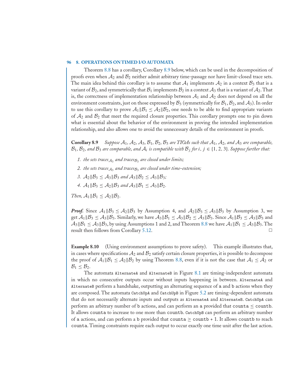# <span id="page-109-0"></span>**96 8. OPERATIONS ON TIMED I/O AUTOMATA**

Theorem [8.8](#page-107-0) has a corollary, Corollary 8.9 below, which can be used in the decomposition of proofs even when  $A_2$  and  $B_2$  neither admit arbitrary time-passage nor have limit-closed trace sets. The main idea behind this corollary is to assume that  $\mathcal{A}_1$  implements  $\mathcal{A}_2$  in a context  $\mathcal{B}_3$  that is a variant of  $\mathcal{B}_2$ , and symmetrically that  $\mathcal{B}_1$  implements  $\mathcal{B}_2$  in a context  $\mathcal{A}_3$  that is a variant of  $\mathcal{A}_2$ . That is, the correctness of implementation relationship between  $A_1$  and  $A_2$  does not depend on all the environment constraints, just on those expressed by  $\mathcal{B}_3$  (symmetrically for  $\mathcal{B}_1, \mathcal{B}_2$ , and  $\mathcal{A}_3$ ). In order to use this corollary to prove  $\mathcal{A}_1||\mathcal{B}_1 \leq \mathcal{A}_2||\mathcal{B}_2$ , one needs to be able to find appropriate variants of  $A_2$  and  $B_2$  that meet the required closure properties. This corollary prompts one to pin down what is essential about the behavior of the environment in proving the intended implementation relationship, and also allows one to avoid the unnecessary details of the environment in proofs.

**Corollary 8.9** *Suppose*  $A_1$ *,*  $A_2$ *,*  $A_3$ *,*  $B_1$ *,*  $B_2$ *,*  $B_3$  *are TIOAs such that*  $A_1$ *,*  $A_2$ *, and*  $A_3$  *are comparable,*  $B_1$ ,  $B_2$ *, and*  $B_3$  *are comparable, and*  $A_i$  *is compatible with*  $B_j$  *for i*,  $j \in \{1, 2, 3\}$ *. Suppose further that:* 

- 1. the sets traces  $A_3$  *and traces*  $B_3$  *are closed under limits;*
- 2. the sets traces<sub>A3</sub> and traces<sub>B3</sub> are closed under time-extension;
- *3.*  $A_2 \parallel B_3 \leq A_3 \parallel B_3$  and  $A_3 \parallel B_2 \leq A_3 \parallel B_3$ ;
- 4.  $\mathcal{A}_1 || \mathcal{B}_3 \leq \mathcal{A}_2 || \mathcal{B}_3$  *and*  $\mathcal{A}_3 || \mathcal{B}_1 \leq \mathcal{A}_3 || \mathcal{B}_2$ .

*Then,*  $\mathcal{A}_1 || \mathcal{B}_1 \leq \mathcal{A}_2 || \mathcal{B}_2$ .

*Proof.* Since  $\mathcal{A}_1 || \mathcal{B}_3 \leq \mathcal{A}_2 || \mathcal{B}_3$  by Assumption 4, and  $\mathcal{A}_2 || \mathcal{B}_3 \leq \mathcal{A}_3 || \mathcal{B}_3$  by Assumption 3, we get  $\mathcal{A}_1||\mathcal{B}_3 \leq \mathcal{A}_3||\mathcal{B}_3$ . Similarly, we have  $\mathcal{A}_3||\mathcal{B}_1 \leq \mathcal{A}_3||\mathcal{B}_2 \leq \mathcal{A}_3||\mathcal{B}_3$ . Since  $\mathcal{A}_1||\mathcal{B}_3 \leq \mathcal{A}_3||\mathcal{B}_3$  and  $A_3||B_1 \le A_3||B_3$ , by using Assumptions 1 and 2, and Theorem [8.8](#page-107-0) we have  $A_1||B_1 \le A_3||B_3$ . The result then follows from Corollary 5.12. result then follows from Corollary [5.12.](#page-77-0)

**Example 8.10** (Using environment assumptions to prove safety). This example illustrates that, in cases where specifications  $A_2$  and  $B_2$  satisfy certain closure properties, it is possible to decompose the proof of  $\mathcal{A}_1||\mathcal{B}_1 \leq \mathcal{A}_2||\mathcal{B}_2$  by using Theorem [8.8,](#page-107-0) even if it is not the case that  $\mathcal{A}_1 \leq \mathcal{A}_2$  or  $\mathcal{B}_1 \leq \mathcal{B}_2$ .

The automata AlternateA and AlternateB in Figure [8.1](#page-110-0) are timing-independent automata in which no consecutive outputs occur without inputs happening in between. AlternateA and AlternateB perform a handshake, outputting an alternating sequence of a and b actions when they are composed. The automata CatchUpA and CatchUpB in Figure [5.2](#page-78-0) are timing-dependent automata that do not necessarily alternate inputs and outputs as AlternateA and AlternateB. CatchUpA can perform an arbitrary number of b actions, and can perform an a provided that counta  $\leq$  countb. It allows counta to increase to one more than countb. CatchUpB can perform an arbitrary number of a actions, and can perform a b provided that counta  $\geq$  counts + 1. It allows counts to reach counta. Timing constraints require each output to occur exactly one time unit after the last action.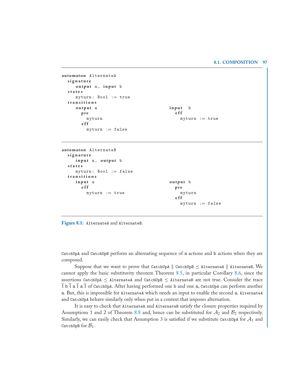```
automaton AlternateA
 signature
   output a , input b
 states
   myturn: Bool := true
 transitions
   output a input b
     pre eff
     myturn myturn := true
    eff
      myturn := falseautomaton AlternateB
 signature
   input a , output b
 states
   myturn: Bool := false
 transitions
   input a output b
     eff pre
      myturn := true myturn
                            eff
                             myturn := false
```
**Figure 8.1:** AlternateA and AlternateB.

CatchUpA and CatchUpB perform an alternating sequence of a actions and b actions when they are composed.

Suppose that we want to prove that CatchUpA  $\parallel$  CatchUpB  $\leq$  AlternateA  $\parallel$  AlternateB. We cannot apply the basic substituvity theorem Theorem [8.5,](#page-106-0) in particular Corollary [8.6,](#page-106-0) since the assertions CatchUpA  $\leq$  AlternateA and CatchUpB  $\leq$  AlternateB are not true. Consider the trace 1 b 1 a 1 a 1 of CatchUpA. After having performed one b and one a, CatchUpA can perform another a. But, this is impossible for AlternateA which needs an input to enable the second a. AlternateA and CatchUpA behave similarly only when put in a context that imposes alternation.

It is easy to check that AlternateA and AlternateB satisfy the closure properties required by Assumptions 1 and 2 of Theorem [8.8](#page-107-0) and, hence can be substituted for  $A_2$  and  $B_2$  respectively. Similarly, we can easily check that Assumption 3 is satisfied if we substitute CatchUpA for  $A_1$  and CatchUpB for  $B_1$ .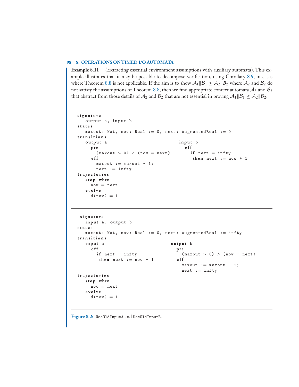### <span id="page-111-0"></span>**98 8. OPERATIONS ON TIMED I/O AUTOMATA**

**Example 8.11** (Extracting essential environment assumptions with auxiliary automata). This example illustrates that it may be possible to decompose verification, using Corollary [8.9,](#page-109-0) in cases where Theorem [8.8](#page-107-0) is not applicable. If the aim is to show  $A_1 \parallel B_1 \leq A_2 \parallel B_2$  where  $A_2$  and  $B_2$  do not satisfy the assumptions of Theorem [8.8,](#page-107-0) then we find appropriate context automata  $A_3$  and  $B_3$ that abstract from those details of  $A_2$  and  $B_2$  that are not essential in proving  $A_1 \parallel B_1 \leq A_2 \parallel B_2$ .

```
signature
  output a , input b
states
  maxout: Nat, now: Real := 0, next: AugmentedReal := 0transitions
  output a input b
    pre eff
     (maxout > 0) \wedge (now = next) if next = infty
   eff then next := now + 1
     maxout := maxout - 1;next := inftytrajectories
  stop when
   now = nextevolve
   d(now) = 1
```

```
signature
   input a , output b
states
  maxout: Nat, now: Real := 0, next: AugmentedReal := inftytransitions
  input a output b
     eff pre
      if next = infty (\text{maxout} > 0) \land (\text{now} = \text{next})<br>then next := now + 1 eff
       then next := now + 1maxout := maxout - 1;next := inftytrajectories
   stop when
     now = nextevolve
    d(now) = 1
```
**Figure 8.2:** UseOldInputA and UseOldInputB.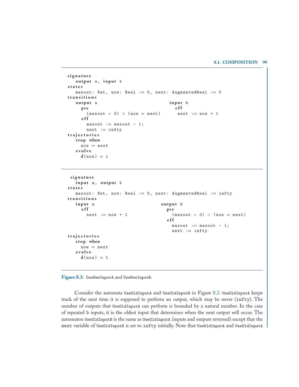```
signature
  output a , input b
states
  maxout: Nat, now: Real := 0, next: AugmentedReal := 0transitions
  output a input b
    pre eff
      (maxout > 0) \wedge (now = next) next := now + 1
    eff
     maxout := maxout - 1;next := inftytrajectories
  stop when
   now = next
  evolve
    d(now) = 1
```

```
signature
  input a , output b
states
  maxout: Nat, now: Real := 0, next: AugmentedReal := infty
transitions
   input a output b
    eff pre
     next := now + 1 (maxout > 0) \wedge (now = next)
                              eff
                                maxout := maxout - 1;next := inftytrajectories
  stop when
   now = nextevolve
   d(now) = 1
```
#### **Figure 8.3:** UseNewInputA and UseNewInputB.

Consider the automata UseOldInputA and UseOldInputB in Figure [8.2.](#page-111-0) UseOldInputA keeps track of the next time it is supposed to perform an output, which may be never (infty). The number of outputs that UseOldInputA can perform is bounded by a natural number. In the case of repeated b inputs, it is the oldest input that determines when the next output will occur. The automaton UseOldInputB is the same as UseOldInputA (inputs and outputs reversed) except that the next variable of UseOldInputB is set to infty initially. Note that UseOldInputA and UseOldInputA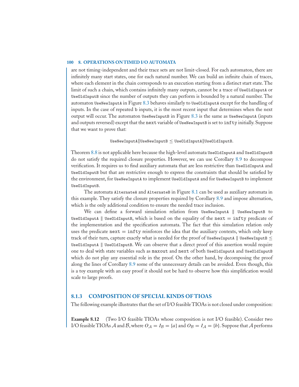# <span id="page-113-0"></span>**100 8. OPERATIONS ON TIMED I/O AUTOMATA**

are not timing-independent and their trace sets are not limit-closed. For each automaton, there are infinitely many start states, one for each natural number. We can build an infinite chain of traces, where each element in the chain corresponds to an execution starting from a distinct start state. The limit of such a chain, which contains infinitely many outputs, cannot be a trace of UseOldInputA or UseOldInputB since the number of outputs they can perform is bounded by a natural number. The automaton UseNewInputA in Figure [8.3](#page-112-0) behaves similarly to UseOldInputA except for the handling of inputs. In the case of repeated b inputs, it is the most recent input that determines when the next output will occur. The automaton UseNewInputB in Figure [8.3](#page-112-0) is the same as UseNewInputA (inputs and outputs reversed) except that the next variable of UseNewInputB is set to infty initially. Suppose that we want to prove that:

UseNewInputA||UseNewInputB  $\leq$  Use01dInputA||Use01dInputB.

Theorem [8.8](#page-107-0) is not applicable here because the high-level automata UseOldInputA and UseOldInputB do not satisfy the required closure properties. However, we can use Corollary [8.9](#page-109-0) to decompose verification. It requires us to find auxiliary automata that are less restrictive than Use01dInputA and UseOldInputB but that are restrictive enough to express the constraints that should be satisfied by the environment, for UseNewInputA to implement UseOldInputA and for UseNewInputB to implement UseOldInputB.

The automata AlternateA and AlternateB in Figure [8.1](#page-110-0) can be used as auxiliary automata in this example. They satisfy the closure properties required by Corollary [8.9](#page-109-0) and impose alternation, which is the only additional condition to ensure the needed trace inclusion.

We can define a forward simulation relation from UseNewInputA || UseNewInputB to UseOldInputA  $\parallel$  UseOldInputB, which is based on the equality of the next  $=$  infty predicate of the implementation and the specification automata. The fact that this simulation relation only uses the predicate  $next =$  infty reinforces the idea that the auxiliary contexts, which only keep track of their turn, capture exactly what is needed for the proof of UseNewInputA  $\parallel$  UseNewInputB  $\leq$ UseOldInputA UseOldInputB. We can observe that a direct proof of this assertion would require one to deal with state variables such as maxout and next of both UseOldInputA and UseOldInputB which do not play any essential role in the proof. On the other hand, by decomposing the proof along the lines of Corollary [8.9](#page-109-0) some of the unnecessary details can be avoided. Even though, this is a toy example with an easy proof it should not be hard to observe how this simplification would scale to large proofs.

#### **8.1.3 COMPOSITION OF SPECIAL KINDS OF TIOAS**

The following example illustrates that the set of I/O feasible TIOAs is not closed under composition:

**Example 8.12** (Two I/O feasible TIOAs whose composition is not I/O feasible). Consider two I/O feasible TIOAs A and B, where  $O_A = I_B = \{a\}$  and  $O_B = I_A = \{b\}$ . Suppose that A performs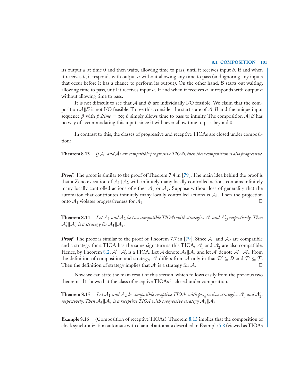#### **8.1. COMPOSITION 101**

<span id="page-114-0"></span>its output *a* at time 0 and then waits, allowing time to pass, until it receives input *b*. If and when it receives *b*, it responds with output *a* without allowing any time to pass (and ignoring any inputs that occur before it has a chance to perform its output). On the other hand,  $\beta$  starts out waiting, allowing time to pass, until it receives input *a*. If and when it receives *a*, it responds with output *b* without allowing time to pass.

It is not difficult to see that  $\mathcal A$  and  $\mathcal B$  are individually I/O feasible. We claim that the composition  $\mathcal{A}||\mathcal{B}$  is not I/O feasible. To see this, consider the start state of  $\mathcal{A}||\mathcal{B}$  and the unique input sequence *β* with *β.ltime* =  $\infty$ ; *β* simply allows time to pass to infinity. The composition  $\mathcal{A}||\mathcal{B}$  has no way of accommodating this input, since it will never allow time to pass beyond 0.

In contrast to this, the classes of progressive and receptive TIOAs are closed under composition:

**Theorem 8.13** *If* $A_1$  *and*  $A_2$  *are compatible progressive TIOAs, then their composition is also progressive.* 

*Proof.* The proof is similar to the proof of Theorem 7.4 in [\[79\]](#page-125-0). The main idea behind the proof is that a Zeno execution of  $\mathcal{A}_1||\mathcal{A}_2$  with infinitely many locally controlled actions contains infinitely many locally controlled actions of either  $A_1$  or  $A_2$ . Suppose without loss of generality that the automaton that contributes infinitely many locally controlled actions is  $A_1$ . Then the projection onto  $A_1$  violates progressiveness for  $A_1$ . onto  $A_1$  violates progressiveness for  $A_1$ .

**Theorem 8.14**  $Let A_1$  and  $A_2$  be two compatible TIOAs with strategies  $A'_1$  and  $A'_2$ , respectively. Then  $\mathcal{A}'_1 \|\mathcal{A}'_2$  is a strategy for  $\mathcal{A}_1 \|\mathcal{A}_2$ .

**Proof.** The proof is similar to the proof of Theorem 7.7 in [\[79\]](#page-125-0). Since  $A_1$  and  $A_2$  are compatible and a strategy for a TIOA has the same signature as this TIOA,  $\mathcal{A}'_1$  and  $\mathcal{A}'_2$  are also compatible. Hence, by Theorem [8.2,](#page-104-0)  $\mathcal{A}'_1 \|\mathcal{A}'_2$  is a TIOA. Let  $\mathcal A$  denote  $\mathcal{A}_1 \|\mathcal{A}_2$  and let  $\mathcal{A}'$  denote  $\mathcal{A}'_1 \|\mathcal{A}'_2$ . From the definition of composition and strategy, A' differs from A only in that  $\mathcal{D}' \subseteq \mathcal{D}$  and  $\mathcal{T}' \subseteq \mathcal{T}$ .<br>Then the definition of strategy implies that A' is a strategy for A. Then the definition of strategy implies that  $A'$  is a strategy for  $A$ .

Now, we can state the main result of this section, which follows easily from the previous two theorems. It shows that the class of receptive TIOAs is closed under composition.

**Theorem 8.15** *Let*  $A_1$  and  $A_2$  be compatible receptive TIOAs with progressive strategies  $A'_1$  and  $A'_2$ , respectively. Then  $\mathcal{A}_1 \Vert \mathcal{A}_2$  is a receptive TIOA with progressive strategy  $\mathcal{A}_1^{'} \Vert \mathcal{A}_2^{'}$ .

**Example 8.16** (Composition of receptive TIOAs). Theorem 8.15 implies that the composition of clock synchronization automata with channel automata described in Example [5.8](#page-73-0) (viewed as TIOAs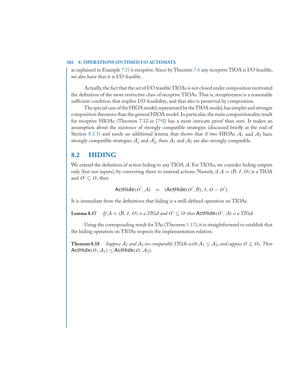# <span id="page-115-0"></span>**102 8. OPERATIONS ON TIMED I/O AUTOMATA**

as explained in Example [7.1\)](#page-99-0) is receptive. Since by Theorem [7.6](#page-102-0) any receptive TIOA is I/O feasible, we also have that it is I/O feasible.

Actually, the fact that the set of I/O feasible TIOAs is not closed under composition motivated the definition of the more restrictive class of receptive TIOAs. That is, receptiveness is a reasonable sufficient condition that implies I/O feasibility, and that also is preserved by composition.

The special case of the HIOA model, represented by theTIOA model, has simpler and stronger composition theorems than the general HIOA model. In particular, the main compositionality result for receptive HIOAs (Theorem 7.12 in [\[79](#page-125-0)]) has a more intricate proof than ours. It makes an assumption about the existence of strongly compatible strategies (discussed briefly at the end of Section [8.1.1\)](#page-104-0) and needs an additional lemma that shows that if two HIOAs  $A_1$  and  $A_2$  have strongly compatible strategies  $\mathcal{A}'_1$  and  $\mathcal{A}'_2$ , then  $\mathcal{A}_1$  and  $\mathcal{A}_2$  are also strongly compatible.

# **8.2 HIDING**

We extend the definition of action hiding to any TIOA A. For TIOAs, we consider hiding outputs only (but not inputs), by converting them to internal actions. Namely, if  $A = (\mathcal{B}, I, O)$  is a TIOA and  $O' \subseteq O$ , then

 $\mathsf{ActHide}(O', \mathcal{A}) = (\mathsf{ActHide}(O', \mathcal{B}), I, O - O').$ 

It is immediate from the definitions that hiding is a well-defined operation on TIOAs.

**Lemma 8.17** *If*  $A = (B, I, O)$  *is a TIOA and*  $O' \subseteq O$  *then*  $\text{ActHide}(O', A)$  *is a TIOA.* 

Using the corresponding result for TAs (Theorem [5.17\)](#page-80-0), it is straightforward to establish that the hiding operation on TIOAs respects the implementation relation.

**Theorem 8.18** *Suppose*  $A_1$  *and*  $A_2$  *are comparable TIOAs with*  $A_1 \leq A_2$ *, and suppose*  $O \subseteq O_1$ *. Then*  $\mathsf{ActHide}(O, \mathcal{A}_1) \leq \mathsf{ActHide}(O, \mathcal{A}_2)$ *.*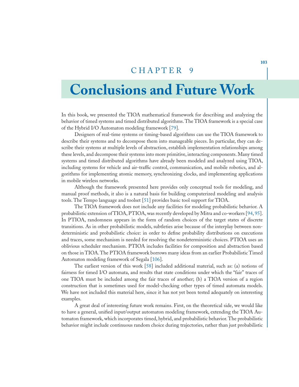# CHAPTER 9

# <span id="page-116-0"></span>**Conclusions and Future Work**

In this book, we presented the TIOA mathematical framework for describing and analyzing the behavior of timed systems and timed distributed algorithms. The TIOA framework is a special case of the Hybrid I/O Automaton modeling framework [\[79\]](#page-125-0).

Designers of real-time systems or timing-based algorithms can use the TIOA framework to describe their systems and to decompose them into manageable pieces. In particular, they can describe their systems at multiple levels of abstraction, establish implementation relationships among these levels, and decompose their systems into more primitive, interacting components.Many timed systems and timed distributed algorithms have already been modeled and analyzed using TIOA, including systems for vehicle and air-traffic control, communication, and mobile robotics, and algorithms for implementing atomic memory, synchronizing clocks, and implementing applications in mobile wireless networks.

Although the framework presented here provides only conceptual tools for modeling, and manual proof methods, it also is a natural basis for building computerized modeling and analysis tools. The Tempo language and toolset [\[51](#page-122-0)] provides basic tool support for TIOA.

The TIOA framework does not include any facilities for modeling probabilistic behavior. A probabilistic extension of TIOA, PTIOA, was recently developed by Mitra and co-workers [\[94](#page-127-0), [95](#page-127-0)]. In PTIOA, randomness appears in the form of random choices of the target states of discrete transitions. As in other probabilistic models, subtleties arise because of the interplay between nondeterministic and probabilistic choice: in order to define probability distributions on executions and traces, some mechanism is needed for resolving the nondeterministic choices. PTIOA uses an oblivious scheduler mechanism. PTIOA includes facilities for composition and abstraction based on those in TIOA. The PTIOA framework borrows many ideas from an earlier Probabilistic Timed Automaton modeling framework of Segala [\[106](#page-128-0)].

The earliest version of this work [\[58](#page-123-0)] included additional material, such as: (a) notions of fairness for timed I/O automata, and results that state conditions under which the "fair" traces of one TIOA must be included among the fair traces of another; (b) a TIOA version of a region construction that is sometimes used for model-checking other types of timed automata models. We have not included this material here, since it has not yet been tested adequately on interesting examples.

A great deal of interesting future work remains. First, on the theoretical side, we would like to have a general, unified input/output automaton modeling framework, extending the TIOA Automaton framework, which incorporates timed, hybrid, and probabilistic behavior. The probabilistic behavior might include continuous random choice during trajectories, rather than just probabilistic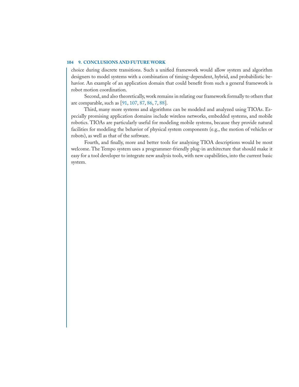## <span id="page-117-0"></span>**104 9. CONCLUSIONS AND FUTURE WORK**

choice during discrete transitions. Such a unified framework would allow system and algorithm designers to model systems with a combination of timing-dependent, hybrid, and probabilistic behavior. An example of an application domain that could benefit from such a general framework is robot motion coordination.

Second, and also theoretically, work remains in relating our framework formally to others that are comparable, such as [\[91,](#page-126-0) [107](#page-128-0), [87](#page-126-0), [86,](#page-126-0) [7,](#page-118-0) [88](#page-126-0)].

Third, many more systems and algorithms can be modeled and analyzed using TIOAs. Especially promising application domains include wireless networks, embedded systems, and mobile robotics. TIOAs are particularly useful for modeling mobile systems, because they provide natural facilities for modeling the behavior of physical system components (e.g., the motion of vehicles or robots), as well as that of the software.

Fourth, and finally, more and better tools for analyzing TIOA descriptions would be most welcome. The Tempo system uses a programmer-friendly plug-in architecture that should make it easy for a tool developer to integrate new analysis tools, with new capabilities, into the current basic system.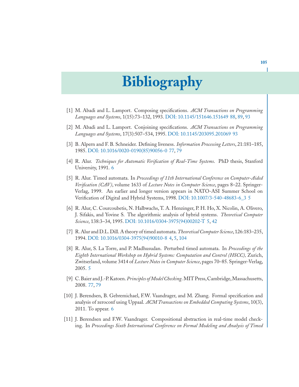# **Bibliography**

- <span id="page-118-0"></span>[1] M. Abadi and L. Lamport. Composing specifications. *ACM Transactions on Programming Languages and Systems*, 1(15):73–132, 1993. [DOI: 10.1145/151646.151649](http://dx.doi.org/10.1145/151646.151649) [88,](#page-101-0) [89,](#page-102-0) [93](#page-106-0)
- [2] M. Abadi and L. Lamport. Conjoining specifications. *ACM Transactions on Programming Languages and Systems*, 17(3):507–534, 1995. [DOI: 10.1145/203095.201069](http://dx.doi.org/10.1145/203095.201069) [93](#page-106-0)
- [3] B. Alpern and F. B. Schneider. Defining liveness. *Information Processing Letters*, 21:181–185, 1985. [DOI: 10.1016/0020-0190\(85\)90056-0](http://dx.doi.org/10.1016/0020-0190(85)90056-0) [77,](#page-90-0) [79](#page-92-0)
- [4] R. Alur. *Techniques for Automatic Verification of Real-Time Systems*. PhD thesis, Stanford University, 1991. [6](#page-19-0)
- [5] R. Alur. Timed automata. In *Proceedings of 11th International Conference on Computer-Aided Verification (CAV)*, volume 1633 of *Lecture Notes in Computer Science*, pages 8–22. Springer-Verlag, 1999. An earlier and longer version appears in NATO-ASI Summer School on Verification of Digital and Hybrid Systems, 1998. [DOI: 10.1007/3-540-48683-6\\_3](http://dx.doi.org/10.1007/3-540-48683-6_3) [5](#page-18-0)
- [6] R. Alur, C. Courcoubetis, N. Halbwachs, T. A. Henzinger, P. H. Ho, X. Nicolin, A. Olivero, J. Sifakis, and Yovine S. The algorithmic analysis of hybrid systems. *Theoretical Computer Science*, 138:3–34, 1995. [DOI: 10.1016/0304-3975\(94\)00202-T](http://dx.doi.org/10.1016/0304-3975(94)00202-T) [5,](#page-18-0) [42](#page-55-0)
- [7] R.Alur and D.L.Dill. A theory of timed automata.*Theoretical Computer Science*, 126:183–235, 1994. [DOI: 10.1016/0304-3975\(94\)90010-8](http://dx.doi.org/10.1016/0304-3975(94)90010-8) [4,](#page-17-0) [5,](#page-18-0) [104](#page-117-0)
- [8] R. Alur, S. La Torre, and P. Madhusudan. Perturbed timed automata. In *Proceedings of the Eighth International Workshop on Hybrid Systems: Computation and Control (HSCC),* Zurich, Zwitserland, volume 3414 of *Lecture Notes in Computer Science*, pages 70–85. Springer-Verlag, 2005. [5](#page-18-0)
- [9] C. Baier and J.-P. Katoen. *Principles of Model Checking*. MIT Press, Cambridge, Massachusetts, 2008. [77,](#page-90-0) [79](#page-92-0)
- [10] J. Berendsen, B. Gebremichael, F.W. Vaandrager, and M. Zhang. Formal specification and analysis of zeroconf using Uppaal. *ACM Transactions on Embedded Computing Systems*, 10(3), 2011. To appear. [6](#page-19-0)
- [11] J. Berendsen and F.W. Vaandrager. Compositional abstraction in real-time model checking. In *Proceedings Sixth International Conference on Formal Modeling and Analysis of Timed*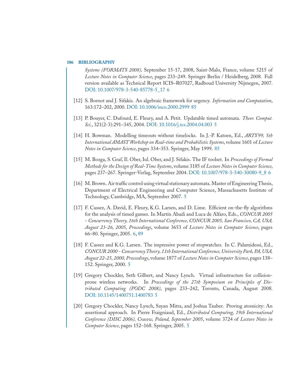*Systems (FORMATS 2008),* September 15-17, 2008, Saint-Malo, France, volume 5215 of *Lecture Notes in Computer Science*, pages 233–249. Springer Berlin / Heidelberg, 2008. Full version available as Technical Report ICIS–R07027, Radboud University Nijmegen, 2007. [DOI: 10.1007/978-3-540-85778-5\\_17](http://dx.doi.org/10.1007/978-3-540-85778-5_17) [6](#page-19-0)

- [12] S. Bornot and J. Sifakis. An algebraic framework for urgency. *Information and Computation*, 163:172–202, 2000. [DOI: 10.1006/inco.2000.2999](http://dx.doi.org/10.1006/inco.2000.2999) [85](#page-98-0)
- [13] P. Bouyer, C. Dufourd, E. Fleury, and A. Petit. Updatable timed automata. *Theor. Comput. Sci.*, 321(2-3):291–345, 2004. [DOI: 10.1016/j.tcs.2004.04.003](http://dx.doi.org/10.1016/j.tcs.2004.04.003) [5](#page-18-0)
- [14] H. Bowman. Modelling timeouts without timelocks. In J.-P. Katoen, Ed., *ARTS'99, 5th International AMAST Workshop on Real-time and Probabilistic Systems*, volume 1601 of *Lecture Notes in Computer Science*, pages 334–353. Springer, May 1999. [85](#page-98-0)
- [15] M. Bozga, S. Graf, Il. Ober, Iul. Ober, and J. Sifakis. The IF toolset. In *Proceedings of Formal Methods for the Design of Real-Time Systems*, volume 3185 of *Lecture Notes in Computer Science*, pages 237–267. Springer-Verlag, September 2004. [DOI: 10.1007/978-3-540-30080-9\\_8](http://dx.doi.org/10.1007/978-3-540-30080-9_8) [6](#page-19-0)
- [16] M.Brown. Air traffic control using virtual stationary automata. Master of EngineeringThesis, Department of Electrical Engineering and Computer Science, Massachusetts Institute of Technology, Cambridge, MA, September 2007. [5](#page-18-0)
- [17] F. Cassez, A. David, E. Fleury, K.G. Larsen, and D. Lime. Efficient on-the-fly algorithms for the analysis of timed games. In Martín Abadi and Luca de Alfaro, Eds., *CONCUR 2005 - Concurrency Theory, 16th International Conference, CONCUR 2005, San Francisco, CA, USA, August 23-26, 2005, Proceedings*, volume 3653 of *Lecture Notes in Computer Science*, pages 66–80. Springer, 2005. [6,](#page-19-0) [89](#page-102-0)
- [18] F. Cassez and K.G. Larsen. The impressive power of stopwatches. In C. Palamidessi, Ed., *CONCUR 2000 - ConcurrencyTheory, 11th International Conference, University Park, PA, USA, August 22-25, 2000, Proceedings*, volume 1877 of *Lecture Notes in Computer Science*, pages 138– 152. Springer, 2000. [5](#page-18-0)
- [19] Gregory Chockler, Seth Gilbert, and Nancy Lynch. Virtual infrastructure for collisionprone wireless networks. In *Proceedings of the 27th Symposium on Principles of Distributed Computing (PODC 2008)*, pages 233–242, Toronto, Canada, August 2008. [DOI: 10.1145/1400751.1400783](http://dx.doi.org/10.1145/1400751.1400783) [5](#page-18-0)
- [20] Gregory Chockler, Nancy Lynch, Sayan Mitra, and Joshua Tauber. Proving atomicity: An assertional approach. In Pierre Fraigniaud, Ed., *Distributed Computing, 19th International Conference (DISC 2006), Cracow, Poland, September 2005*, volume 3724 of *Lecture Notes in Computer Science*, pages 152–168. Springer, 2005. [5](#page-18-0)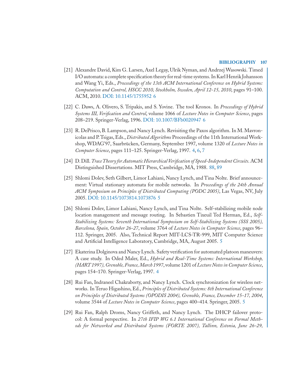- [21] Alexandre David, Kim G. Larsen, Axel Legay, Ulrik Nyman, and Andrzej Wasowski. Timed I/O automata: a complete specification theory forreal-time systems. In Karl Henrik Johansson and Wang Yi, Eds., *Proceedings of the 13th ACM International Conference on Hybrid Systems: Computation and Control, HSCC 2010, Stockholm, Sweden, April 12-15, 2010*, pages 91–100. ACM, 2010. [DOI: 10.1145/1755952](http://dx.doi.org/10.1145/1755952) [6](#page-19-0)
- [22] C. Daws, A. Olivero, S. Tripakis, and S. Yovine. The tool Kronos. In *Proceedings of Hybrid Systems III, Verification and Control*, volume 1066 of *Lecture Notes in Computer Science*, pages 208–219. Springer-Verlag, 1996. [DOI: 10.1007/BFb0020947](http://dx.doi.org/10.1007/BFb0020947) [6](#page-19-0)
- [23] R. DePrisco, B. Lampson, and Nancy Lynch. Revisiting the Paxos algorithm. In M.Mavronicolas and P. Tsigas, Eds., *Distributed Algorithms* Proceedings of the 11th International Workshop, WDAG'97, Saarbrücken, Germany, September 1997, volume 1320 of *Lecture Notes in Computer Science*, pages 111–125. Springer-Verlag, 1997. [4,](#page-17-0) [6,](#page-19-0) [7](#page-20-0)
- [24] D.Dill.*TraceTheory for Automatic Hierarchical Verification of Speed-Independent Circuits*. ACM Distinguished Dissertations. MIT Press, Cambridge, MA, 1988. [88,](#page-101-0) [89](#page-102-0)
- [25] Shlomi Dolev, Seth Gilbert, Limor Lahiani, Nancy Lynch, and Tina Nolte. Brief announcement: Virtual stationary automata for mobile networks. In *Proceedings of the 24th Annual ACM Symposium on Principles of Distributed Computing (PODC 2005)*, Las Vegas, NV, July 2005. [DOI: 10.1145/1073814.1073876](http://dx.doi.org/10.1145/1073814.1073876) [5](#page-18-0)
- [26] Shlomi Dolev, Limor Lahiani, Nancy Lynch, and Tina Nolte. Self-stabilizing mobile node location management and message routing. In Sebastien Tixeuil Ted Herman, Ed., *Self-Stabilizing Systems: Seventh International Symposium on Self-Stabilizing Systems (SSS 2005), Barcelona, Spain, October 26-27*, volume 3764 of *Lecture Notes in Computer Science*, pages 96– 112. Springer, 2005. Also, Technical Report MIT-LCS-TR-999, MIT Computer Science and Artificial Intelligence Laboratory, Cambridge, MA, August 2005. [5](#page-18-0)
- [27] Ekaterina Dolginova and Nancy Lynch. Safety verification for automated platoon maneuvers: A case study. In Oded Maler, Ed., *Hybrid and Real-Time Systems: International Workshop, (HART 1997), Grenoble, France,March 1997*, volume 1201 of *Lecture Notes in Computer Science*, pages 154–170. Springer-Verlag, 1997. [4](#page-17-0)
- [28] Rui Fan, Indraneel Chakraborty, and Nancy Lynch. Clock synchronization for wireless networks. In Teruo Higashino, Ed., *Principles of Distributed Systems: 8th International Conference on Principles of Distributed Systems (OPODIS 2004), Grenoble, France, December 15-17, 2004*, volume 3544 of *Lecture Notes in Computer Science*, pages 400–414. Springer, 2005. [5](#page-18-0)
- [29] Rui Fan, Ralph Droms, Nancy Griffeth, and Nancy Lynch. The DHCP failover protocol: A formal perspective. In *27th IFIP WG 6.1 International Conference on Formal Methods for Networked and Distributed Systems (FORTE 2007), Tallinn, Estonia, June 26-29,*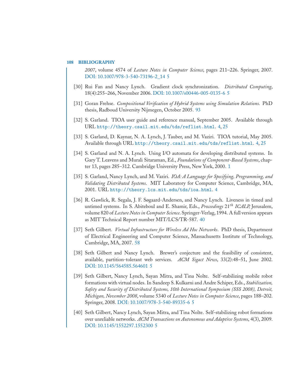*2007*, volume 4574 of *Lecture Notes in Computer Science*, pages 211–226. Springer, 2007. [DOI: 10.1007/978-3-540-73196-2\\_14](http://dx.doi.org/10.1007/978-3-540-73196-2_14) [5](#page-18-0)

- [30] Rui Fan and Nancy Lynch. Gradient clock synchronization. *Distributed Computing*, 18(4):255–266, November 2006. [DOI: 10.1007/s00446-005-0135-6](http://dx.doi.org/10.1007/s00446-005-0135-6) [5](#page-18-0)
- [31] Goran Frehse. *Compositional Verification of Hybrid Systems using Simulation Relations*. PhD thesis, Radboud University Nijmegen, October 2005. [93](#page-106-0)
- [32] S. Garland. TIOA user guide and reference manual, September 2005. Available through URL <http://theory.csail.mit.edu/tds/reflist.html>. [4,](#page-17-0) [25](#page-38-0)
- [33] S. Garland, D. Kaynar, N. A. Lynch, J. Tauber, and M. Vaziri. TIOA tutorial, May 2005. Available through URL <http://theory.csail.mit.edu/tds/reflist.html>. [4,](#page-17-0) [25](#page-38-0)
- [34] S. Garland and N. A. Lynch. Using I/O automata for developing distributed systems. In Gary T. Leavens and Murali Sitaraman, Ed., *Foundations of Component-Based Systems*, chapter 13, pages 285–312. Cambridge University Press, New York, 2000. [1](#page-14-0)
- [35] S. Garland, Nancy Lynch, and M. Vaziri. *IOA: A Language for Specifying, Programming, and Validating Distributed Systems*. MIT Laboratory for Computer Science, Cambridge, MA, 2001. URL <http://theory.lcs.mit.edu/tds/ioa.html>. [4](#page-17-0)
- [36] R. Gawlick, R. Segala, J. F. Søgaard-Andersen, and Nancy Lynch. Liveness in timed and untimed systems. In S. Abiteboul and E. Shamir, Eds., *Proceedings* 21*th ICALP,* Jerusalem, volume 820 of *Lecture Notes in Computer Science*. Springer-Verlag, 1994. A full version appears as MIT Technical Report number MIT/LCS/TR-587. [40](#page-53-0)
- [37] Seth Gilbert. *Virtual Infrastructure for Wireless Ad Hoc Networks*. PhD thesis, Department of Electrical Engineering and Computer Science, Massachusetts Institute of Technology, Cambridge, MA, 2007. [58](#page-71-0)
- [38] Seth Gilbert and Nancy Lynch. Brewer's conjecture and the feasibility of consistent, available, partition-tolerant web services. *ACM Sigact News*, 33(2):48–51, June 2002. [DOI: 10.1145/564585.564601](http://dx.doi.org/10.1145/564585.564601) [5](#page-18-0)
- [39] Seth Gilbert, Nancy Lynch, Sayan Mitra, and Tina Nolte. Self-stabilizing mobile robot formations with virtual nodes. In Sandeep S. Kulkarni and Andre Schiper, Eds., *Stabilization, Safety and Security of Distributed Systems, 10th International Symposium (SSS 2008), Detroit, Michigan, November 2008*, volume 5340 of *Lecture Notes in Computer Science*, pages 188–202. Springer, 2008. [DOI: 10.1007/978-3-540-89335-6](http://dx.doi.org/10.1007/978-3-540-89335-6) [5](#page-18-0)
- [40] Seth Gilbert, Nancy Lynch, Sayan Mitra, and Tina Nolte. Self-stabilizing robot formations over unreliable networks. *ACM Transactions on Autonomous and Adaptive Systems*, 4(3), 2009. [DOI: 10.1145/1552297.1552300](http://dx.doi.org/10.1145/1552297.1552300) [5](#page-18-0)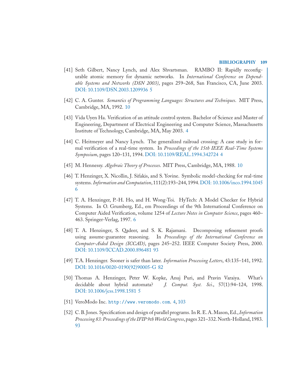- <span id="page-122-0"></span>[41] Seth Gilbert, Nancy Lynch, and Alex Shvartsman. RAMBO II: Rapidly reconfigurable atomic memory for dynamic networks. In *International Conference on Dependable Systems and Networks (DSN 2003)*, pages 259–268, San Francisco, CA, June 2003. [DOI: 10.1109/DSN.2003.1209936](http://dx.doi.org/10.1109/DSN.2003.1209936) [5](#page-18-0)
- [42] C. A. Gunter. *Semantics of Programming Languages: Structures and Techniques*. MIT Press, Cambridge, MA, 1992. [10](#page-23-0)
- [43] Vida Uyen Ha. Verification of an attitude control system. Bachelor of Science and Master of Engineering, Department of Electrical Engineering and Computer Science, Massachusetts Institute of Technology, Cambridge, MA, May 2003. [4](#page-17-0)
- [44] C. Heitmeyer and Nancy Lynch. The generalized railroad crossing: A case study in formal verification of a real-time system. In *Proceedings of the 15th IEEE Real-Time Systems Symposium*, pages 120–131, 1994. [DOI: 10.1109/REAL.1994.342724](http://dx.doi.org/10.1109/REAL.1994.342724) [4](#page-17-0)
- [45] M. Hennessy. *Algebraic Theory of Processes*. MIT Press, Cambridge, MA, 1988. [10](#page-23-0)
- [46] T. Henzinger, X. Nicollin, J. Sifakis, and S. Yovine. Symbolic model-checking for real-time systems. *Information and Computation*, 111(2):193–244, 1994.[DOI: 10.1006/inco.1994.1045](http://dx.doi.org/10.1006/inco.1994.1045) [6](#page-19-0)
- [47] T. A. Henzinger, P.-H. Ho, and H. Wong-Toi. HyTech: A Model Checker for Hybrid Systems. In O. Grumberg, Ed., em Proceedings of the 9th International Conference on Computer Aided Verification, volume 1254 of *Lecture Notes in Computer Science*, pages 460– 463. Springer-Verlag, 1997. [6](#page-19-0)
- [48] T. A. Henzinger, S. Qadeer, and S. K. Rajamani. Decomposing refinement proofs using assume-guarantee reasoning. In *Proceedings of the International Conference on Computer-Aided Design (ICCAD)*, pages 245–252. IEEE Computer Society Press, 2000. [DOI: 10.1109/ICCAD.2000.896481](http://dx.doi.org/10.1109/ICCAD.2000.896481) [93](#page-106-0)
- [49] T.A. Henzinger. Sooner is safer than later. *Information Processing Letters*, 43:135–141, 1992. [DOI: 10.1016/0020-0190\(92\)90005-G](http://dx.doi.org/10.1016/0020-0190(92)90005-G) [82](#page-95-0)
- [50] Thomas A. Henzinger, Peter W. Kopke, Anuj Puri, and Pravin Varaiya. What's decidable about hybrid automata? *J. Comput. Syst. Sci.*, 57(1):94–124, 1998. [DOI: 10.1006/jcss.1998.1581](http://dx.doi.org/10.1006/jcss.1998.1581) [5](#page-18-0)
- [51] VeroModo Inc. <http://www.veromodo.com>. [4,](#page-17-0) [103](#page-116-0)
- [52] C.B. Jones. Specification and design of parallel programs. In R.E. A.Mason,Ed.,*Information Processing 83: Proceedings of the IFIP 9thWorld Congress*, pages 321–332.North-Holland, 1983. [93](#page-106-0)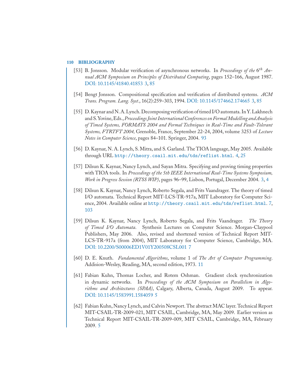- <span id="page-123-0"></span>[53] B. Jonsson. Modular verification of asynchronous networks. In *Proceedings of the* 6*th Annual ACM Symposium on Principles of Distributed Computing*, pages 152–166, August 1987. [DOI: 10.1145/41840.41853](http://dx.doi.org/10.1145/41840.41853) [3,](#page-16-0) [85](#page-98-0)
- [54] Bengt Jonsson. Compositional specification and verification of distributed systems. *ACM Trans. Program. Lang. Syst.*, 16(2):259–303, 1994. [DOI: 10.1145/174662.174665](http://dx.doi.org/10.1145/174662.174665) [3,](#page-16-0) [85](#page-98-0)
- [55] D.Kaynar and N.A.Lynch. Decomposing verification of timed I/O automata. InY.Lakhnech and S.Yovine,Eds.,*Proceedings Joint International Conferences on FormalModelling and Analysis of Timed Systems, FORMATS 2004 and Formal Techniques in Real-Time and Fault-Tolerant Systems, FTRTFT 2004,* Grenoble, France, September 22-24, 2004, volume 3253 of *Lecture Notes in Computer Science*, pages 84–101. Springer, 2004. [93](#page-106-0)
- [56] D. Kaynar, N. A. Lynch, S. Mitra, and S. Garland. The TIOA language, May 2005. Available through URL <http://theory.csail.mit.edu/tds/reflist.html>. [4,](#page-17-0) [25](#page-38-0)
- [57] Dilsun K. Kaynar, Nancy Lynch, and Sayan Mitra. Specifying and proving timing properties with TIOA tools. In *Proceedings of the 5th IEEE International Real-Time Systems Symposium, Work in Progress Session (RTSS WIP)*, pages 96–99, Lisbon, Portugal, December 2004. [3,](#page-16-0) [4](#page-17-0)
- [58] Dilsun K. Kaynar, Nancy Lynch, Roberto Segala, and Frits Vaandrager. The theory of timed I/O automata. Technical Report MIT-LCS-TR-917a, MIT Laboratory for Computer Science, 2004. Available online at <http://theory.csail.mit.edu/tds/reflist.html>. [7,](#page-20-0) [103](#page-116-0)
- [59] Dilsun K. Kaynar, Nancy Lynch, Roberto Segala, and Frits Vaandrager. *The Theory of Timed I/O Automata*. Synthesis Lectures on Computer Science. Morgan-Claypool Publishers, May 2006. Also, revised and shortened version of Technical Report MIT-LCS-TR-917a (from 2004), MIT Laboratory for Computer Science, Cambridge, MA. [DOI: 10.2200/S00006ED1V01Y200508CSL001](http://dx.doi.org/10.2200/S00006ED1V01Y200508CSL001) [7](#page-20-0)
- [60] D. E. Knuth. *Fundamental Algorithms*, volume 1 of *The Art of Computer Programming*. Addision-Wesley, Reading, MA, second edition, 1973. [11](#page-24-0)
- [61] Fabian Kuhn, Thomas Locher, and Rotem Oshman. Gradient clock synchronization in dynamic networks. In *Proceedings of the ACM Symposium on Parallelism in Algorithms and Architectures (SPAA)*, Calgary, Alberta, Canada, August 2009. To appear. [DOI: 10.1145/1583991.1584059](http://dx.doi.org/10.1145/1583991.1584059) [5](#page-18-0)
- [62] Fabian Kuhn, Nancy Lynch, and Calvin Newport. The abstract MAC layer. Technical Report MIT-CSAIL-TR-2009-021, MIT CSAIL, Cambridge, MA, May 2009. Earlier version as Technical Report MIT-CSAIL-TR-2009-009, MIT CSAIL, Cambridge, MA, February 2009. [5](#page-18-0)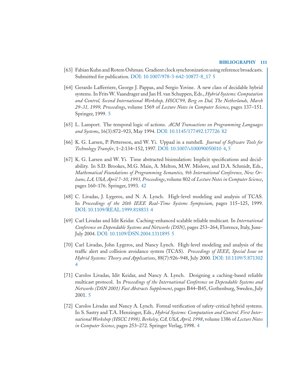- [63] Fabian Kuhn and Rotem Oshman. Gradient clock synchronization using reference broadcasts. Submitted for publication. [DOI: 10.1007/978-3-642-10877-8\\_17](http://dx.doi.org/10.1007/978-3-642-10877-8_17) [5](#page-18-0)
- [64] Gerardo Lafferriere, George J. Pappas, and Sergio Yovine. A new class of decidable hybrid systems. In Frits W. Vaandrager and Jan H. van Schuppen, Eds., *Hybrid Systems: Computation and Control, Second International Workshop, HSCC'99, Berg en Dal, The Netherlands, March 29-31, 1999, Proceedings*, volume 1569 of *Lecture Notes in Computer Science*, pages 137–151. Springer, 1999. [5](#page-18-0)
- [65] L. Lamport. The temporal logic of actions. *ACM Transactions on Programming Languages and Systems*, 16(3):872–923, May 1994. [DOI: 10.1145/177492.177726](http://dx.doi.org/10.1145/177492.177726) [82](#page-95-0)
- [66] K. G. Larsen, P. Pettersson, and W. Yi. Uppaal in a nutshell. *Journal of Software Tools for Technology Transfer*, 1–2:134–152, 1997. [DOI: 10.1007/s100090050010](http://dx.doi.org/10.1007/s100090050010) [4,](#page-17-0) [5](#page-18-0)
- [67] K. G. Larsen and W. Yi. Time abstracted bisimulation: Implicit specifications and decidability. In S.D. Brookes, M.G. Main, A. Melton, M.W. Mislove, and D.A. Schmidt, Eds., *Mathematical Foundations of Programming Semantics, 9th International Conference, New Orleans, LA, USA, April 7-10, 1993, Proceedings*, volume 802 of *Lecture Notes in Computer Science*, pages 160–176. Springer, 1993. [42](#page-55-0)
- [68] C. Livadas, J. Lygeros, and N. A. Lynch. High-level modeling and analysis of TCAS. In *Proceedings of the 20th IEEE Real-Time Systems Symposium*, pages 115–125, 1999. [DOI: 10.1109/REAL.1999.818833](http://dx.doi.org/10.1109/REAL.1999.818833) [4](#page-17-0)
- [69] Carl Livadas and Idit Keidar. Caching-enhanced scalable reliable multicast. In *International Conference on Dependable Systems and Networks (DSN)*, pages 253–264, Florence, Italy, June-July 2004. [DOI: 10.1109/DSN.2004.1311895](http://dx.doi.org/10.1109/DSN.2004.1311895) [5](#page-18-0)
- [70] Carl Livadas, John Lygeros, and Nancy Lynch. High-level modeling and analysis of the traffic alert and collision avoidance system (TCAS). *Proceedings of IEEE, Special Issue on Hybrid Systems: Theory and Applications*, 88(7):926–948, July 2000. [DOI: 10.1109/5.871302](http://dx.doi.org/10.1109/5.871302) [4](#page-17-0)
- [71] Carolos Livadas, Idit Keidar, and Nancy A. Lynch. Designing a caching-based reliable multicast protocol. In *Proceedings of the International Conference on Dependable Systems and Networks (DSN 2001) Fast Abstracts Supplement*, pages B44–B45, Gothenburg, Sweden, July 2001. [5](#page-18-0)
- [72] Carolos Livadas and Nancy A. Lynch. Formal verification of safety-critical hybrid systems. In S. Sastry and T.A. Henzinger, Eds., *Hybrid Systems: Computation and Control. First International Workshop (HSCC 1998), Berkeley, CA, USA, April, 1998*, volume 1386 of *Lecture Notes in Computer Science*, pages 253–272. Springer Verlag, 1998. [4](#page-17-0)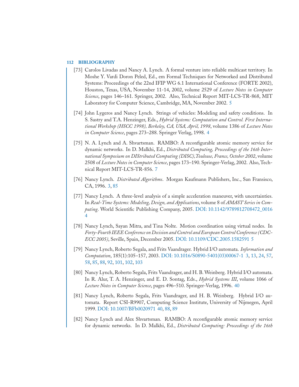- <span id="page-125-0"></span>[73] Carolos Livadas and Nancy A. Lynch. A formal venture into reliable multicast territory. In Moshe Y. Vardi Doron Peled, Ed., em Formal Techniques for Networked and Distributed Systems: Proceedings of the 22nd IFIP WG 6.1 International Conference (FORTE 2002), Houston, Texas, USA, November 11-14, 2002, volume 2529 of *Lecture Notes in Computer Science*, pages 146–161. Springer, 2002. Also, Technical Report MIT-LCS-TR-868, MIT Laboratory for Computer Science, Cambridge, MA, November 2002. [5](#page-18-0)
- [74] John Lygeros and Nancy Lynch. Strings of vehicles: Modeling and safety conditions. In S. Sastry and T.A. Henzinger, Eds., *Hybrid Systems: Computation and Control. First International Workshop (HSCC 1998), Berkeley, CA, USA, April, 1998*, volume 1386 of *Lecture Notes in Computer Science*, pages 273–288. Springer Verlag, 1998. [4](#page-17-0)
- [75] N. A. Lynch and A. Shvartsman. RAMBO: A reconfigurable atomic memory service for dynamic networks. In D. Malkhi, Ed., *Distributed Computing, Proceedings of the 16th International Symposium on DIStributed Computing (DISC),Toulouse, France, October 2002*, volume 2508 of *Lecture Notes in Computer Science*, pages 173–190. Springer-Verlag, 2002. Also, Technical Report MIT-LCS-TR-856. [7](#page-20-0)
- [76] Nancy Lynch. *Distributed Algorithms*. Morgan Kaufmann Publishers, Inc., San Fransisco, CA, 1996. [3,](#page-16-0) [85](#page-98-0)
- [77] Nancy Lynch. A three-level analysis of a simple acceleration maneuver, with uncertainties. In *Real-Time Systems: Modeling, Design, and Applications*, volume 8 of *AMAST Series in Computing*. World Scientific Publishing Company, 2005. [DOI: 10.1142/9789812708472\\_0016](http://dx.doi.org/10.1142/9789812708472_0016) [4](#page-17-0)
- [78] Nancy Lynch, Sayan Mitra, and Tina Nolte. Motion coordination using virtual nodes. In *Forty-Fourth IEEE Conference on Decision and Control and European Control Conference (CDC-ECC 2005)*, Seville, Spain, December 2005. [DOI: 10.1109/CDC.2005.1582591](http://dx.doi.org/10.1109/CDC.2005.1582591) [5](#page-18-0)
- [79] Nancy Lynch, Roberto Segala, and Frits Vaandrager. Hybrid I/O automata. *Information and Computation*, 185(1):105–157, 2003. [DOI: 10.1016/S0890-5401\(03\)00067-1](http://dx.doi.org/10.1016/S0890-5401(03)00067-1) [3,](#page-16-0) [13,](#page-26-0) [24,](#page-37-0) [57,](#page-70-0) [58,](#page-71-0) [85,](#page-98-0) [88,](#page-101-0) [92,](#page-105-0) [101,](#page-114-0) [102,](#page-115-0) [103](#page-116-0)
- [80] Nancy Lynch, Roberto Segala, Frits Vaandrager, and H. B.Weinberg. Hybrid I/O automata. In R. Alur, T. A. Henzinger, and E. D. Sontag, Eds., *Hybrid Systems III*, volume 1066 of *Lecture Notes in Computer Science*, pages 496–510. Springer-Verlag, 1996. [40](#page-53-0)
- [81] Nancy Lynch, Roberto Segala, Frits Vaandrager, and H. B. Weinberg. Hybrid I/O automata. Report CSI-R9907, Computing Science Institute, University of Nijmegen, April 1999. [DOI: 10.1007/BFb0020971](http://dx.doi.org/10.1007/BFb0020971) [40,](#page-53-0) [88,](#page-101-0) [89](#page-102-0)
- [82] Nancy Lynch and Alex Shvartsman. RAMBO: A reconfigurable atomic memory service for dynamic networks. In D. Malkhi, Ed., *Distributed Computing: Proceedings of the 16th*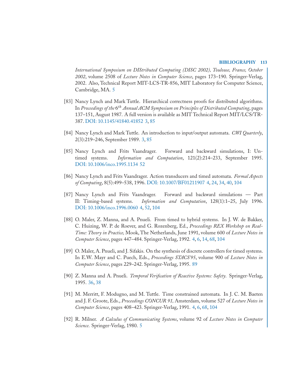<span id="page-126-0"></span>*International Symposium on DIStributed Computing (DISC 2002), Toulouse, France, October 2002*, volume 2508 of *Lecture Notes in Computer Science*, pages 173–190. Springer-Verlag, 2002. Also, Technical Report MIT-LCS-TR-856, MIT Laboratory for Computer Science, Cambridge, MA. [5](#page-18-0)

- [83] Nancy Lynch and Mark Tuttle. Hierarchical correctness proofs for distributed algorithms. In *Proceedings of the* 6*th Annual ACM Symposium on Principles of Distributed Computing*, pages 137–151, August 1987. A full version is available as MIT Technical Report MIT/LCS/TR-387. [DOI: 10.1145/41840.41852](http://dx.doi.org/10.1145/41840.41852) [3,](#page-16-0) [85](#page-98-0)
- [84] Nancy Lynch and Mark Tuttle. An introduction to input/output automata. *CWI Quarterly*, 2(3):219–246, September 1989. [3,](#page-16-0) [85](#page-98-0)
- [85] Nancy Lynch and Frits Vaandrager. Forward and backward simulations, I: Untimed systems. *Information and Computation*, 121(2):214–233, September 1995. [DOI: 10.1006/inco.1995.1134](http://dx.doi.org/10.1006/inco.1995.1134) [52](#page-65-0)
- [86] Nancy Lynch and Frits Vaandrager. Action transducers and timed automata. *Formal Aspects of Computing*, 8(5):499–538, 1996. [DOI: 10.1007/BF01211907](http://dx.doi.org/10.1007/BF01211907) [4,](#page-17-0) [24,](#page-37-0) [34,](#page-47-0) [40,](#page-53-0) [104](#page-117-0)
- [87] Nancy Lynch and Frits Vaandrager. Forward and backward simulations Part II: Timing-based systems. *Information and Computation*, 128(1):1–25, July 1996. [DOI: 10.1006/inco.1996.0060](http://dx.doi.org/10.1006/inco.1996.0060) [4,](#page-17-0) [52,](#page-65-0) [104](#page-117-0)
- [88] O. Maler, Z. Manna, and A. Pnueli. From timed to hybrid systems. In J. W. de Bakker, C. Huizing, W. P. de Roever, and G. Rozenberg, Ed., *Proceedings REX Workshop on Real-Time: Theory in Practice,* Mook, The Netherlands, June 1991, volume 600 of *Lecture Notes in Computer Science*, pages 447–484. Springer-Verlag, 1992. [4,](#page-17-0) [6,](#page-19-0) [14,](#page-27-0) [68,](#page-81-0) [104](#page-117-0)
- [89] O. Maler, A. Pnueli, and J. Sifakis. On the synthesis of discrete controllers for timed systems. In E.W. Mayr and C. Puech, Eds., *Proceedings STACS'95*, volume 900 of *Lecture Notes in Computer Science*, pages 229–242. Springer-Verlag, 1995. [89](#page-102-0)
- [90] Z. Manna and A. Pnueli. *Temporal Verification of Reactive Systems: Safety*. Springer-Verlag, 1995. [36,](#page-49-0) [38](#page-51-0)
- [91] M. Merritt, F. Modugno, and M. Tuttle. Time constrained automata. In J. C. M. Baeten and J. F. Groote, Eds., *Proceedings CONCUR 91,* Amsterdam, volume 527 of *Lecture Notes in Computer Science*, pages 408–423. Springer-Verlag, 1991. [4,](#page-17-0) [6,](#page-19-0) [68,](#page-81-0) [104](#page-117-0)
- [92] R. Milner. *A Calculus of Communicating Systems*, volume 92 of *Lecture Notes in Computer Science*. Springer-Verlag, 1980. [5](#page-18-0)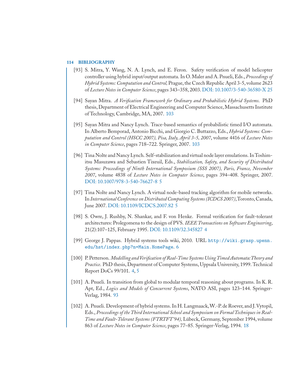- <span id="page-127-0"></span>[93] S. Mitra, Y. Wang, N. A. Lynch, and E. Feron. Safety verification of model helicopter controller using hybrid input/output automata. In O.Maler and A. Pnueli, Eds.,*Proceedings of Hybrid Systems: Computation and Control,*Prague, the Czech Republic April 3-5, volume 2623 of *Lecture Notes in Computer Science*, pages 343–358, 2003. [DOI: 10.1007/3-540-36580-X](http://dx.doi.org/10.1007/3-540-36580-X) [25](#page-38-0)
- [94] Sayan Mitra. *A Verification Framework for Ordinary and Probabilistic Hybrid Systems*. PhD thesis, Department of Electrical Engineering and Computer Science,Massachusetts Institute of Technology, Cambridge, MA, 2007. [103](#page-116-0)
- [95] Sayan Mitra and Nancy Lynch. Trace-based semantics of probabilistic timed I/O automata. In Alberto Bemporad, Antonio Bicchi, and Giorgio C. Buttazzo, Eds., *Hybrid Systems: Computation and Control (HSCC 2007), Pisa, Italy, April 3-5, 2007*, volume 4416 of *Lecture Notes in Computer Science*, pages 718–722. Springer, 2007. [103](#page-116-0)
- [96] Tina Nolte and Nancy Lynch. Self-stabilization and virtual node layer emulations. InToshimitsu Masuzawa and Sebastien Tixeuil, Eds., *Stabilization, Safety, and Security of Distributed Systems: Proceedings of Ninth International Symposium (SSS 2007), Paris, France, November 2007*, volume 4838 of *Lecture Notes in Computer Science*, pages 394–408. Springer, 2007. [DOI: 10.1007/978-3-540-76627-8](http://dx.doi.org/10.1007/978-3-540-76627-8) [5](#page-18-0)
- [97] Tina Nolte and Nancy Lynch. A virtual node-based tracking algorithm for mobile networks. In *International Conference on Distributed Computing Systems (ICDCS 2007)*,Toronto, Canada, June 2007. [DOI: 10.1109/ICDCS.2007.82](http://dx.doi.org/10.1109/ICDCS.2007.82) [5](#page-18-0)
- [98] S. Owre, J. Rushby, N. Shankar, and F. von Henke. Formal verification for fault-tolerant architectures: Prolegomena to the design of PVS. *IEEE Transactions on Software Engineering*, 21(2):107–125, February 1995. [DOI: 10.1109/32.345827](http://dx.doi.org/10.1109/32.345827) [4](#page-17-0)
- [99] George J. Pappas. Hybrid systems tools wiki, 2010. URL [http://wiki.grasp.upenn.](http://wiki.grasp.upenn.edu/hst/index.php?n=Main.HomePage) [edu/hst/index.php?n=Main.HomePage](http://wiki.grasp.upenn.edu/hst/index.php?n=Main.HomePage). [6](#page-19-0)
- [100] P. Petterson. *Modelling and Verification of Real-Time Systems UsingTimed Automata:Theory and Practice*. PhD thesis, Department of Computer Systems, Uppsala University, 1999. Technical Report DoCs 99/101. [4,](#page-17-0) [5](#page-18-0)
- [101] A. Pnueli. In transition from global to modular temporal reasoning about programs. In K. R. Apt, Ed., *Logics and Models of Concurrent Systems*, NATO ASI, pages 123–144. Springer-Verlag, 1984. [93](#page-106-0)
- [102] A. Pnueli. Development of hybrid systems. In H. Langmaack, W.-P. de Roever, and J. Vytopil, Eds., *Proceedings of the Third International School and Symposium on Formal Techniques in Real-Time and Fault-Tolerant Systems (FTRTFT '94),* Lübeck, Germany, September 1994, volume 863 of *Lecture Notes in Computer Science*, pages 77–85. Springer-Verlag, 1994. [18](#page-31-0)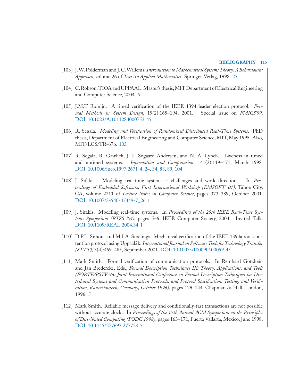- <span id="page-128-0"></span>[103] J.W. Polderman and J. C.Willems. *Introduction to Mathematical SystemsTheory: A Behavioural Approach*, volume 26 of *Texts in Applied Mathematics*. Springer-Verlag, 1998. [25](#page-38-0)
- [104] C. Robson. TIOA and UPPAAL. Master's thesis, MIT Department of Electrical Engineering and Computer Science, 2004. [6](#page-19-0)
- [105] J.M.T Romijn. A timed verification of the IEEE 1394 leader election protocol. *Formal Methods in System Design*, 19(2):165–194, 2001. Special issue on *FMICS'99*. [DOI: 10.1023/A:1011284000753](http://dx.doi.org/10.1023/A:1011284000753) [45](#page-58-0)
- [106] R. Segala. *Modeling and Verification of Randomized Distributed Real-Time Systems*. PhD thesis, Department of Electrical Engineering and Computer Science, MIT, May 1995. Also, MIT/LCS/TR-676. [103](#page-116-0)
- [107] R. Segala, R. Gawlick, J. F. Søgaard-Andersen, and N. A. Lynch. Liveness in timed and untimed systems. *Information and Computation*, 141(2):119–171, March 1998. [DOI: 10.1006/inco.1997.2671](http://dx.doi.org/10.1006/inco.1997.2671) [4,](#page-17-0) [24,](#page-37-0) [34,](#page-47-0) [88,](#page-101-0) [89,](#page-102-0) [104](#page-117-0)
- [108] J. Sifakis. Modeling real-time systems challenges and work directions. In *Proceedings of Embedded Software, First International Workshop (EMSOFT '01),* Tahoe City, CA, volume 2211 of *Lecture Notes in Computer Science*, pages 373–389, October 2001. [DOI: 10.1007/3-540-45449-7\\_26](http://dx.doi.org/10.1007/3-540-45449-7_26) [1](#page-14-0)
- [109] J. Sifakis. Modeling real-time systems. In *Proceedings of the 25th IEEE Real-Time Systems Symposium (RTSS '04)*, pages 5–6. IEEE Computer Society, 2004. Invited Talk. [DOI: 10.1109/REAL.2004.34](http://dx.doi.org/10.1109/REAL.2004.34) [1](#page-14-0)
- [110] D.P.L. Simons and M.I.A. Stoelinga. Mechanical verification of the IEEE 1394a root contention protocol using Uppaal2k. *International Journal on Software Tools for Technology Transfer (STTT)*, 3(4):469–485, September 2001. [DOI: 10.1007/s100090100059](http://dx.doi.org/10.1007/s100090100059) [45](#page-58-0)
- [111] Mark Smith. Formal verification of communication protocols. In Reinhard Gotzhein and Jan Bredereke, Eds., *Formal Description Techniques IX: Theory, Applications, and Tools (FORTE/PSTV '96: Joint International Conference on Formal Description Techniques for Distributed Systems and Communication Protocols, and Protocol Specification, Testing, and Verification, Kaiserslautern, Germany, October 1996)*, pages 129–144. Chapman & Hall, London, 1996. [5](#page-18-0)
- [112] Mark Smith. Reliable message delivery and conditionally-fast transactions are not possible without accurate clocks. In *Proceedings of the 17th Annual ACM Symposium on the Principles of Distributed Computing (PODC 1998)*, pages 163–171, Puerta Vallarta, Mexico, June 1998. [DOI: 10.1145/277697.277728](http://dx.doi.org/10.1145/277697.277728) [5](#page-18-0)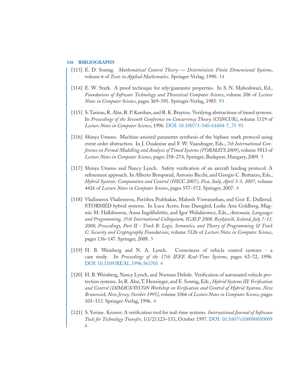- [113] E. D. Sontag. *Mathematical Control Theory Deterministic Finite Dimensional Systems*, volume 6 of *Texts in Applied Mathematics*. Springer-Verlag, 1990. [14](#page-27-0)
- [114] E. W. Stark. A proof technique for rely/guarantee properties. In S. N. Maheshwari, Ed., *Foundations of Software Technology and Theoretical Computer Science*, volume 206 of *Lecture Notes in Computer Science*, pages 369–391. Springer-Verlag, 1985. [93](#page-106-0)
- [115] S.Tasiran, R. Alur, R. P. Kurshan, and R. K. Brayton. Verifying abstractions of timed systems. In *Proceedings of the Seventh Conference on Concurrency Theory (CONCUR)*, volume 1119 of *Lecture Notes in Computer Science*, 1996. [DOI: 10.1007/3-540-61604-7\\_75](http://dx.doi.org/10.1007/3-540-61604-7_75) [93](#page-106-0)
- [116] Shinya Umeno. Machine-assisted parameter synthesis of the biphase mark protocol using event order abstraction. In J. Ouaknine and F. W. Vaandrager, Eds., *7th International Conference on Formal Modelling and Analysis of Timed Systems (FORMATS 2009)*, volume 5813 of *Lecture Notes in Computer Science*, pages 258–274, Springer, Budapest, Hungary, 2009. [5](#page-18-0)
- [117] Shinya Umeno and Nancy Lynch. Safety verification of an aircraft landing protocol: A refinement approach. In Alberto Bemporad, Antonio Bicchi, and Giorgio C. Buttazzo, Eds., *Hybrid Systems: Computation and Control (HSCC 2007), Pisa, Italy, April 3-5, 2007*, volume 4416 of *Lecture Notes in Computer Science*, pages 557–572. Springer, 2007. [4](#page-17-0)
- [118] Vladimeros Vladimerou, Pavithra Prabhakar, Mahesh Viswanathan, and Geir E. Dullerud. STORMED hybrid systems. In Luca Aceto, Ivan Damgård, Leslie Ann Goldberg, Magnús M. Halldórsson, Anna Ingólfsdóttir, and Igor Walukiewicz, Eds., *Automata, Languages and Programming, 35th International Colloquium, ICALP 2008, Reykjavik, Iceland, July 7-11, 2008, Proceedings, Part II - Track B: Logic, Semantics, and Theory of Programming & Track C: Security and Cryptography Foundations*, volume 5126 of *Lecture Notes in Computer Science*, pages 136–147. Springer, 2008. [5](#page-18-0)
- [119] H. B. Weinberg and N. A. Lynch. Correctness of vehicle control systems a case study. In *Proceedings of the 17th IEEE Real-Time Systems*, pages 62–72, 1996. [DOI: 10.1109/REAL.1996.563701](http://dx.doi.org/10.1109/REAL.1996.563701) [4](#page-17-0)
- [120] H. B. Weinberg, Nancy Lynch, and Norman Delisle. Verification of automated vehicle protection systems. In R. Alur, T. Henzinger, and E. Sontag, Eds., *Hybrid Systems III: Verification and Control (DIMACS/SYCON Workshop on Verification and Control of Hybrid Systems, New Brunswick, New Jersey, October 1995)*, volume 1066 of *Lecture Notes in Computer Science*, pages 101–113. Springer-Verlag, 1996. [4](#page-17-0)
- [121] S. Yovine. Kronos: A verification tool for real-time systems. *International Journal of Software Tools for Technology Transfer*, 1(1/2):123–133, October 1997. [DOI: 10.1007/s100090050009](http://dx.doi.org/10.1007/s100090050009) [6](#page-19-0)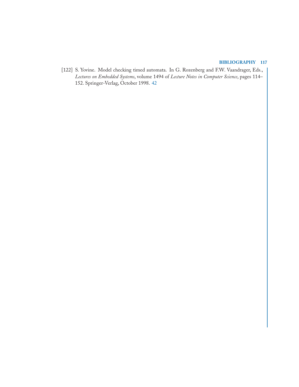[122] S. Yovine. Model checking timed automata. In G. Rozenberg and F.W. Vaandrager, Eds., *Lectures on Embedded Systems*, volume 1494 of *Lecture Notes in Computer Science*, pages 114– 152. Springer-Verlag, October 1998. [42](#page-55-0)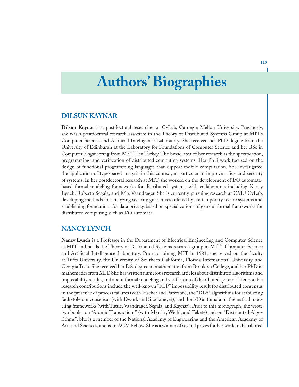# **Authors' Biographies**

# **DILSUN KAYNAR**

**Dilsun Kaynar** is a postdoctoral researcher at CyLab, Carnegie Mellon University. Previously, she was a postdoctoral research associate in the Theory of Distributed Systems Group at MIT's Computer Science and Artificial Intelligence Laboratory. She received her PhD degree from the University of Edinburgh at the Laboratory for Foundations of Computer Science and her BSc in Computer Engineering from METU in Turkey. The broad area of her research is the specification, programming, and verification of distributed computing systems. Her PhD work focused on the design of functional programming languages that support mobile computation. She investigated the application of type-based analysis in this context, in particular to improve safety and security of systems. In her postdoctoral research at MIT, she worked on the development of I/O automatabased formal modeling frameworks for distributed systems, with collaborators including Nancy Lynch, Roberto Segala, and Frits Vaandrager. She is currently pursuing research at CMU CyLab, developing methods for analyzing security guarantees offered by contemporary secure systems and establishing foundations for data privacy, based on specializations of general formal frameworks for distributed computing such as I/O automata.

# **NANCY LYNCH**

**Nancy Lynch** is a Professor in the Department of Electrical Engineering and Computer Science at MIT and heads the Theory of Distributed Systems research group in MIT's Computer Science and Artificial Intelligence Laboratory. Prior to joining MIT in 1981, she served on the faculty at Tufts University, the University of Southern California, Florida International University, and Georgia Tech. She received her B.S. degree in mathematics from Brooklyn College, and her PhD in mathematics from MIT. She has written numerous research articles about distributed algorithms and impossibility results, and about formal modeling and verification of distributed systems. Her notable research contributions include the well-known "FLP" impossibility result for distributed consensus in the presence of process failures (with Fischer and Paterson), the "DLS" algorithms for stabilizing fault-tolerant consensus (with Dwork and Stockmeyer), and the I/O automata mathematical modeling frameworks (with Tuttle, Vaandrager, Segala, and Kaynar). Prior to this monograph, she wrote two books: on "Atomic Transactions" (with Merritt, Weihl, and Fekete) and on "Distributed Algorithms". She is a member of the National Academy of Engineering and the American Academy of Arts and Sciences, and is an ACM Fellow. She is a winner of several prizes for her work in distributed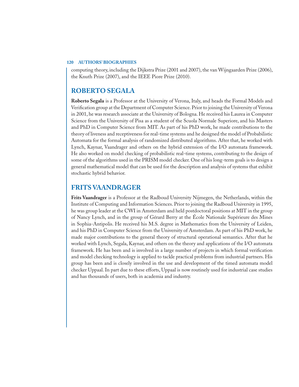### **120 AUTHORS' BIOGRAPHIES**

computing theory, including the Dijkstra Prize (2001 and 2007), the van Wijngaarden Prize (2006), the Knuth Prize (2007), and the IEEE Piore Prize (2010).

# **ROBERTO SEGALA**

**Roberto Segala** is a Professor at the University of Verona, Italy, and heads the Formal Models and Verification group at the Department of Computer Science. Prior to joining the University of Verona in 2001, he was research associate at the University of Bologna. He received his Laurea in Computer Science from the University of Pisa as a student of the Scuola Normale Superiore, and his Masters and PhD in Computer Science from MIT. As part of his PhD work, he made contributions to the theory of liveness and receptiveness for real-time systems and he designed the model of Probabilistic Automata for the formal analysis of randomized distributed algorithms. After that, he worked with Lynch, Kaynar, Vaandrager and others on the hybrid extension of the I/O automata framework. He also worked on model checking of probabilistic real-time systems, contributing to the design of some of the algorithms used in the PRISM model checker. One of his long-term goals is to design a general mathematical model that can be used for the description and analysis of systems that exhibit stochastic hybrid behavior.

# **FRITS VAANDRAGER**

**Frits Vaandrager** is a Professor at the Radboud University Nijmegen, the Netherlands, within the Institute of Computing and Information Sciences. Prior to joining the Radboud University in 1995, he was group leader at the CWI in Amsterdam and held postdoctoral positions at MIT in the group of Nancy Lynch, and in the group of Gérard Berry at the École Nationale Supérieure des Mines in Sophia-Antipolis. He received his M.S. degree in Mathematics from the University of Leiden, and his PhD in Computer Science from the University of Amsterdam. As part of his PhD work, he made major contributions to the general theory of structural operational semantics. After that he worked with Lynch, Segala, Kaynar, and others on the theory and applications of the I/O automata framework. He has been and is involved in a large number of projects in which formal verification and model checking technology is applied to tackle practical problems from industrial partners. His group has been and is closely involved in the use and development of the timed automata model checker Uppaal. In part due to these efforts, Uppaal is now routinely used for industrial case studies and has thousands of users, both in academia and industry.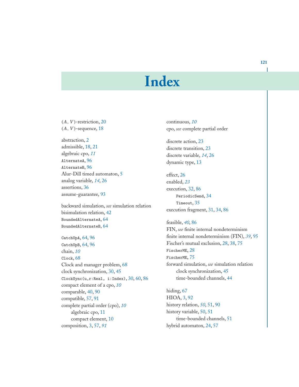# **Index**

*(A, V )*-restriction, [20](#page-33-0) *(A, V )*-sequence, [18](#page-31-0)

abstraction, [2](#page-15-0) admissible, [18,](#page-31-0) [21](#page-34-0) algebraic cpo, *[11](#page-24-0)* AlternateA, [96](#page-109-0) AlternateB, [96](#page-109-0) Alur-Dill timed automaton, [5](#page-18-0) analog variable, *[14](#page-27-0)*, [26](#page-39-0) assertions, [36](#page-49-0) assume-guarantee, [93](#page-106-0)

backward simulation, *see* simulation relation bisimulation relation, [42](#page-55-0) BoundedAlternateA, [64](#page-77-0) BoundedAlternateB, [64](#page-77-0)

CatchUpA, [64,](#page-77-0) [96](#page-109-0) CatchUpB, [64,](#page-77-0) [96](#page-109-0) chain, *[10](#page-23-0)* Clock, [68](#page-81-0) Clock and manager problem, [68](#page-81-0) clock synchronization, [30,](#page-43-0) [45](#page-58-0) ClockSync(u,r:Real, i:Index), [30,](#page-43-0) [60,](#page-73-0) [86](#page-99-0) compact element of a cpo, *[10](#page-23-0)* comparable, [40,](#page-53-0) [90](#page-103-0) compatible, [57,](#page-70-0) [91](#page-104-0) complete partial order (cpo), *[10](#page-23-0)* algebraic cpo, [11](#page-24-0) compact element, [10](#page-23-0) composition, [3,](#page-16-0) [57,](#page-70-0) *[91](#page-104-0)*

continuous, *[10](#page-23-0)* cpo, *see* complete partial order

discrete action, [23](#page-36-0) discrete transition, [23](#page-36-0) discrete variable, *[14](#page-27-0)*, [26](#page-39-0) dynamic type, [13](#page-26-0)

effect, [26](#page-39-0) enabled, *[23](#page-36-0)* execution, [32,](#page-45-0) [86](#page-99-0) PeriodicSend, [34](#page-47-0) Timeout, [35](#page-48-0) execution fragment, [31,](#page-44-0) [34,](#page-47-0) [86](#page-99-0)

### feasible, *[40](#page-53-0)*, [86](#page-99-0)

FIN, *see* finite internal nondeterminism finite internal nondeterminism (FIN), *[39](#page-52-0)*, [95](#page-108-0) Fischer's mutual exclusion, [28,](#page-41-0) [38,](#page-51-0) [75](#page-88-0) FischerME, [28](#page-41-0) FischerME, [75](#page-88-0) forward simulation, *see* simulation relation clock synchronization, [45](#page-58-0) time-bounded channels, [44](#page-57-0)

# hiding, [67](#page-80-0)

HIOA, [3,](#page-16-0) [92](#page-105-0) history relation, *[50](#page-63-0)*, [51,](#page-64-0) [90](#page-103-0) history variable, [50,](#page-63-0) [51](#page-64-0) time-bounded channels, [51](#page-64-0) hybrid automaton, [24,](#page-37-0) [57](#page-70-0)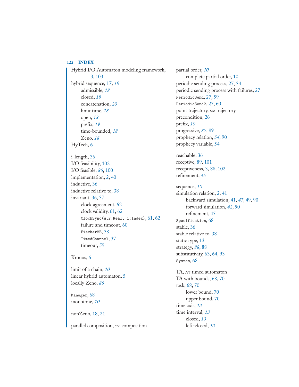# **122 INDEX**

Hybrid I/O Automaton modeling framework, [3,](#page-16-0) [103](#page-116-0) hybrid sequence, [17,](#page-30-0) *[18](#page-31-0)* admissible, *[18](#page-31-0)* closed, *[18](#page-31-0)* concatenation, *[20](#page-33-0)* limit time, *[18](#page-31-0)* open, *[18](#page-31-0)* prefix, *[19](#page-32-0)* time-bounded, *[18](#page-31-0)* Zeno, *[18](#page-31-0)* HyTech, [6](#page-19-0) i-length, [36](#page-49-0) I/O feasibility, [102](#page-115-0) I/O feasible, *[86](#page-99-0)*, [100](#page-113-0) implementation, [2,](#page-15-0) [40](#page-53-0) inductive, [36](#page-49-0) inductive relative to, [38](#page-51-0) invariant, [36,](#page-49-0) [37](#page-50-0) clock agreement, [62](#page-75-0) clock validity, [61,](#page-74-0) [62](#page-75-0) ClockSync(u,r:Real, i:Index), [61,](#page-74-0) [62](#page-75-0) failure and timeout, [60](#page-73-0) FischerME, [38](#page-51-0) TimedChannel, [37](#page-50-0) timeout, [59](#page-72-0)

# Kronos, [6](#page-19-0)

limit of a chain, *[10](#page-23-0)* linear hybrid automaton, [5](#page-18-0) locally Zeno, *[86](#page-99-0)*

Manager, [68](#page-81-0) monotone, *[10](#page-23-0)*

nonZeno, [18,](#page-31-0) [21](#page-34-0)

parallel composition, *see* composition

partial order, *[10](#page-23-0)* complete partial order, [10](#page-23-0) periodic sending process, [27,](#page-40-0) [34](#page-47-0) periodic sending process with failures, [27](#page-40-0) PeriodicSend, [27,](#page-40-0) [59](#page-72-0) PeriodicSend2, [27,](#page-40-0) [60](#page-73-0) point trajectory, *see* trajectory precondition, [26](#page-39-0) prefix, *[10](#page-23-0)* progressive, *[87](#page-100-0)*, [89](#page-102-0) prophecy relation, *[54](#page-67-0)*, [90](#page-103-0) prophecy variable, [54](#page-67-0) reachable, [36](#page-49-0) receptive, [89,](#page-102-0) [101](#page-114-0) receptiveness, [3,](#page-16-0) [88,](#page-101-0) [102](#page-115-0) refinement, *[45](#page-58-0)* sequence, *[10](#page-23-0)* simulation relation, [2,](#page-15-0) [41](#page-54-0) backward simulation, [41,](#page-54-0) *[47](#page-60-0)*, [49,](#page-62-0) [90](#page-103-0) forward simulation, *[42](#page-55-0)*, [90](#page-103-0) refinement, [45](#page-58-0) Specification, [68](#page-81-0) stable, [36](#page-49-0) stable relative to, [38](#page-51-0) static type, [13](#page-26-0) strategy, *[88](#page-101-0)*, [88](#page-101-0) substitutivity, [63,](#page-76-0) [64,](#page-77-0) [93](#page-106-0) System, [68](#page-81-0) TA, *see* timed automaton TA with bounds, [68,](#page-81-0) [70](#page-83-0) task, [68,](#page-81-0) [70](#page-83-0) lower bound, [70](#page-83-0) upper bound, [70](#page-83-0) time axis, *[13](#page-26-0)* time interval, *[13](#page-26-0)* closed, *[13](#page-26-0)* left-closed, *[13](#page-26-0)*